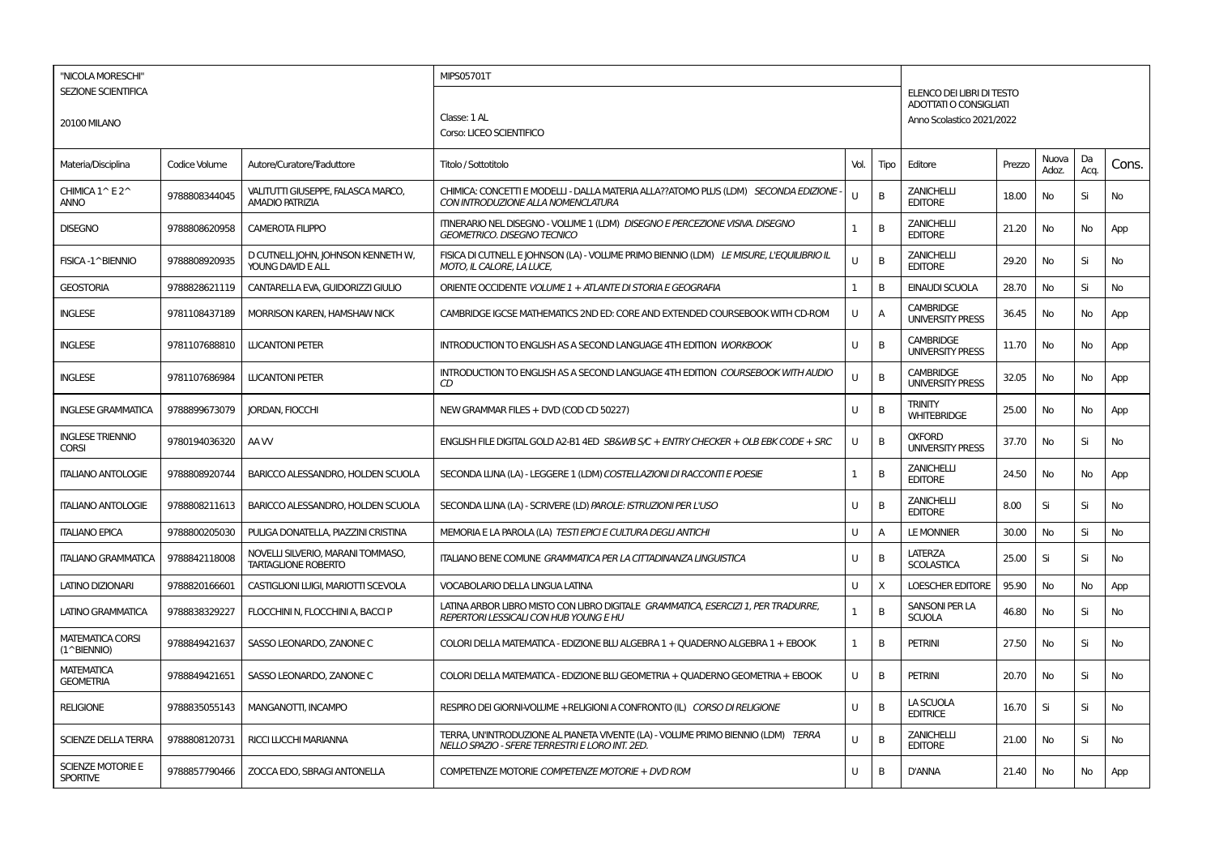| "NICOLA MORESCHI"                           |               |                                                                 | MIPS05701T                                                                                                                           |              |                |                                                     |        |                |            |           |
|---------------------------------------------|---------------|-----------------------------------------------------------------|--------------------------------------------------------------------------------------------------------------------------------------|--------------|----------------|-----------------------------------------------------|--------|----------------|------------|-----------|
| SEZIONE SCIENTIFICA                         |               |                                                                 |                                                                                                                                      |              |                | ELENCO DEI LIBRI DI TESTO<br>ADOTTATI O CONSIGLIATI |        |                |            |           |
| <b>20100 MILANO</b>                         |               |                                                                 | Classe: 1 AL<br>Corso: LICEO SCIENTIFICO                                                                                             |              |                | Anno Scolastico 2021/2022                           |        |                |            |           |
| Materia/Disciplina                          | Codice Volume | Autore/Curatore/Traduttore                                      | Titolo / Sottotitolo                                                                                                                 | Vol.         | Tipo           | Editore                                             | Prezzo | Nuova<br>Adoz. | Da<br>Acq. | Cons.     |
| CHIMICA 1^E2^<br>anno                       | 9788808344045 | VALITUTTI GIUSEPPE, FALASCA MARCO,<br><b>AMADIO PATRIZIA</b>    | CHIMICA: CONCETTI E MODELLI - DALLA MATERIA ALLA??ATOMO PLUS (LDM) SECONDA EDIZIONE -<br>CON INTRODUZIONE ALLA NOMENCLATURA          |              | B              | <b>ZANICHELLI</b><br><b>EDITORE</b>                 | 18.00  | No             | Si         | No        |
| <b>DISEGNO</b>                              | 9788808620958 | <b>CAMEROTA FILIPPO</b>                                         | ITINERARIO NEL DISEGNO - VOLUME 1 (LDM) DISEGNO E PERCEZIONE VISIVA. DISEGNO<br><b>GEOMETRICO. DISEGNO TECNICO</b>                   | $\mathbf{1}$ | B              | <b>ZANICHELLI</b><br><b>EDITORE</b>                 | 21.20  | No             | No         | App       |
| FISICA-1^BIENNIO                            | 9788808920935 | D CUTNELL JOHN, JOHNSON KENNETH W,<br>YOUNG DAVID E ALL         | FISICA DI CUTNELL E JOHNSON (LA) - VOLUME PRIMO BIENNIO (LDM) LE MISURE, L'EQUILIBRIO IL<br><b>MOTO, IL CALORE, LA LUCE,</b>         | U            | B              | <b>ZANICHELLI</b><br><b>EDITORE</b>                 | 29.20  | No             | Si         | <b>No</b> |
| <b>GEOSTORIA</b>                            | 9788828621119 | CANTARELLA EVA, GUIDORIZZI GIULIO                               | ORIENTE OCCIDENTE VOLUME 1 + ATLANTE DI STORIA E GEOGRAFIA                                                                           | 1            | B              | <b>EINAUDI SCUOLA</b>                               | 28.70  | No             | Si         | No        |
| <b>INGLESE</b>                              | 9781108437189 | <b>MORRISON KAREN, HAMSHAW NICK</b>                             | CAMBRIDGE IGCSE MATHEMATICS 2ND ED: CORE AND EXTENDED COURSEBOOK WITH CD-ROM                                                         | U            | $\overline{A}$ | <b>CAMBRIDGE</b><br><b>UNIVERSITY PRESS</b>         | 36.45  | <b>No</b>      | No         | App       |
| <b>INGLESE</b>                              | 9781107688810 | <b>LUCANTONI PETER</b>                                          | <b>INTRODUCTION TO ENGLISH AS A SECOND LANGUAGE 4TH EDITION WORKBOOK</b>                                                             | U            | B              | <b>CAMBRIDGE</b><br><b>UNIVERSITY PRESS</b>         | 11.70  | No             | No         | App       |
| <b>INGLESE</b>                              | 9781107686984 | <b>LUCANTONI PETER</b>                                          | INTRODUCTION TO ENGLISH AS A SECOND LANGUAGE 4TH EDITION COURSEBOOK WITH AUDIO<br>CD                                                 | u            | B              | <b>CAMBRIDGE</b><br><b>UNIVERSITY PRESS</b>         | 32.05  | No             | No         | App       |
| <b>INGLESE GRAMMATICA</b>                   | 9788899673079 | <b>IORDAN, FIOCCHI</b>                                          | NEW GRAMMAR FILES + DVD (COD CD 50227)                                                                                               | U            | B              | <b>TRINITY</b><br><b>WHITEBRIDGE</b>                | 25.00  | No             | No         | App       |
| <b>INGLESE TRIENNIO</b><br><b>CORSI</b>     | 9780194036320 | AA W                                                            | ENGLISH FILE DIGITAL GOLD A2-B1 4ED SB&WB S/C + ENTRY CHECKER + OLB EBK CODE + SRC                                                   | U            | B              | <b>OXFORD</b><br><b>UNIVERSITY PRESS</b>            | 37.70  | No             | Si         | <b>No</b> |
| <b>ITALIANO ANTOLOGIE</b>                   | 9788808920744 | <b>BARICCO ALESSANDRO, HOLDEN SCUOLA</b>                        | SECONDA LUNA (LA) - LEGGERE 1 (LDM) COSTELLAZIONI DI RACCONTI E POESIE                                                               | $\mathbf{1}$ | B              | <b>ZANICHELLI</b><br><b>EDITORE</b>                 | 24.50  | No             | No         | App       |
| <b>ITALIANO ANTOLOGIE</b>                   | 9788808211613 | BARICCO ALESSANDRO. HOLDEN SCUOLA                               | SECONDA LUNA (LA) - SCRIVERE (LD) PAROLE: ISTRUZIONI PER L'USO                                                                       | U            | B              | <b>ZANICHELLI</b><br><b>EDITORE</b>                 | 8.00   | Si             | Si         | No        |
| <b>ITALIANO EPICA</b>                       | 9788800205030 | PULIGA DONATELLA, PIAZZINI CRISTINA                             | MEMORIA E LA PAROLA (LA) TESTI EPICI E CULTURA DEGLI ANTICHI                                                                         | U            | A              | <b>LE MONNIER</b>                                   | 30.00  | No             | Si         | No        |
| <b>ITALIANO GRAMMATICA</b>                  | 9788842118008 | NOVELLI SILVERIO, MARANI TOMMASO,<br><b>TARTAGLIONE ROBERTO</b> | ITALIANO BENE COMUNE GRAMMATICA PER LA CITTADINANZA LINGUISTICA                                                                      | U            | B              | <b>LATERZA</b><br><b>SCOLASTICA</b>                 | 25.00  | Si             | Si         | No        |
| LATINO DIZIONARI                            | 9788820166601 | CASTIGLIONI LUIGI, MARIOTTI SCEVOLA                             | VOCABOLARIO DELLA LINGUA LATINA                                                                                                      | U            | X              | <b>LOESCHER EDITORE</b>                             | 95.90  | No             | No         | App       |
| LATINO GRAMMATICA                           | 9788838329227 | FLOCCHINI N, FLOCCHINI A, BACCI P                               | LATINA ARBOR LIBRO MISTO CON LIBRO DIGITALE GRAMMATICA, ESERCIZI 1, PER TRADURRE,<br><b>REPERTORI LESSICALI CON HUB YOUNG E HU</b>   | $\mathbf{1}$ | B              | SANSONI PER LA<br><b>SCUOLA</b>                     | 46.80  | No             | Si         | No        |
| <b>MATEMATICA CORSI</b><br>(1^BIENNIO)      | 9788849421637 | SASSO LEONARDO, ZANONE C                                        | COLORI DELLA MATEMATICA - EDIZIONE BLU ALGEBRA 1 + QUADERNO ALGEBRA 1 + EBOOK                                                        | 1            | B              | <b>PETRINI</b>                                      | 27.50  | No             | Si         | No        |
| <b>MATEMATICA</b><br><b>GEOMETRIA</b>       | 9788849421651 | SASSO LEONARDO, ZANONE C                                        | COLORI DELLA MATEMATICA - EDIZIONE BLU GEOMETRIA + OUADERNO GEOMETRIA + EBOOK                                                        | U            | B              | <b>PETRINI</b>                                      | 20.70  | No             | Si         | No        |
| <b>RELIGIONE</b>                            | 9788835055143 | MANGANOTTI. INCAMPO                                             | RESPIRO DEI GIORNI-VOLUME + RELIGIONI A CONFRONTO (IL) CORSO DI RELIGIONE                                                            | U            | B              | LA SCUOLA<br><b>EDITRICE</b>                        | 16.70  | Si             | Si         | <b>No</b> |
| <b>SCIENZE DELLA TERRA</b>                  | 9788808120731 | RICCI LUCCHI MARIANNA                                           | TERRA, UN'INTRODUZIONE AL PIANETA VIVENTE (LA) - VOLUME PRIMO BIENNIO (LDM) TERRA<br>NELLO SPAZIO - SFERE TERRESTRI E LORO INT. 2ED. | U            | B              | <b>ZANICHELLI</b><br><b>EDITORE</b>                 | 21.00  | No             | Si         | No        |
| <b>SCIENZE MOTORIE E</b><br><b>SPORTIVE</b> | 9788857790466 | ZOCCA EDO, SBRAGI ANTONELLA                                     | COMPETENZE MOTORIE COMPETENZE MOTORIE + DVD ROM                                                                                      | U            | B              | <b>D'ANNA</b>                                       | 21.40  | No             | No         | App       |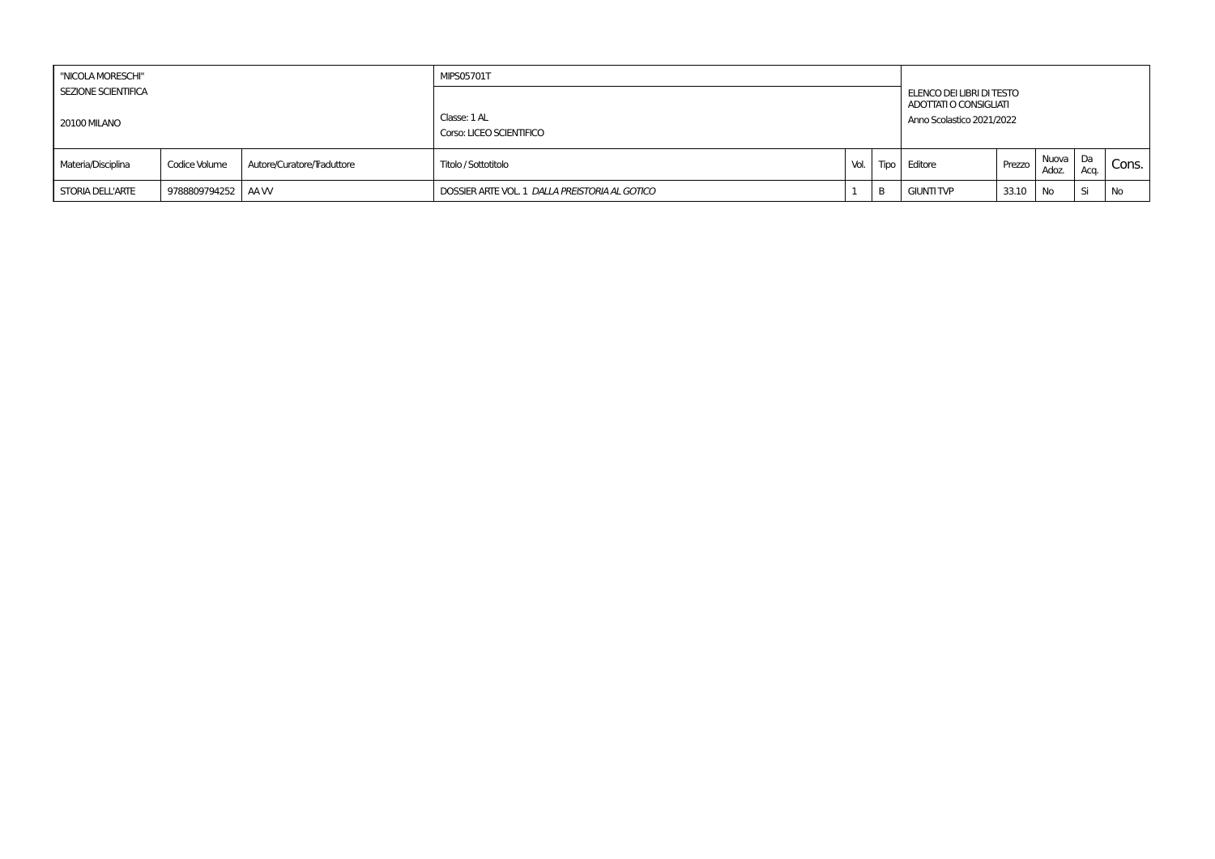| "NICOLA MORESCHI"                                 |                   |                            | <b>MIPS05701T</b>                              |      |   |                                                                                  |        |                   |      |       |
|---------------------------------------------------|-------------------|----------------------------|------------------------------------------------|------|---|----------------------------------------------------------------------------------|--------|-------------------|------|-------|
| <b>SEZIONE SCIENTIFICA</b><br><b>20100 MILANO</b> |                   |                            | Classe: 1 AL<br>Corso: LICEO SCIENTIFICO       |      |   | ELENCO DEI LIBRI DI TESTO<br>ADOTTATI O CONSIGLIATI<br>Anno Scolastico 2021/2022 |        |                   |      |       |
| Materia/Disciplina                                | Codice Volume     | Autore/Curatore/Traduttore | Titolo / Sottotitolo                           | Vol. |   | Tipo Editore                                                                     | Prezzo | Nuova Da<br>Adoz. | Aca. | Cons. |
| <b>STORIA DELL'ARTE</b>                           | 9788809794252 AAW |                            | DOSSIER ARTE VOL. 1 DALLA PREISTORIA AL GOTICO |      | D | <b>GIUNTI TVP</b>                                                                | 33.10  | <b>No</b>         | . Si | No    |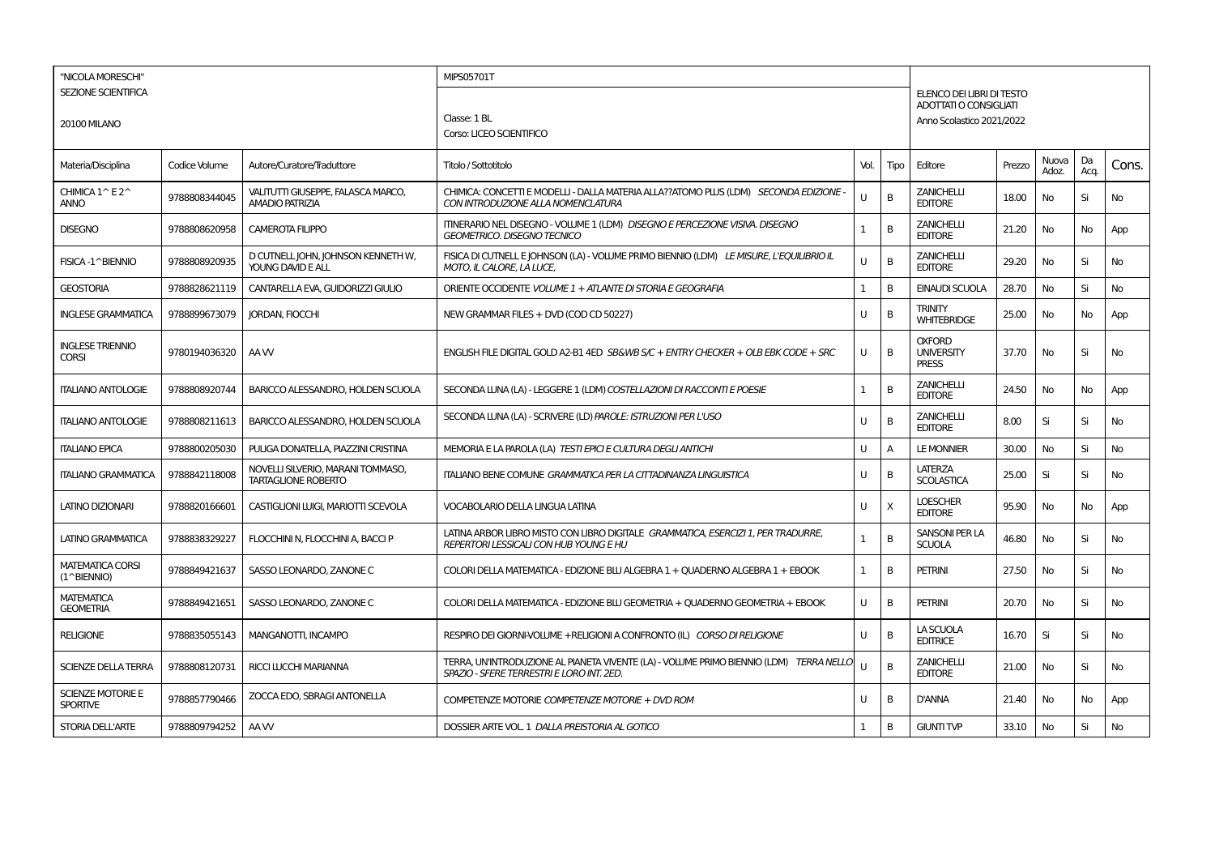| "NICOLA MORESCHI"                           |               |                                                                 | MIPS05701T                                                                                                                           |              |      |                                                    |        |                |            |           |
|---------------------------------------------|---------------|-----------------------------------------------------------------|--------------------------------------------------------------------------------------------------------------------------------------|--------------|------|----------------------------------------------------|--------|----------------|------------|-----------|
| <b>SEZIONE SCIENTIFICA</b>                  |               |                                                                 |                                                                                                                                      |              |      | ELENCO DEI LIBRI DI TESTO                          |        |                |            |           |
|                                             |               |                                                                 |                                                                                                                                      |              |      | ADOTTATI O CONSIGLIATI                             |        |                |            |           |
| <b>20100 MILANO</b>                         |               |                                                                 | Classe: 1 BL                                                                                                                         |              |      | Anno Scolastico 2021/2022                          |        |                |            |           |
|                                             |               |                                                                 | Corso: LICEO SCIENTIFICO                                                                                                             |              |      |                                                    |        |                |            |           |
| Materia/Disciplina                          | Codice Volume | Autore/Curatore/Traduttore                                      | Titolo / Sottotitolo                                                                                                                 | Vol.         | Tipo | Editore                                            | Prezzo | Nuova<br>Adoz. | Da<br>Acq. | Cons.     |
| CHIMICA 1^ E2^<br><b>ANNO</b>               | 9788808344045 | VALITUTTI GIUSEPPE, FALASCA MARCO,<br><b>AMADIO PATRIZIA</b>    | CHIMICA: CONCETTI E MODELLI - DALLA MATERIA ALLA??ATOMO PLUS (LDM) SECONDA EDIZIONE -<br>CON INTRODUZIONE ALLA NOMENCLATURA          | U            | B    | <b>ZANICHELLI</b><br><b>EDITORE</b>                | 18.00  | No             | Si         | No        |
| <b>DISEGNO</b>                              | 9788808620958 | <b>CAMEROTA FILIPPO</b>                                         | ITINERARIO NEL DISEGNO - VOLUME 1 (LDM) DISEGNO E PERCEZIONE VISIVA. DISEGNO<br><b>GEOMETRICO, DISEGNO TECNICO</b>                   | 1            | B    | <b>ZANICHELLI</b><br><b>EDITORE</b>                | 21.20  | No             | No         | App       |
| FISICA-1^BIENNIO                            | 9788808920935 | D CUTNELL JOHN, JOHNSON KENNETH W,<br>YOUNG DAVID E ALL         | FISICA DI CUTNELL E JOHNSON (LA) - VOLUME PRIMO BIENNIO (LDM) LE MISURE, L'EQUILIBRIO IL<br>MOTO. IL CALORE. LA LUCE.                | U            | B    | <b>ZANICHELLI</b><br><b>EDITORE</b>                | 29.20  | No             | Si         | No        |
| <b>GEOSTORIA</b>                            | 9788828621119 | CANTARELLA EVA, GUIDORIZZI GIULIO                               | ORIENTE OCCIDENTE VOLUME 1 + ATLANTE DI STORIA E GEOGRAFIA                                                                           | 1            | B    | <b>EINAUDI SCUOLA</b>                              | 28.70  | No             | Si         | No        |
| <b>INGLESE GRAMMATICA</b>                   | 9788899673079 | <b>JORDAN, FIOCCHI</b>                                          | NEW GRAMMAR FILES + DVD (COD CD 50227)                                                                                               | U            | B    | <b>TRINITY</b><br><b>WHITEBRIDGE</b>               | 25.00  | No             | No         | App       |
| <b>INGLESE TRIENNIO</b><br><b>CORSI</b>     | 9780194036320 | AA W                                                            | ENGLISH FILE DIGITAL GOLD A2-B1 4ED SB&WB S/C + ENTRY CHECKER + OLB EBK CODE + SRC                                                   | U            | B    | <b>OXFORD</b><br><b>UNIVERSITY</b><br><b>PRESS</b> | 37.70  | No             | Si         | <b>No</b> |
| <b>ITALIANO ANTOLOGIE</b>                   | 9788808920744 | BARICCO ALESSANDRO. HOLDEN SCUOLA                               | SECONDA LUNA (LA) - LEGGERE 1 (LDM) COSTELLAZIONI DI RACCONTI E POESIE                                                               | 1            | B    | <b>ZANICHELLI</b><br><b>EDITORE</b>                | 24.50  | No             | No         | App       |
| <b>ITALIANO ANTOLOGIE</b>                   | 9788808211613 | BARICCO ALESSANDRO, HOLDEN SCUOLA                               | SECONDA LUNA (LA) - SCRIVERE (LD) PAROLE: ISTRUZIONI PER L'USO                                                                       | U            | В    | <b>ZANICHELLI</b><br><b>EDITORE</b>                | 8.00   | Si             | Si         | No        |
| <b>ITALIANO EPICA</b>                       | 9788800205030 | PULIGA DONATELLA, PIAZZINI CRISTINA                             | MEMORIA E LA PAROLA (LA) TESTI EPICI E CULTURA DEGLI ANTICHI                                                                         | U            | А    | <b>LE MONNIER</b>                                  | 30.00  | No             | Si         | No        |
| <b>ITALIANO GRAMMATICA</b>                  | 9788842118008 | NOVELLI SILVERIO, MARANI TOMMASO,<br><b>TARTAGLIONE ROBERTO</b> | ITALIANO BENE COMUNE GRAMMATICA PER LA CITTADINANZA LINGUISTICA                                                                      | U            | B    | <b>LATERZA</b><br><b>SCOLASTICA</b>                | 25.00  | Si             | Si         | <b>No</b> |
| LATINO DIZIONARI                            | 9788820166601 | CASTIGLIONI LUIGI, MARIOTTI SCEVOLA                             | <b>VOCABOLARIO DELLA LINGUA LATINA</b>                                                                                               | U            | X    | <b>LOESCHER</b><br><b>EDITORE</b>                  | 95.90  | No             | No         | App       |
| <b>LATINO GRAMMATICA</b>                    | 9788838329227 | FLOCCHINI N, FLOCCHINI A, BACCI P                               | LATINA ARBOR LIBRO MISTO CON LIBRO DIGITALE GRAMMATICA, ESERCIZI 1, PER TRADURRE,<br><b>REPERTORI LESSICALI CON HUB YOUNG E HU</b>   | 1            | B    | SANSONI PER LA<br><b>SCUOLA</b>                    | 46.80  | No             | Si         | <b>No</b> |
| <b>MATEMATICA CORSI</b><br>(1^BIENNIO)      | 9788849421637 | SASSO LEONARDO, ZANONE C                                        | COLORI DELLA MATEMATICA - EDIZIONE BLU ALGEBRA 1 + QUADERNO ALGEBRA 1 + EBOOK                                                        | $\mathbf{1}$ | B    | <b>PETRINI</b>                                     | 27.50  | No             | Si         | No        |
| <b>MATEMATICA</b><br><b>GEOMETRIA</b>       | 9788849421651 | SASSO LEONARDO, ZANONE C                                        | COLORI DELLA MATEMATICA - EDIZIONE BLU GEOMETRIA + QUADERNO GEOMETRIA + EBOOK                                                        | U            | B    | <b>PETRINI</b>                                     | 20.70  | No             | Si         | No        |
| <b>RELIGIONE</b>                            | 9788835055143 | <b>MANGANOTTI, INCAMPO</b>                                      | RESPIRO DEI GIORNI-VOLUME +RELIGIONI A CONFRONTO (IL) CORSO DI RELIGIONE                                                             | U            | B    | LA SCUOLA<br><b>EDITRICE</b>                       | 16.70  | Si             | Si         | <b>No</b> |
| SCIENZE DELLA TERRA                         | 9788808120731 | RICCI LUCCHI MARIANNA                                           | TERRA, UN'INTRODUZIONE AL PIANETA VIVENTE (LA) - VOLUME PRIMO BIENNIO (LDM) TERRA NELLO<br>SPAZIO - SFERE TERRESTRI E LORO INT. 2ED. | U            | B    | <b>ZANICHELLI</b><br><b>EDITORE</b>                | 21.00  | No             | Si         | <b>No</b> |
| <b>SCIENZE MOTORIE E</b><br><b>SPORTIVE</b> | 9788857790466 | ZOCCA EDO. SBRAGI ANTONELLA                                     | COMPETENZE MOTORIE COMPETENZE MOTORIE + DVD ROM                                                                                      | U            | B    | <b>D'ANNA</b>                                      | 21.40  | No             | No         | App       |
| <b>STORIA DELL'ARTE</b>                     | 9788809794252 | AA W                                                            | DOSSIER ARTE VOL. 1 DALLA PREISTORIA AL GOTICO                                                                                       | 1            | В    | <b>GIUNTI TVP</b>                                  | 33.10  | No             | Si         | No        |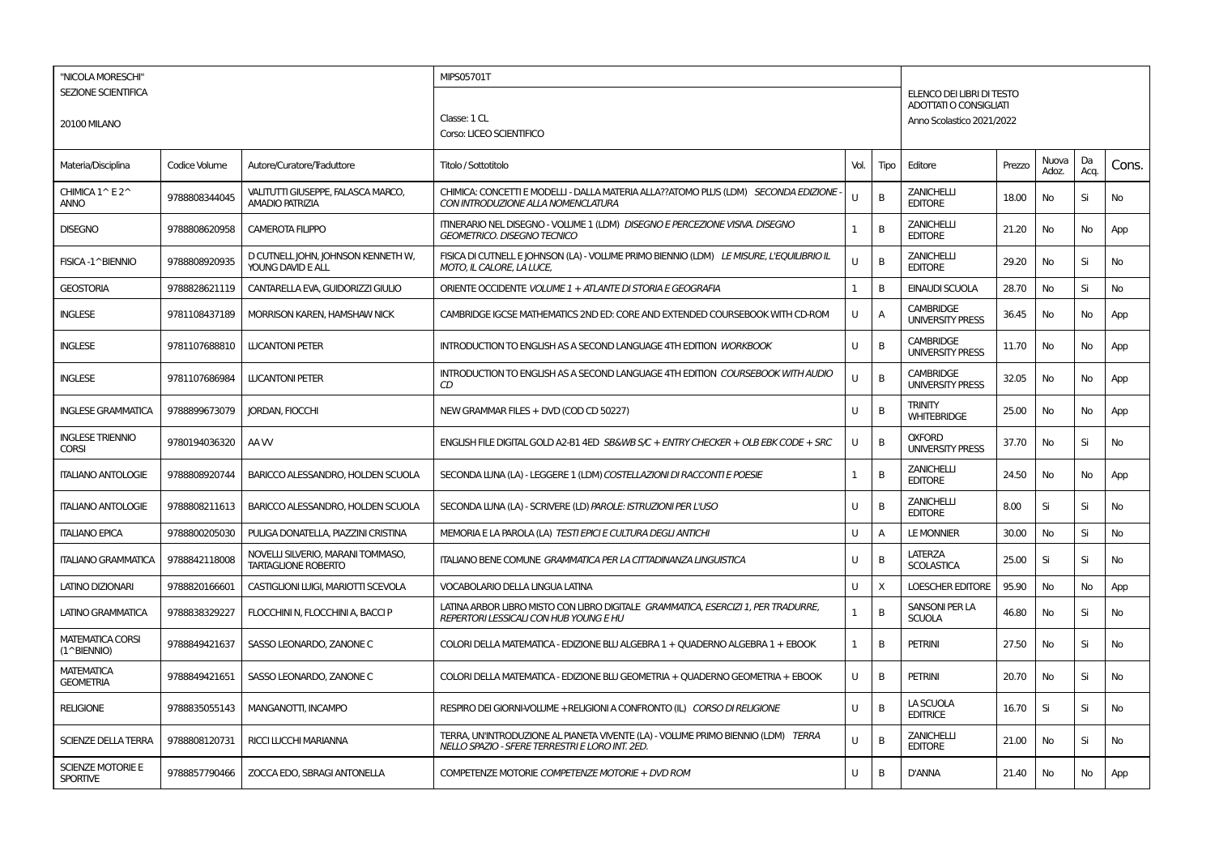| "NICOLA MORESCHI"                           |               |                                                                 | MIPS05701T                                                                                                                           |              |      |                                                     |        |                |            |           |
|---------------------------------------------|---------------|-----------------------------------------------------------------|--------------------------------------------------------------------------------------------------------------------------------------|--------------|------|-----------------------------------------------------|--------|----------------|------------|-----------|
| <b>SEZIONE SCIENTIFICA</b>                  |               |                                                                 |                                                                                                                                      |              |      | ELENCO DEI LIBRI DI TESTO<br>ADOTTATI O CONSIGLIATI |        |                |            |           |
| 20100 MILANO                                |               |                                                                 | Classe: 1 CL                                                                                                                         |              |      | Anno Scolastico 2021/2022                           |        |                |            |           |
|                                             |               |                                                                 | Corso: LICEO SCIENTIFICO                                                                                                             |              |      |                                                     |        |                |            |           |
| Materia/Disciplina                          | Codice Volume | Autore/Curatore/Traduttore                                      | Titolo / Sottotitolo                                                                                                                 | Vol.         | Tipo | Editore                                             | Prezzo | Nuova<br>Adoz. | Da<br>Acq. | Cons.     |
| CHIMICA 1^E2^<br><b>ANNO</b>                | 9788808344045 | VALITUTTI GIUSEPPE, FALASCA MARCO,<br><b>AMADIO PATRIZIA</b>    | CHIMICA: CONCETTI E MODELLI - DALLA MATERIA ALLA??ATOMO PLUS (LDM) SECONDA EDIZIONE<br>CON INTRODUZIONE ALLA NOMENCLATURA            | $\mathbf{H}$ | В    | <b>ZANICHELLI</b><br><b>EDITORE</b>                 | 18.00  | No             | Si         | No        |
| <b>DISEGNO</b>                              | 9788808620958 | CAMEROTA FILIPPO                                                | ITINERARIO NEL DISEGNO - VOLUME 1 (LDM) DISEGNO E PERCEZIONE VISIVA. DISEGNO<br><b>GEOMETRICO. DISEGNO TECNICO</b>                   | $\mathbf{1}$ | B    | <b>ZANICHELLI</b><br><b>EDITORE</b>                 | 21.20  | No             | No         | App       |
| FISICA-1^BIENNIO                            | 9788808920935 | D CUTNELL JOHN, JOHNSON KENNETH W,<br>YOUNG DAVID E ALL         | FISICA DI CUTNELLE JOHNSON (LA) - VOLUME PRIMO BIENNIO (LDM) LE MISURE, L'EQUILIBRIO IL<br>MOTO, IL CALORE, LA LUCE,                 | U            | B    | <b>ZANICHELLI</b><br><b>EDITORE</b>                 | 29.20  | No             | Si         | No        |
| <b>GEOSTORIA</b>                            | 9788828621119 | CANTARELLA EVA, GUIDORIZZI GIULIO                               | ORIENTE OCCIDENTE VOLUME 1 + ATLANTE DI STORIA E GEOGRAFIA                                                                           | 1            | B    | <b>EINAUDI SCUOLA</b>                               | 28.70  | No             | Si         | No        |
| <b>INGLESE</b>                              | 9781108437189 | MORRISON KAREN, HAMSHAW NICK                                    | CAMBRIDGE IGCSE MATHEMATICS 2ND ED: CORE AND EXTENDED COURSEBOOK WITH CD-ROM                                                         | U            | А    | <b>CAMBRIDGE</b><br><b>UNIVERSITY PRESS</b>         | 36.45  | No             | No         | App       |
| <b>INGLESE</b>                              | 9781107688810 | <b>LUCANTONI PETER</b>                                          | <b>INTRODUCTION TO ENGLISH AS A SECOND LANGUAGE 4TH EDITION WORKBOOK</b>                                                             | U            | B    | <b>CAMBRIDGE</b><br><b>UNIVERSITY PRESS</b>         | 11.70  | No             | No         | App       |
| <b>INGLESE</b>                              | 9781107686984 | <b>LUCANTONI PETER</b>                                          | INTRODUCTION TO ENGLISH AS A SECOND LANGUAGE 4TH EDITION COURSEBOOK WITH AUDIO<br>CD                                                 | $\cup$       | В    | <b>CAMBRIDGE</b><br><b>UNIVERSITY PRESS</b>         | 32.05  | No             | No         | App       |
| <b>INGLESE GRAMMATICA</b>                   | 9788899673079 | JORDAN, FIOCCHI                                                 | NEW GRAMMAR FILES + DVD (COD CD 50227)                                                                                               | U            | B    | TRINITY<br><b>WHITEBRIDGE</b>                       | 25.00  | No             | No         | App       |
| <b>INGLESE TRIENNIO</b><br><b>CORSI</b>     | 9780194036320 | AA W                                                            | ENGLISH FILE DIGITAL GOLD A2-B1 4ED SB&WB S/C + ENTRY CHECKER + OLB EBK CODE + SRC                                                   | U            | B    | <b>OXFORD</b><br><b>UNIVERSITY PRESS</b>            | 37.70  | <b>No</b>      | Si         | No        |
| <b>ITALIANO ANTOLOGIE</b>                   | 9788808920744 | BARICCO ALESSANDRO, HOLDEN SCUOLA                               | SECONDA LUNA (LA) - LEGGERE 1 (LDM) COSTELLAZIONI DI RACCONTI E POESIE                                                               | $\mathbf{1}$ | B    | <b>ZANICHELLI</b><br><b>EDITORE</b>                 | 24.50  | No             | No         | App       |
| <b>ITALIANO ANTOLOGIE</b>                   | 9788808211613 | BARICCO ALESSANDRO, HOLDEN SCUOLA                               | SECONDA LUNA (LA) - SCRIVERE (LD) PAROLE: ISTRUZIONI PER L'USO                                                                       | Ü            | B    | <b>ZANICHELLI</b><br><b>EDITORE</b>                 | 8.00   | Si             | Si         | No        |
| <b>ITALIANO EPICA</b>                       | 9788800205030 | PULIGA DONATELLA, PIAZZINI CRISTINA                             | MEMORIA E LA PAROLA (LA) TESTI EPICI E CULTURA DEGLI ANTICHI                                                                         | U            | A    | <b>LE MONNIER</b>                                   | 30.00  | No             | Si         | No        |
| <b>ITALIANO GRAMMATICA</b>                  | 9788842118008 | NOVELLI SILVERIO, MARANI TOMMASO,<br><b>TARTAGLIONE ROBERTO</b> | ITALIANO BENE COMUNE GRAMMATICA PER LA CITTADINANZA LINGUISTICA                                                                      | U            | B    | LATERZA<br><b>SCOLASTICA</b>                        | 25.00  | Si             | Si         | No        |
| <b>LATINO DIZIONARI</b>                     | 9788820166601 | CASTIGLIONI LUIGI. MARIOTTI SCEVOLA                             | <b>VOCABOLARIO DELLA LINGUA LATINA</b>                                                                                               | U            | X    | <b>LOESCHER EDITORE</b>                             | 95.90  | No             | No         | App       |
| <b>LATINO GRAMMATICA</b>                    | 9788838329227 | FLOCCHINI N, FLOCCHINI A, BACCI P                               | LATINA ARBOR LIBRO MISTO CON LIBRO DIGITALE GRAMMATICA, ESERCIZI 1, PER TRADURRE,<br>REPERTORI LESSICALI CON HUB YOUNG E HU          | $\mathbf{1}$ | B    | <b>SANSONI PER LA</b><br><b>SCUOLA</b>              | 46.80  | No             | Si         | No        |
| <b>MATEMATICA CORSI</b><br>(1^BIENNIO)      | 9788849421637 | SASSO LEONARDO, ZANONE C                                        | COLORI DELLA MATEMATICA - EDIZIONE BLU ALGEBRA 1 + OUADERNO ALGEBRA 1 + EBOOK                                                        | $\mathbf{1}$ | B    | <b>PETRINI</b>                                      | 27.50  | <b>No</b>      | Si         | <b>No</b> |
| <b>MATEMATICA</b><br><b>GEOMETRIA</b>       | 9788849421651 | SASSO LEONARDO, ZANONE C                                        | COLORI DELLA MATEMATICA - EDIZIONE BLU GEOMETRIA + OUADERNO GEOMETRIA + EBOOK                                                        | U            | в    | <b>PETRINI</b>                                      | 20.70  | No             | Si         | No        |
| <b>RELIGIONE</b>                            | 9788835055143 | MANGANOTTI, INCAMPO                                             | RESPIRO DEI GIORNI-VOLUME +RELIGIONI A CONFRONTO (IL) CORSO DI RELIGIONE                                                             | U            | B    | LA SCUOLA<br><b>EDITRICE</b>                        | 16.70  | Si             | Si         | No        |
| <b>SCIENZE DELLA TERRA</b>                  | 9788808120731 | <b>RICCI LUCCHI MARIANNA</b>                                    | TERRA, UN'INTRODUZIONE AL PIANETA VIVENTE (LA) - VOLUME PRIMO BIENNIO (LDM) TERRA<br>NELLO SPAZIO - SFERE TERRESTRI E LORO INT. 2ED. | U            | B    | <b>ZANICHELLI</b><br><b>EDITORE</b>                 | 21.00  | No             | Si         | No        |
| <b>SCIENZE MOTORIE E</b><br><b>SPORTIVE</b> | 9788857790466 | ZOCCA EDO, SBRAGI ANTONELLA                                     | COMPETENZE MOTORIE COMPETENZE MOTORIE + DVD ROM                                                                                      | U            | B    | <b>D'ANNA</b>                                       | 21.40  | No             | No         | App       |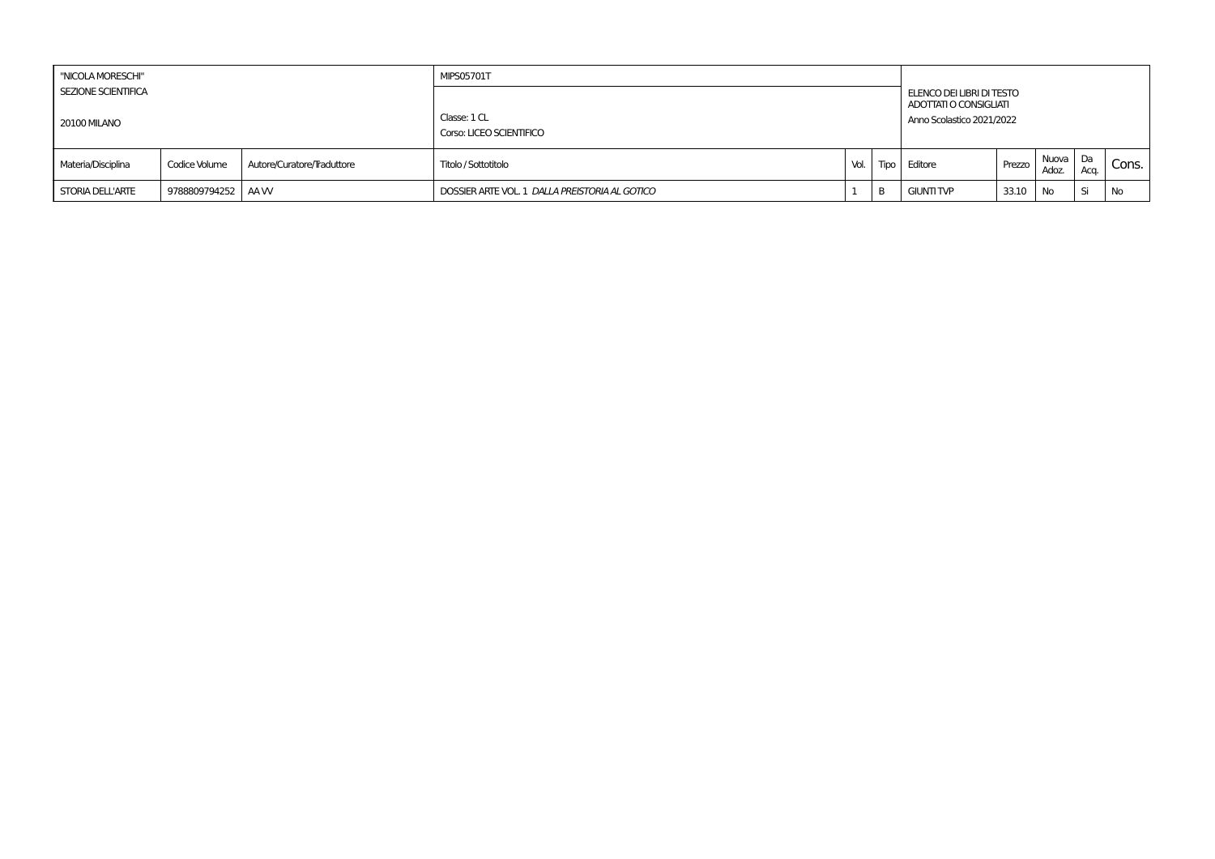| "NICOLA MORESCHI"                                 |                   |                            | <b>MIPS05701T</b>                              |      |   |                                                                                  |        |                   |      |       |
|---------------------------------------------------|-------------------|----------------------------|------------------------------------------------|------|---|----------------------------------------------------------------------------------|--------|-------------------|------|-------|
| <b>SEZIONE SCIENTIFICA</b><br><b>20100 MILANO</b> |                   |                            | Classe: 1 CL<br>Corso: LICEO SCIENTIFICO       |      |   | ELENCO DEI LIBRI DI TESTO<br>ADOTTATI O CONSIGLIATI<br>Anno Scolastico 2021/2022 |        |                   |      |       |
| Materia/Disciplina                                | Codice Volume     | Autore/Curatore/Traduttore | Titolo / Sottotitolo                           | Vol. |   | Tipo Editore                                                                     | Prezzo | Nuova Da<br>Adoz. | Aca. | Cons. |
| <b>STORIA DELL'ARTE</b>                           | 9788809794252 AAW |                            | DOSSIER ARTE VOL. 1 DALLA PREISTORIA AL GOTICO |      | D | <b>GIUNTI TVP</b>                                                                | 33.10  | <b>No</b>         | . Si | No    |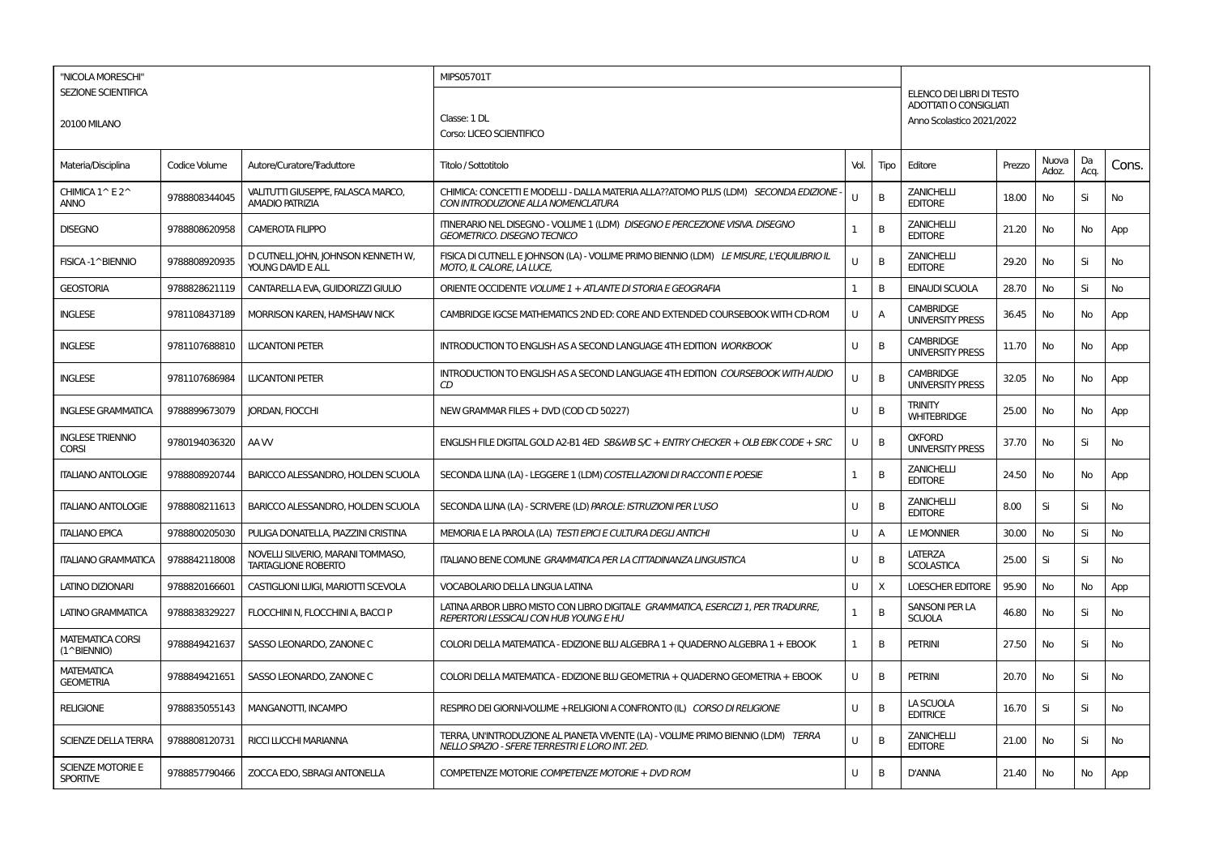| "NICOLA MORESCHI"                           |               |                                                                 | MIPS05701T                                                                                                                           |              |      |                                                     |        |                |            |           |
|---------------------------------------------|---------------|-----------------------------------------------------------------|--------------------------------------------------------------------------------------------------------------------------------------|--------------|------|-----------------------------------------------------|--------|----------------|------------|-----------|
| <b>SEZIONE SCIENTIFICA</b>                  |               |                                                                 |                                                                                                                                      |              |      | ELENCO DEI LIBRI DI TESTO<br>ADOTTATI O CONSIGLIATI |        |                |            |           |
| 20100 MILANO                                |               |                                                                 | Classe: 1 DL                                                                                                                         |              |      | Anno Scolastico 2021/2022                           |        |                |            |           |
|                                             |               |                                                                 | Corso: LICEO SCIENTIFICO                                                                                                             |              |      |                                                     |        |                |            |           |
| Materia/Disciplina                          | Codice Volume | Autore/Curatore/Traduttore                                      | Titolo / Sottotitolo                                                                                                                 | Vol.         | Tipo | Editore                                             | Prezzo | Nuova<br>Adoz. | Da<br>Acq. | Cons.     |
| CHIMICA 1^E2^<br><b>ANNO</b>                | 9788808344045 | VALITUTTI GIUSEPPE, FALASCA MARCO,<br><b>AMADIO PATRIZIA</b>    | CHIMICA: CONCETTI E MODELLI - DALLA MATERIA ALLA??ATOMO PLUS (LDM) SECONDA EDIZIONE<br>CON INTRODUZIONE ALLA NOMENCLATURA            | $\mathbf{H}$ | В    | <b>ZANICHELLI</b><br><b>EDITORE</b>                 | 18.00  | No             | Si         | No        |
| <b>DISEGNO</b>                              | 9788808620958 | CAMEROTA FILIPPO                                                | ITINERARIO NEL DISEGNO - VOLUME 1 (LDM) DISEGNO E PERCEZIONE VISIVA. DISEGNO<br><b>GEOMETRICO. DISEGNO TECNICO</b>                   | $\mathbf{1}$ | B    | <b>ZANICHELLI</b><br><b>EDITORE</b>                 | 21.20  | No             | No         | App       |
| FISICA-1^BIENNIO                            | 9788808920935 | D CUTNELL JOHN, JOHNSON KENNETH W,<br>YOUNG DAVID E ALL         | FISICA DI CUTNELLE JOHNSON (LA) - VOLUME PRIMO BIENNIO (LDM) LE MISURE, L'EQUILIBRIO IL<br>MOTO, IL CALORE, LA LUCE,                 | U            | B    | <b>ZANICHELLI</b><br><b>EDITORE</b>                 | 29.20  | No             | Si         | No        |
| <b>GEOSTORIA</b>                            | 9788828621119 | CANTARELLA EVA, GUIDORIZZI GIULIO                               | ORIENTE OCCIDENTE VOLUME 1 + ATLANTE DI STORIA E GEOGRAFIA                                                                           | 1            | B    | <b>EINAUDI SCUOLA</b>                               | 28.70  | No             | Si         | No        |
| <b>INGLESE</b>                              | 9781108437189 | MORRISON KAREN, HAMSHAW NICK                                    | CAMBRIDGE IGCSE MATHEMATICS 2ND ED: CORE AND EXTENDED COURSEBOOK WITH CD-ROM                                                         | U            | Α    | <b>CAMBRIDGE</b><br><b>UNIVERSITY PRESS</b>         | 36.45  | No             | No         | App       |
| <b>INGLESE</b>                              | 9781107688810 | <b>LUCANTONI PETER</b>                                          | <b>INTRODUCTION TO ENGLISH AS A SECOND LANGUAGE 4TH EDITION WORKBOOK</b>                                                             | U            | B    | <b>CAMBRIDGE</b><br><b>UNIVERSITY PRESS</b>         | 11.70  | No             | No         | App       |
| <b>INGLESE</b>                              | 9781107686984 | <b>LUCANTONI PETER</b>                                          | INTRODUCTION TO ENGLISH AS A SECOND LANGUAGE 4TH EDITION COURSEBOOK WITH AUDIO<br>CD                                                 | $\cup$       | В    | <b>CAMBRIDGE</b><br><b>UNIVERSITY PRESS</b>         | 32.05  | No             | No         | App       |
| <b>INGLESE GRAMMATICA</b>                   | 9788899673079 | JORDAN, FIOCCHI                                                 | NEW GRAMMAR FILES + DVD (COD CD 50227)                                                                                               | U            | B    | TRINITY<br><b>WHITEBRIDGE</b>                       | 25.00  | No             | No         | App       |
| <b>INGLESE TRIENNIO</b><br><b>CORSI</b>     | 9780194036320 | AA W                                                            | ENGLISH FILE DIGITAL GOLD A2-B1 4ED SB&WB S/C + ENTRY CHECKER + OLB EBK CODE + SRC                                                   | U            | B    | <b>OXFORD</b><br><b>UNIVERSITY PRESS</b>            | 37.70  | <b>No</b>      | Si         | No        |
| <b>ITALIANO ANTOLOGIE</b>                   | 9788808920744 | BARICCO ALESSANDRO, HOLDEN SCUOLA                               | SECONDA LUNA (LA) - LEGGERE 1 (LDM) COSTELLAZIONI DI RACCONTI E POESIE                                                               | $\mathbf{1}$ | B    | <b>ZANICHELLI</b><br><b>EDITORE</b>                 | 24.50  | No             | No         | App       |
| <b>ITALIANO ANTOLOGIE</b>                   | 9788808211613 | BARICCO ALESSANDRO, HOLDEN SCUOLA                               | SECONDA LUNA (LA) - SCRIVERE (LD) PAROLE: ISTRUZIONI PER L'USO                                                                       | Ü            | B    | <b>ZANICHELLI</b><br><b>EDITORE</b>                 | 8.00   | Si             | Si         | No        |
| <b>ITALIANO EPICA</b>                       | 9788800205030 | PULIGA DONATELLA, PIAZZINI CRISTINA                             | MEMORIA E LA PAROLA (LA) TESTI EPICI E CULTURA DEGLI ANTICHI                                                                         | U            | A    | <b>LE MONNIER</b>                                   | 30.00  | No             | Si         | No        |
| <b>ITALIANO GRAMMATICA</b>                  | 9788842118008 | NOVELLI SILVERIO, MARANI TOMMASO,<br><b>TARTAGLIONE ROBERTO</b> | ITALIANO BENE COMUNE GRAMMATICA PER LA CITTADINANZA LINGUISTICA                                                                      | U            | B    | LATERZA<br><b>SCOLASTICA</b>                        | 25.00  | Si             | Si         | No        |
| <b>LATINO DIZIONARI</b>                     | 9788820166601 | CASTIGLIONI LUIGI. MARIOTTI SCEVOLA                             | <b>VOCABOLARIO DELLA LINGUA LATINA</b>                                                                                               | U            | Χ    | <b>LOESCHER EDITORE</b>                             | 95.90  | No             | No         | App       |
| <b>LATINO GRAMMATICA</b>                    | 9788838329227 | FLOCCHINI N, FLOCCHINI A, BACCI P                               | LATINA ARBOR LIBRO MISTO CON LIBRO DIGITALE GRAMMATICA, ESERCIZI 1, PER TRADURRE,<br>REPERTORI LESSICALI CON HUB YOUNG E HU          | $\mathbf{1}$ | B    | <b>SANSONI PER LA</b><br><b>SCUOLA</b>              | 46.80  | No             | Si         | No        |
| <b>MATEMATICA CORSI</b><br>(1^BIENNIO)      | 9788849421637 | SASSO LEONARDO, ZANONE C                                        | COLORI DELLA MATEMATICA - EDIZIONE BLU ALGEBRA 1 + OUADERNO ALGEBRA 1 + EBOOK                                                        | $\mathbf{1}$ | B    | <b>PETRINI</b>                                      | 27.50  | <b>No</b>      | Si         | <b>No</b> |
| <b>MATEMATICA</b><br><b>GEOMETRIA</b>       | 9788849421651 | SASSO LEONARDO, ZANONE C                                        | COLORI DELLA MATEMATICA - EDIZIONE BLU GEOMETRIA + OUADERNO GEOMETRIA + EBOOK                                                        | U            | в    | <b>PETRINI</b>                                      | 20.70  | No             | Si         | No        |
| <b>RELIGIONE</b>                            | 9788835055143 | MANGANOTTI, INCAMPO                                             | RESPIRO DEI GIORNI-VOLUME +RELIGIONI A CONFRONTO (IL) CORSO DI RELIGIONE                                                             | U            | B    | LA SCUOLA<br><b>EDITRICE</b>                        | 16.70  | Si             | Si         | No        |
| <b>SCIENZE DELLA TERRA</b>                  | 9788808120731 | <b>RICCI LUCCHI MARIANNA</b>                                    | TERRA, UN'INTRODUZIONE AL PIANETA VIVENTE (LA) - VOLUME PRIMO BIENNIO (LDM) TERRA<br>NELLO SPAZIO - SFERE TERRESTRI E LORO INT. 2ED. | U            | B    | <b>ZANICHELLI</b><br><b>EDITORE</b>                 | 21.00  | No             | Si         | No        |
| <b>SCIENZE MOTORIE E</b><br><b>SPORTIVE</b> | 9788857790466 | ZOCCA EDO, SBRAGI ANTONELLA                                     | COMPETENZE MOTORIE COMPETENZE MOTORIE + DVD ROM                                                                                      | U            | B    | <b>D'ANNA</b>                                       | 21.40  | No             | No         | App       |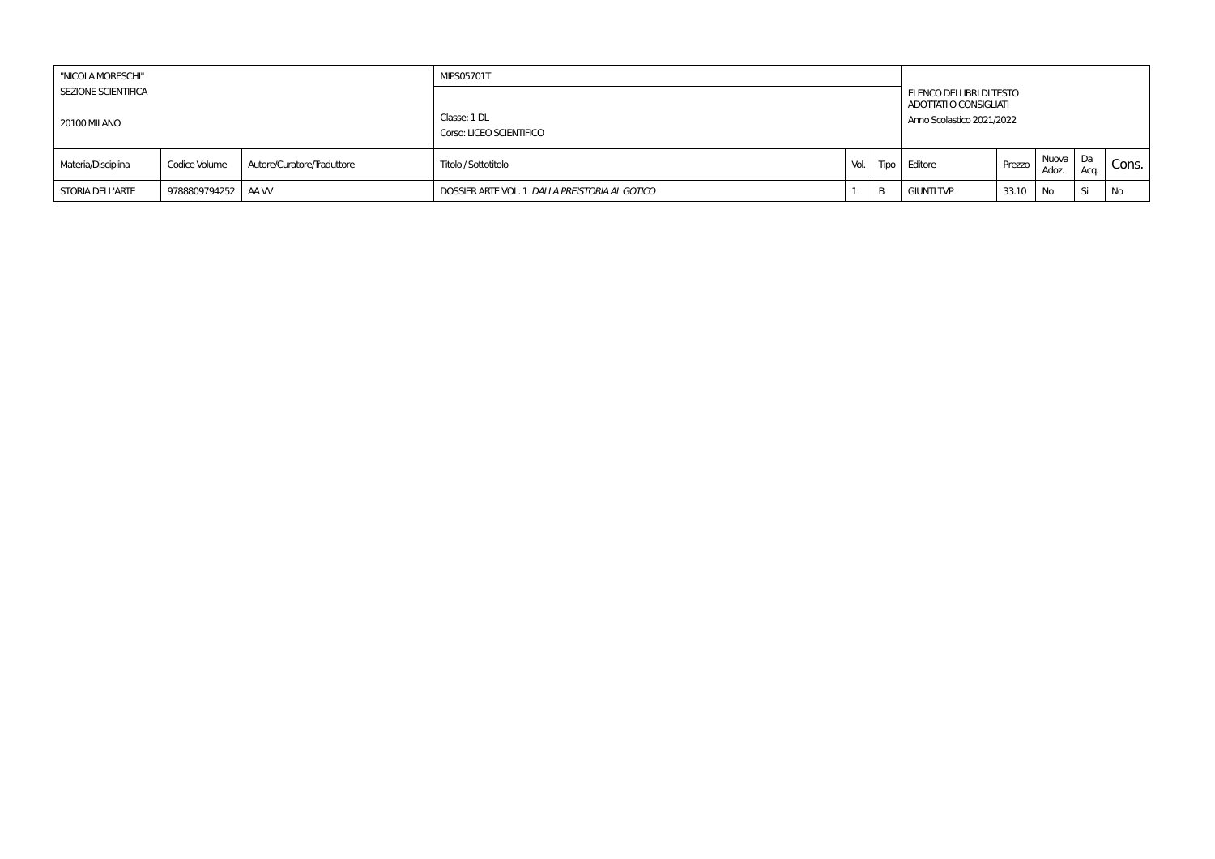| "NICOLA MORESCHI"                          |                     |                            | <b>MIPS05701T</b>                              |        |   |                                                                                  |        |                   |      |       |
|--------------------------------------------|---------------------|----------------------------|------------------------------------------------|--------|---|----------------------------------------------------------------------------------|--------|-------------------|------|-------|
| <b>SEZIONE SCIENTIFICA</b><br>20100 MILANO |                     |                            | Classe: 1 DL<br>Corso: LICEO SCIENTIFICO       |        |   | ELENCO DEI LIBRI DI TESTO<br>ADOTTATI O CONSIGLIATI<br>Anno Scolastico 2021/2022 |        |                   |      |       |
| Materia/Disciplina                         | Codice Volume       | Autore/Curatore/Traduttore | Titolo / Sottotitolo                           | Vol. I |   | Tipo Editore                                                                     | Prezzo | Nuova Da<br>Adoz. | Acq. | Cons. |
| <b>STORIA DELL'ARTE</b>                    | 9788809794252   AAW |                            | DOSSIER ARTE VOL. 1 DALLA PREISTORIA AL GOTICO |        | B | <b>GIUNTI TVP</b>                                                                | 33.10  | <b>No</b>         | Si   | No    |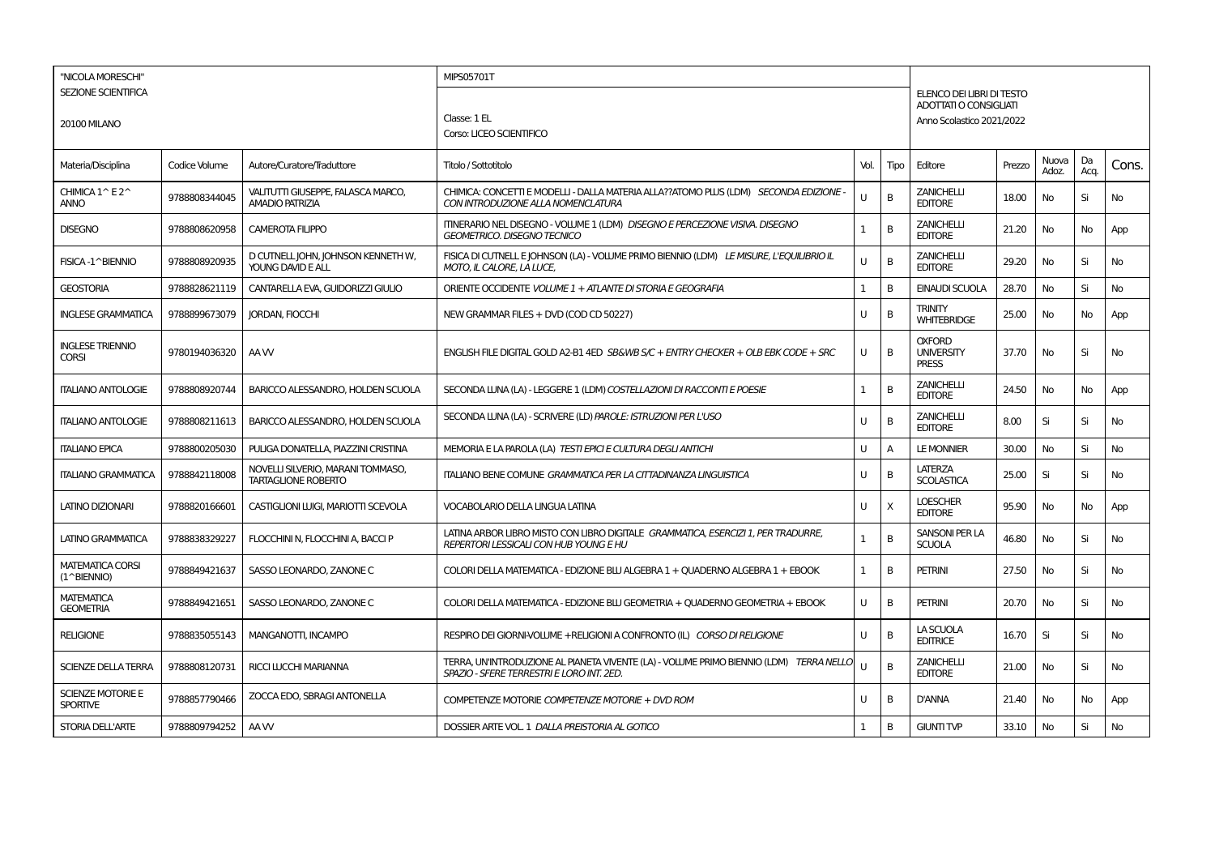| "NICOLA MORESCHI"                           |               |                                                                 | MIPS05701T                                                                                                                           |              |      |                                                    |        |                |            |           |
|---------------------------------------------|---------------|-----------------------------------------------------------------|--------------------------------------------------------------------------------------------------------------------------------------|--------------|------|----------------------------------------------------|--------|----------------|------------|-----------|
| <b>SEZIONE SCIENTIFICA</b>                  |               |                                                                 |                                                                                                                                      |              |      | ELENCO DEI LIBRI DI TESTO                          |        |                |            |           |
|                                             |               |                                                                 | Classe: 1 EL                                                                                                                         |              |      | ADOTTATI O CONSIGLIATI                             |        |                |            |           |
| <b>20100 MILANO</b>                         |               |                                                                 | Corso: LICEO SCIENTIFICO                                                                                                             |              |      | Anno Scolastico 2021/2022                          |        |                |            |           |
|                                             |               |                                                                 |                                                                                                                                      |              |      |                                                    |        |                |            |           |
| Materia/Disciplina                          | Codice Volume | Autore/Curatore/Traduttore                                      | Titolo / Sottotitolo                                                                                                                 | Vol.         | Tipo | Editore                                            | Prezzo | Nuova<br>Adoz. | Da<br>Acq. | Cons.     |
| CHIMICA 1^ E2^<br><b>ANNO</b>               | 9788808344045 | VALITUTTI GIUSEPPE, FALASCA MARCO,<br><b>AMADIO PATRIZIA</b>    | CHIMICA: CONCETTI E MODELLI - DALLA MATERIA ALLA??ATOMO PLUS (LDM) SECONDA EDIZIONE -<br>CON INTRODUZIONE ALLA NOMENCLATURA          | U            | В    | <b>ZANICHELLI</b><br><b>EDITORE</b>                | 18.00  | No             | Si         | No        |
| <b>DISEGNO</b>                              | 9788808620958 | <b>CAMEROTA FILIPPO</b>                                         | ITINERARIO NEL DISEGNO - VOLUME 1 (LDM) DISEGNO E PERCEZIONE VISIVA. DISEGNO<br><b>GEOMETRICO. DISEGNO TECNICO</b>                   | $\mathbf{1}$ | B    | <b>ZANICHELLI</b><br><b>EDITORE</b>                | 21.20  | No             | No         | App       |
| FISICA-1^BIENNIO                            | 9788808920935 | D CUTNELL JOHN, JOHNSON KENNETH W<br>YOUNG DAVID E ALL          | FISICA DI CUTNELLE JOHNSON (LA) - VOLUME PRIMO BIENNIO (LDM) LE MISURE, L'EQUILIBRIO IL<br>MOTO, IL CALORE, LA LUCE,                 | U            | B    | <b>ZANICHELLI</b><br><b>EDITORE</b>                | 29.20  | No             | Si         | No        |
| <b>GEOSTORIA</b>                            | 9788828621119 | CANTARELLA EVA, GUIDORIZZI GIULIO                               | ORIENTE OCCIDENTE VOLUME 1 + ATLANTE DI STORIA E GEOGRAFIA                                                                           | 1            | B    | <b>EINAUDI SCUOLA</b>                              | 28.70  | No             | Si         | <b>No</b> |
| <b>INGLESE GRAMMATICA</b>                   | 9788899673079 | <b>JORDAN, FIOCCHI</b>                                          | NEW GRAMMAR FILES + DVD (COD CD 50227)                                                                                               | U            | В    | <b>TRINITY</b><br><b>WHITEBRIDGE</b>               | 25.00  | No             | No         | App       |
| <b>INGLESE TRIENNIO</b><br><b>CORSI</b>     | 9780194036320 | AA W                                                            | ENGLISH FILE DIGITAL GOLD A2-B1 4ED SB&WB S/C + ENTRY CHECKER + OLB EBK CODE + SRC                                                   | U            | B    | <b>OXFORD</b><br><b>UNIVERSITY</b><br><b>PRESS</b> | 37.70  | No             | Si         | <b>No</b> |
| <b>ITALIANO ANTOLOGIE</b>                   | 9788808920744 | BARICCO ALESSANDRO, HOLDEN SCUOLA                               | SECONDA LUNA (LA) - LEGGERE 1 (LDM) COSTELLAZIONI DI RACCONTI E POESIE                                                               | 1            | В    | <b>ZANICHELLI</b><br><b>EDITORE</b>                | 24.50  | No             | No         | App       |
| <b>ITALIANO ANTOLOGIE</b>                   | 9788808211613 | BARICCO ALESSANDRO, HOLDEN SCUOLA                               | SECONDA LUNA (LA) - SCRIVERE (LD) PAROLE: ISTRUZIONI PER L'USO                                                                       | U            | В    | <b>ZANICHELLI</b><br><b>EDITORE</b>                | 8.00   | Si             | Si         | No        |
| <b>ITALIANO EPICA</b>                       | 9788800205030 | PULIGA DONATELLA, PIAZZINI CRISTINA                             | MEMORIA E LA PAROLA (LA) TESTI EPICI E CULTURA DEGLI ANTICHI                                                                         | U            | A    | <b>LE MONNIER</b>                                  | 30.00  | No             | Si         | <b>No</b> |
| <b>ITALIANO GRAMMATICA</b>                  | 9788842118008 | NOVELLI SILVERIO, MARANI TOMMASO,<br><b>TARTAGLIONE ROBERTO</b> | ITALIANO BENE COMUNE GRAMMATICA PER LA CITTADINANZA LINGUISTICA                                                                      | U            | B    | <b>LATERZA</b><br><b>SCOLASTICA</b>                | 25.00  | Si             | Si         | No        |
| LATINO DIZIONARI                            | 9788820166601 | CASTIGLIONI LUIGI, MARIOTTI SCEVOLA                             | <b>VOCABOLARIO DELLA LINGUA LATINA</b>                                                                                               | U            | X    | <b>LOESCHER</b><br><b>EDITORE</b>                  | 95.90  | No             | No         | App       |
| LATINO GRAMMATICA                           | 9788838329227 | FLOCCHINI N, FLOCCHINI A, BACCI P                               | LATINA ARBOR LIBRO MISTO CON LIBRO DIGITALE GRAMMATICA, ESERCIZI 1, PER TRADURRE,<br><b>REPERTORI LESSICALI CON HUB YOUNG E HU</b>   | 1            | B    | <b>SANSONI PER LA</b><br><b>SCUOLA</b>             | 46.80  | No             | Si         | No        |
| <b>MATEMATICA CORSI</b><br>(1^BIENNIO)      | 9788849421637 | SASSO LEONARDO, ZANONE C                                        | COLORI DELLA MATEMATICA - EDIZIONE BLU ALGEBRA 1 + QUADERNO ALGEBRA 1 + EBOOK                                                        | $\mathbf{1}$ | B    | <b>PETRINI</b>                                     | 27.50  | No             | Si         | No        |
| <b>MATEMATICA</b><br><b>GEOMETRIA</b>       | 9788849421651 | SASSO LEONARDO, ZANONE C                                        | COLORI DELLA MATEMATICA - EDIZIONE BLU GEOMETRIA + QUADERNO GEOMETRIA + EBOOK                                                        | U            | B    | <b>PETRINI</b>                                     | 20.70  | No             | Si         | No        |
| <b>RELIGIONE</b>                            | 9788835055143 | <b>MANGANOTTI, INCAMPO</b>                                      | RESPIRO DEI GIORNI-VOLUME +RELIGIONI A CONFRONTO (IL) CORSO DI RELIGIONE                                                             | U            | B    | LA SCUOLA<br><b>EDITRICE</b>                       | 16.70  | Si             | Si         | No        |
| SCIENZE DELLA TERRA                         | 9788808120731 | RICCI LUCCHI MARIANNA                                           | TERRA, UN'INTRODUZIONE AL PIANETA VIVENTE (LA) - VOLUME PRIMO BIENNIO (LDM) TERRA NELLO<br>SPAZIO - SFERE TERRESTRI E LORO INT. 2ED. | U            | B    | <b>ZANICHELLI</b><br><b>EDITORE</b>                | 21.00  | No             | Si         | <b>No</b> |
| <b>SCIENZE MOTORIE E</b><br><b>SPORTIVE</b> | 9788857790466 | ZOCCA EDO. SBRAGI ANTONELLA                                     | COMPETENZE MOTORIE COMPETENZE MOTORIE + DVD ROM                                                                                      | U            | B    | <b>D'ANNA</b>                                      | 21.40  | No             | No         | App       |
| <b>STORIA DELL'ARTE</b>                     | 9788809794252 | AA W                                                            | DOSSIER ARTE VOL. 1 DALLA PREISTORIA AL GOTICO                                                                                       | 1            | В    | <b>GIUNTI TVP</b>                                  | 33.10  | No             | Si         | No        |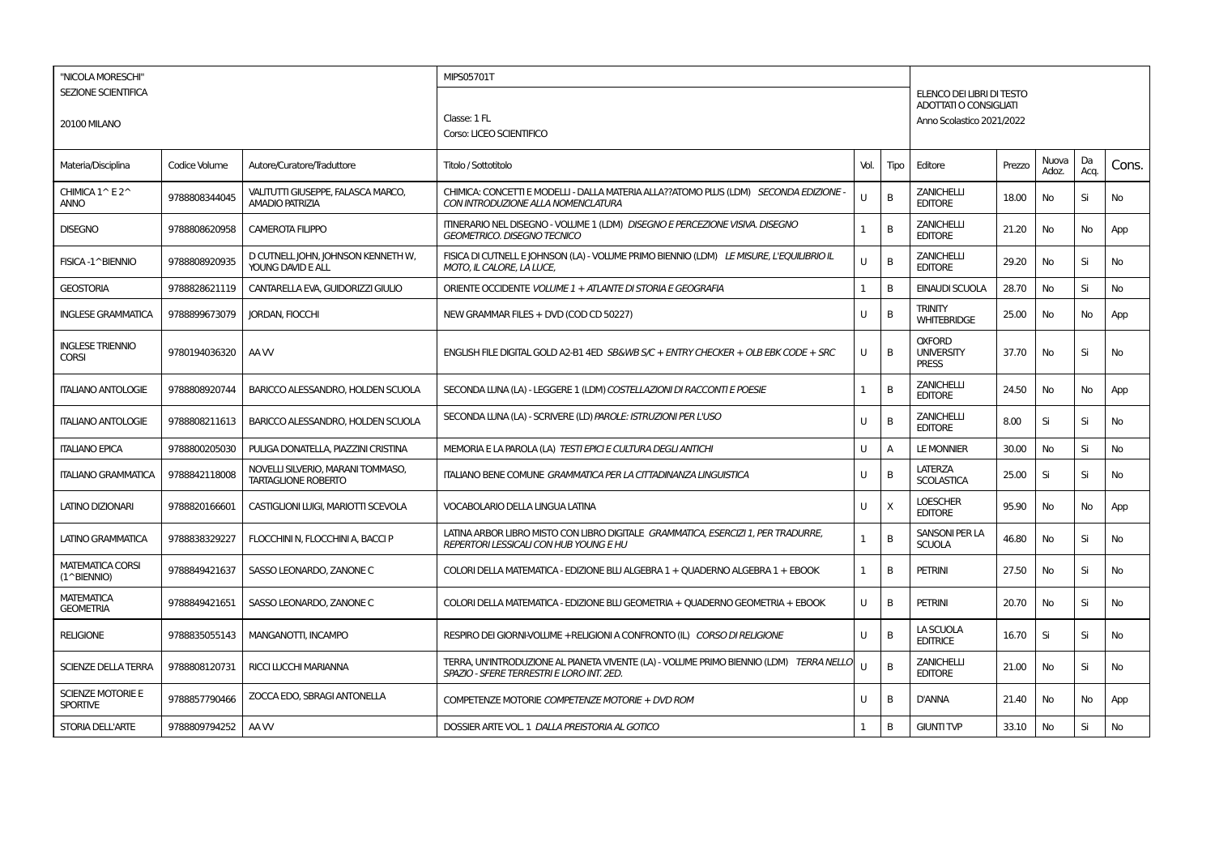| "NICOLA MORESCHI"                           |               |                                                                 | MIPS05701T                                                                                                                           |              |      |                                                    |        |                |            |           |
|---------------------------------------------|---------------|-----------------------------------------------------------------|--------------------------------------------------------------------------------------------------------------------------------------|--------------|------|----------------------------------------------------|--------|----------------|------------|-----------|
| <b>SEZIONE SCIENTIFICA</b>                  |               |                                                                 |                                                                                                                                      |              |      | ELENCO DEI LIBRI DI TESTO                          |        |                |            |           |
|                                             |               |                                                                 |                                                                                                                                      |              |      | ADOTTATI O CONSIGLIATI                             |        |                |            |           |
| <b>20100 MILANO</b>                         |               |                                                                 | Classe: 1 FL                                                                                                                         |              |      | Anno Scolastico 2021/2022                          |        |                |            |           |
|                                             |               |                                                                 | Corso: LICEO SCIENTIFICO                                                                                                             |              |      |                                                    |        |                |            |           |
| Materia/Disciplina                          | Codice Volume | Autore/Curatore/Traduttore                                      | Titolo / Sottotitolo                                                                                                                 | Vol.         | Tipo | Editore                                            | Prezzo | Nuova<br>Adoz. | Da<br>Acq. | Cons.     |
| CHIMICA 1^ E2^<br><b>ANNO</b>               | 9788808344045 | VALITUTTI GIUSEPPE, FALASCA MARCO,<br><b>AMADIO PATRIZIA</b>    | CHIMICA: CONCETTI E MODELLI - DALLA MATERIA ALLA??ATOMO PLUS (LDM) SECONDA EDIZIONE -<br>CON INTRODUZIONE ALLA NOMENCLATURA          | U            | B    | <b>ZANICHELLI</b><br><b>EDITORE</b>                | 18.00  | No             | Si         | No        |
| <b>DISEGNO</b>                              | 9788808620958 | <b>CAMEROTA FILIPPO</b>                                         | ITINERARIO NEL DISEGNO - VOLUME 1 (LDM) DISEGNO E PERCEZIONE VISIVA. DISEGNO<br><b>GEOMETRICO, DISEGNO TECNICO</b>                   | 1            | B    | <b>ZANICHELLI</b><br><b>EDITORE</b>                | 21.20  | No             | No         | App       |
| FISICA-1^BIENNIO                            | 9788808920935 | D CUTNELL JOHN, JOHNSON KENNETH W,<br>YOUNG DAVID E ALL         | FISICA DI CUTNELL E JOHNSON (LA) - VOLUME PRIMO BIENNIO (LDM) LE MISURE, L'EQUILIBRIO IL<br>MOTO. IL CALORE. LA LUCE.                | U            | B    | <b>ZANICHELLI</b><br><b>EDITORE</b>                | 29.20  | No             | Si         | No        |
| <b>GEOSTORIA</b>                            | 9788828621119 | CANTARELLA EVA, GUIDORIZZI GIULIO                               | ORIENTE OCCIDENTE VOLUME 1 + ATLANTE DI STORIA E GEOGRAFIA                                                                           | 1            | B    | <b>EINAUDI SCUOLA</b>                              | 28.70  | No             | Si         | No        |
| <b>INGLESE GRAMMATICA</b>                   | 9788899673079 | <b>JORDAN, FIOCCHI</b>                                          | NEW GRAMMAR FILES + DVD (COD CD 50227)                                                                                               | U            | B    | <b>TRINITY</b><br><b>WHITEBRIDGE</b>               | 25.00  | No             | No         | App       |
| <b>INGLESE TRIENNIO</b><br><b>CORSI</b>     | 9780194036320 | AA W                                                            | ENGLISH FILE DIGITAL GOLD A2-B1 4ED SB&WB S/C + ENTRY CHECKER + OLB EBK CODE + SRC                                                   | U            | B    | <b>OXFORD</b><br><b>UNIVERSITY</b><br><b>PRESS</b> | 37.70  | No             | Si         | <b>No</b> |
| <b>ITALIANO ANTOLOGIE</b>                   | 9788808920744 | BARICCO ALESSANDRO. HOLDEN SCUOLA                               | SECONDA LUNA (LA) - LEGGERE 1 (LDM) COSTELLAZIONI DI RACCONTI E POESIE                                                               | 1            | B    | <b>ZANICHELLI</b><br><b>EDITORE</b>                | 24.50  | No             | No.        | App       |
| <b>ITALIANO ANTOLOGIE</b>                   | 9788808211613 | BARICCO ALESSANDRO, HOLDEN SCUOLA                               | SECONDA LUNA (LA) - SCRIVERE (LD) PAROLE: ISTRUZIONI PER L'USO                                                                       | U            | В    | <b>ZANICHELLI</b><br><b>EDITORE</b>                | 8.00   | Si             | Si         | No        |
| <b>ITALIANO EPICA</b>                       | 9788800205030 | PULIGA DONATELLA, PIAZZINI CRISTINA                             | MEMORIA E LA PAROLA (LA) TESTI EPICI E CULTURA DEGLI ANTICHI                                                                         | U            | Α    | <b>LE MONNIER</b>                                  | 30.00  | No             | Si         | No        |
| <b>ITALIANO GRAMMATICA</b>                  | 9788842118008 | NOVELLI SILVERIO, MARANI TOMMASO,<br><b>TARTAGLIONE ROBERTO</b> | ITALIANO BENE COMUNE GRAMMATICA PER LA CITTADINANZA LINGUISTICA                                                                      | U            | B    | <b>LATERZA</b><br><b>SCOLASTICA</b>                | 25.00  | Si             | Si         | <b>No</b> |
| LATINO DIZIONARI                            | 9788820166601 | CASTIGLIONI LUIGI, MARIOTTI SCEVOLA                             | <b>VOCABOLARIO DELLA LINGUA LATINA</b>                                                                                               | U            | X    | <b>LOESCHER</b><br><b>EDITORE</b>                  | 95.90  | No             | No         | App       |
| <b>LATINO GRAMMATICA</b>                    | 9788838329227 | FLOCCHINI N, FLOCCHINI A, BACCI P                               | LATINA ARBOR LIBRO MISTO CON LIBRO DIGITALE GRAMMATICA, ESERCIZI 1, PER TRADURRE,<br><b>REPERTORI LESSICALI CON HUB YOUNG E HU</b>   | 1            | B    | SANSONI PER LA<br><b>SCUOLA</b>                    | 46.80  | No             | Si         | <b>No</b> |
| <b>MATEMATICA CORSI</b><br>(1^BIENNIO)      | 9788849421637 | SASSO LEONARDO, ZANONE C                                        | COLORI DELLA MATEMATICA - EDIZIONE BLU ALGEBRA 1 + QUADERNO ALGEBRA 1 + EBOOK                                                        | $\mathbf{1}$ | B    | <b>PETRINI</b>                                     | 27.50  | No             | Si         | No        |
| <b>MATEMATICA</b><br><b>GEOMETRIA</b>       | 9788849421651 | SASSO LEONARDO, ZANONE C                                        | COLORI DELLA MATEMATICA - EDIZIONE BLU GEOMETRIA + QUADERNO GEOMETRIA + EBOOK                                                        | U            | B    | <b>PETRINI</b>                                     | 20.70  | No             | Si         | No        |
| <b>RELIGIONE</b>                            | 9788835055143 | <b>MANGANOTTI, INCAMPO</b>                                      | RESPIRO DEI GIORNI-VOLUME +RELIGIONI A CONFRONTO (IL) CORSO DI RELIGIONE                                                             | U            | B    | LA SCUOLA<br><b>EDITRICE</b>                       | 16.70  | Si             | Si         | <b>No</b> |
| SCIENZE DELLA TERRA                         | 9788808120731 | RICCI LUCCHI MARIANNA                                           | TERRA, UN'INTRODUZIONE AL PIANETA VIVENTE (LA) - VOLUME PRIMO BIENNIO (LDM) TERRA NELLO<br>SPAZIO - SFERE TERRESTRI E LORO INT. 2ED. | U            | B    | <b>ZANICHELLI</b><br><b>EDITORE</b>                | 21.00  | No             | Si         | <b>No</b> |
| <b>SCIENZE MOTORIE E</b><br><b>SPORTIVE</b> | 9788857790466 | ZOCCA EDO. SBRAGI ANTONELLA                                     | COMPETENZE MOTORIE COMPETENZE MOTORIE + DVD ROM                                                                                      | U            | B    | <b>D'ANNA</b>                                      | 21.40  | No             | No         | App       |
| <b>STORIA DELL'ARTE</b>                     | 9788809794252 | AA W                                                            | DOSSIER ARTE VOL. 1 DALLA PREISTORIA AL GOTICO                                                                                       | 1            | В    | <b>GIUNTI TVP</b>                                  | 33.10  | No             | Si         | No        |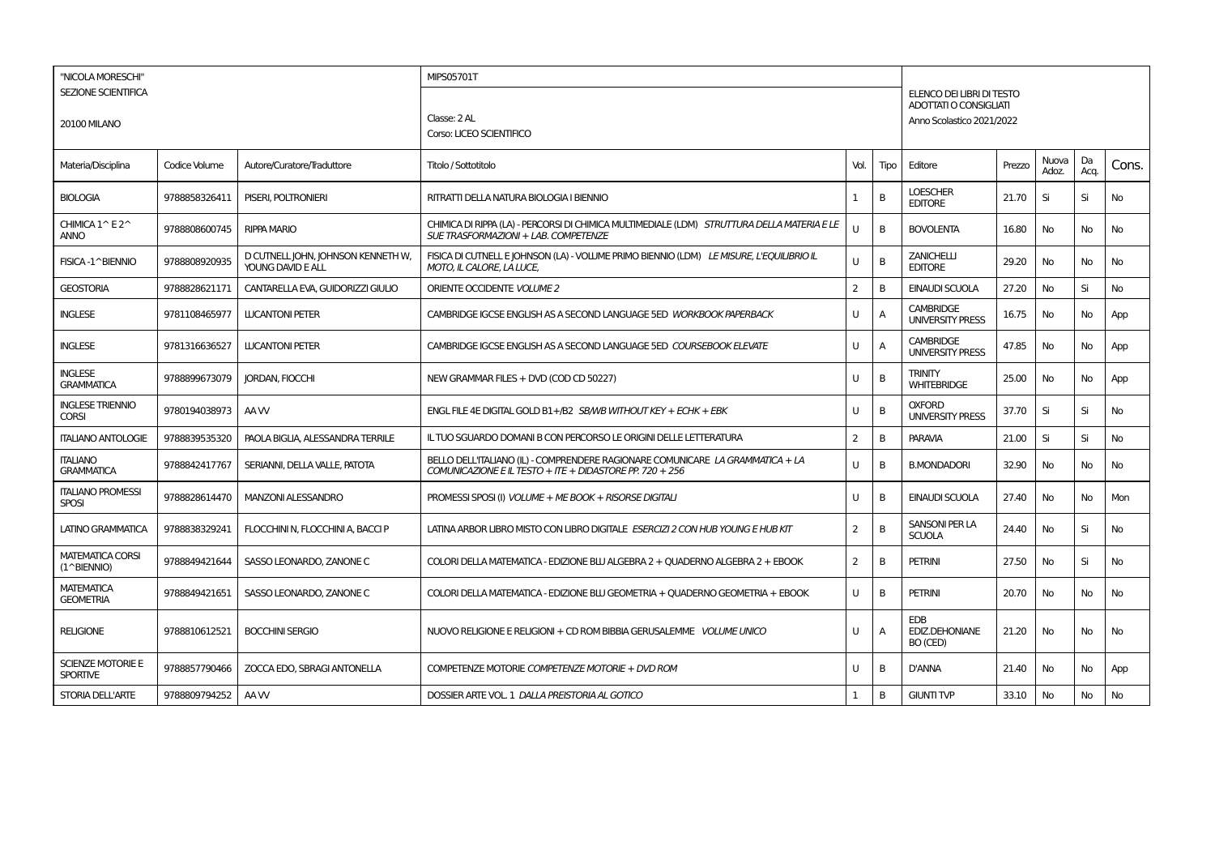| "NICOLA MORESCHI"                           |               |                                                         | MIPS05701T                                                                                                                                 |                |      |                                                            |        |                |            |           |
|---------------------------------------------|---------------|---------------------------------------------------------|--------------------------------------------------------------------------------------------------------------------------------------------|----------------|------|------------------------------------------------------------|--------|----------------|------------|-----------|
| <b>SEZIONE SCIENTIFICA</b>                  |               |                                                         |                                                                                                                                            |                |      | ELENCO DEI LIBRI DI TESTO<br><b>ADOTTATI O CONSIGLIATI</b> |        |                |            |           |
| <b>20100 MILANO</b>                         |               |                                                         | Classe: 2 AL                                                                                                                               |                |      | Anno Scolastico 2021/2022                                  |        |                |            |           |
|                                             |               |                                                         | Corso: LICEO SCIENTIFICO                                                                                                                   |                |      |                                                            |        |                |            |           |
| Materia/Disciplina                          | Codice Volume | Autore/Curatore/Traduttore                              | Titolo / Sottotitolo                                                                                                                       | Vol.           | Tipo | Editore                                                    | Prezzo | Nuova<br>Adoz. | Da<br>Acq. | Cons.     |
| <b>BIOLOGIA</b>                             | 9788858326411 | PISERI, POLTRONIERI                                     | RITRATTI DELLA NATURA BIOLOGIA I BIENNIO                                                                                                   |                | B    | <b>LOESCHER</b><br><b>EDITORE</b>                          | 21.70  | Si             | Si         | No        |
| CHIMICA 1^E2^<br><b>ANNO</b>                | 9788808600745 | <b>RIPPA MARIO</b>                                      | CHIMICA DI RIPPA (LA) - PERCORSI DI CHIMICA MULTIMEDIALE (LDM) STRUTTURA DELLA MATERIA E LE<br>SUE TRASFORMAZIONI + LAB. COMPETENZE        | $\mathbf{U}$   | B    | <b>BOVOLENTA</b>                                           | 16.80  | <b>No</b>      | No         | <b>No</b> |
| FISICA-1^BIENNIO                            | 9788808920935 | D CUTNELL JOHN, JOHNSON KENNETH W,<br>YOUNG DAVID E ALL | FISICA DI CUTNELLE JOHNSON (LA) - VOLUME PRIMO BIENNIO (LDM) LE MISURE, L'EQUILIBRIO IL<br><b>MOTO. IL CALORE. LA LUCE.</b>                | U              | B    | <b>ZANICHELLI</b><br><b>EDITORE</b>                        | 29.20  | <b>No</b>      | No         | No        |
| <b>GEOSTORIA</b>                            | 9788828621171 | CANTARELLA EVA, GUIDORIZZI GIULIO                       | ORIENTE OCCIDENTE VOLUME 2                                                                                                                 | 2              | B    | <b>EINAUDI SCUOLA</b>                                      | 27.20  | No             | Si         | No        |
| <b>INGLESE</b>                              | 9781108465977 | <b>LUCANTONI PETER</b>                                  | CAMBRIDGE IGCSE ENGLISH AS A SECOND LANGUAGE 5ED WORKBOOK PAPERBACK                                                                        | U              | A    | <b>CAMBRIDGE</b><br><b>UNIVERSITY PRESS</b>                | 16.75  | No             | No         | App       |
| <b>INGLESE</b>                              | 9781316636527 | <b>LUCANTONI PETER</b>                                  | CAMBRIDGE IGCSE ENGLISH AS A SECOND LANGUAGE 5ED COURSEBOOK ELEVATE                                                                        | U              | A    | <b>CAMBRIDGE</b><br><b>UNIVERSITY PRESS</b>                | 47.85  | No             | No         | App       |
| <b>INGLESE</b><br><b>GRAMMATICA</b>         | 9788899673079 | JORDAN, FIOCCHI                                         | NEW GRAMMAR FILES + DVD (COD CD 50227)                                                                                                     | U              | B    | <b>TRINITY</b><br><b>WHITEBRIDGE</b>                       | 25.00  | No             | No         | App       |
| <b>INGLESE TRIENNIO</b><br><b>CORSI</b>     | 9780194038973 | AA W                                                    | ENGL FILE 4E DIGITAL GOLD B1+/B2 SBM/B WITHOUT KEY + ECHK + EBK                                                                            | $\cup$         | B    | <b>OXFORD</b><br><b>UNIVERSITY PRESS</b>                   | 37.70  | Si             | Si         | <b>No</b> |
| <b>ITALIANO ANTOLOGIE</b>                   | 9788839535320 | PAOLA BIGLIA, ALESSANDRA TERRILE                        | IL TUO SGUARDO DOMANI B CON PERCORSO LE ORIGINI DELLE LETTERATURA                                                                          | $\overline{2}$ | B    | <b>PARAVIA</b>                                             | 21.00  | Si             | Si         | <b>No</b> |
| <b>ITALIANO</b><br><b>GRAMMATICA</b>        | 9788842417767 | SERIANNI, DELLA VALLE, PATOTA                           | BELLO DELL'ITALIANO (IL) - COMPRENDERE RAGIONARE COMUNICARE LA GRAMMATICA + LA<br>COMUNICAZIONE E IL TESTO + ITE + DIDASTORE PP. 720 + 256 | $\cup$         | B    | <b>B.MONDADORI</b>                                         | 32.90  | No             | No         | No        |
| <b>ITALIANO PROMESSI</b><br><b>SPOSI</b>    | 9788828614470 | <b>MANZONI ALESSANDRO</b>                               | PROMESSI SPOSI (I) VOLUME + ME BOOK + RISORSE DIGITALI                                                                                     | U              | B    | <b>EINAUDI SCUOLA</b>                                      | 27.40  | No             | No.        | Mon       |
| LATINO GRAMMATICA                           | 9788838329241 | FLOCCHINI N, FLOCCHINI A, BACCI P                       | LATINA ARBOR LIBRO MISTO CON LIBRO DIGITALE ESERCIZI 2 CON HUB YOUNG E HUB KIT                                                             | 2              | B    | SANSONI PER LA<br><b>SCUOLA</b>                            | 24.40  | No             | Si         | No        |
| <b>MATEMATICA CORSI</b><br>(1^BIENNIO)      | 9788849421644 | SASSO LEONARDO, ZANONE C                                | COLORI DELLA MATEMATICA - EDIZIONE BLU ALGEBRA 2 + QUADERNO ALGEBRA 2 + EBOOK                                                              | 2              | B    | <b>PETRINI</b>                                             | 27.50  | <b>No</b>      | Si         | <b>No</b> |
| <b>MATEMATICA</b><br><b>GEOMETRIA</b>       | 9788849421651 | SASSO LEONARDO, ZANONE C                                | COLORI DELLA MATEMATICA - EDIZIONE BLU GEOMETRIA + QUADERNO GEOMETRIA + EBOOK                                                              | U              | B    | <b>PETRINI</b>                                             | 20.70  | <b>No</b>      | No         | <b>No</b> |
| <b>RELIGIONE</b>                            | 9788810612521 | <b>BOCCHINI SERGIO</b>                                  | NUOVO RELIGIONE E RELIGIONI + CD ROM BIBBIA GERUSALEMME VOLUME UNICO                                                                       | U              | A    | <b>EDB</b><br><b>EDIZ.DEHONIANE</b><br>BO (CED)            | 21.20  | No             | No         | No        |
| <b>SCIENZE MOTORIE E</b><br><b>SPORTIVE</b> | 9788857790466 | ZOCCA EDO, SBRAGI ANTONELLA                             | COMPETENZE MOTORIE COMPETENZE MOTORIE + DVD ROM                                                                                            | U              | B    | <b>D'ANNA</b>                                              | 21.40  | No             | No         | App       |
| <b>STORIA DELL'ARTE</b>                     | 9788809794252 | AA W                                                    | DOSSIER ARTE VOL. 1 DALLA PREISTORIA AL GOTICO                                                                                             | 1              | B    | <b>GIUNTI TVP</b>                                          | 33.10  | No             | No         | No        |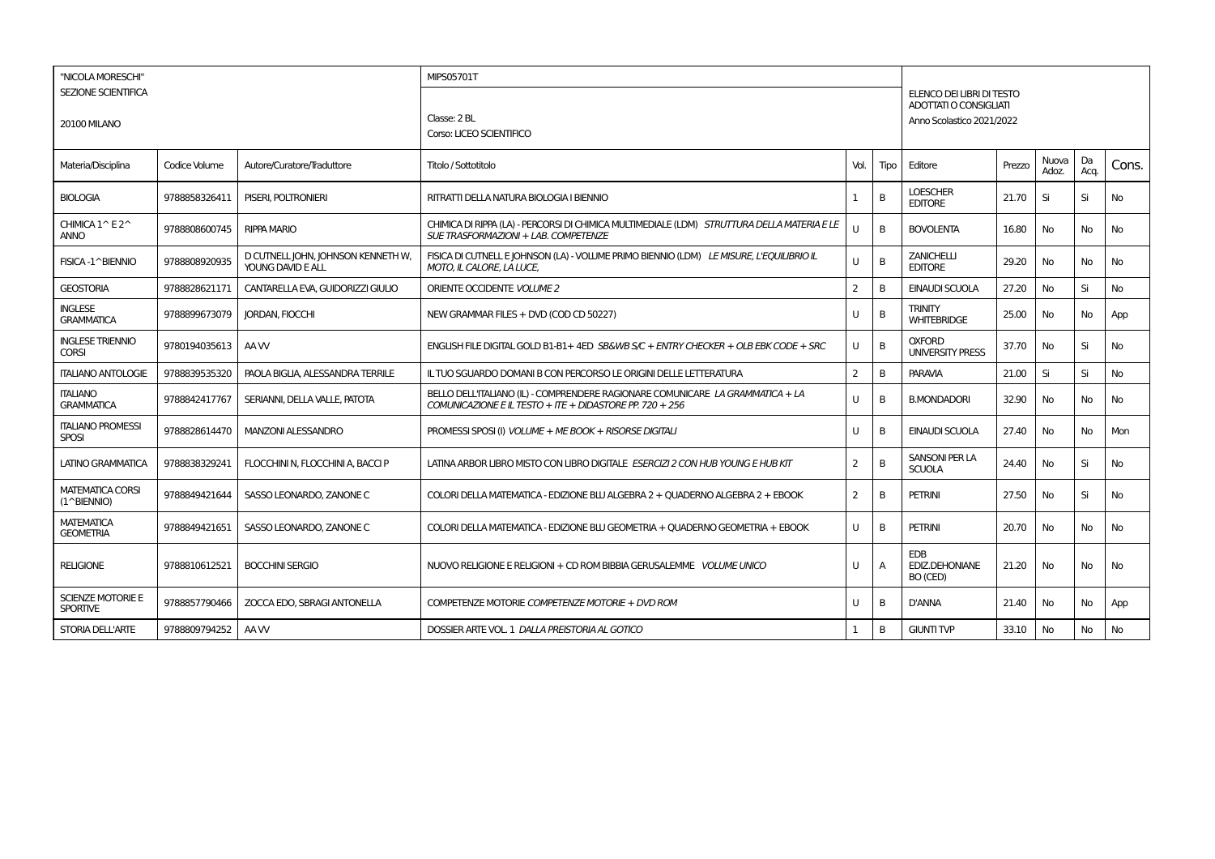| "NICOLA MORESCHI"                           |               |                                                         | <b>MIPS05701T</b>                                                                                                                          |                |                |                                                     |        |                |            |           |
|---------------------------------------------|---------------|---------------------------------------------------------|--------------------------------------------------------------------------------------------------------------------------------------------|----------------|----------------|-----------------------------------------------------|--------|----------------|------------|-----------|
| <b>SEZIONE SCIENTIFICA</b>                  |               |                                                         |                                                                                                                                            |                |                | ELENCO DEI LIBRI DI TESTO<br>ADOTTATI O CONSIGLIATI |        |                |            |           |
| <b>20100 MILANO</b>                         |               |                                                         | Classe: 2 BL<br>Corso: LICEO SCIENTIFICO                                                                                                   |                |                | Anno Scolastico 2021/2022                           |        |                |            |           |
| Materia/Disciplina                          | Codice Volume | Autore/Curatore/Traduttore                              | Titolo / Sottotitolo                                                                                                                       | Vol.           | Tipo           | Editore                                             | Prezzo | Nuova<br>Adoz. | Da<br>Acq. | Cons.     |
| <b>BIOLOGIA</b>                             | 9788858326411 | PISERI, POLTRONIERI                                     | RITRATTI DELLA NATURA BIOLOGIA I BIENNIO                                                                                                   |                | B              | <b>LOESCHER</b><br><b>EDITORE</b>                   | 21.70  | Si             | Si         | <b>No</b> |
| CHIMICA 1^E2^<br><b>ANNO</b>                | 9788808600745 | <b>RIPPA MARIO</b>                                      | CHIMICA DI RIPPA (LA) - PERCORSI DI CHIMICA MULTIMEDIALE (LDM) STRUTTURA DELLA MATERIA E LE<br>SUE TRASFORMAZIONI + LAB. COMPETENZE        | U              | $\overline{B}$ | <b>BOVOLENTA</b>                                    | 16.80  | <b>No</b>      | No         | No        |
| FISICA-1^BIENNIO                            | 9788808920935 | D CUTNELL JOHN, JOHNSON KENNETH W,<br>YOUNG DAVID E ALL | FISICA DI CUTNELLE JOHNSON (LA) - VOLUME PRIMO BIENNIO (LDM) LE MISURE, L'EQUILIBRIO IL<br>MOTO, IL CALORE, LA LUCE,                       | U              | B              | <b>ZANICHELLI</b><br><b>EDITORE</b>                 | 29.20  | No             | No         | No        |
| <b>GEOSTORIA</b>                            | 9788828621171 | CANTARELLA EVA, GUIDORIZZI GIULIO                       | ORIENTE OCCIDENTE VOLUME 2                                                                                                                 | 2              | B              | <b>EINAUDI SCUOLA</b>                               | 27.20  | No             | Si         | No        |
| <b>INGLESE</b><br><b>GRAMMATICA</b>         | 9788899673079 | <b>JORDAN, FIOCCHI</b>                                  | NEW GRAMMAR FILES + DVD (COD CD 50227)                                                                                                     | U              | B              | <b>TRINITY</b><br><b>WHITEBRIDGE</b>                | 25.00  | No             | No         | App       |
| <b>INGLESE TRIENNIO</b><br><b>CORSI</b>     | 9780194035613 | AA W                                                    | ENGLISH FILE DIGITAL GOLD B1-B1+4ED SB&WB S/C + ENTRY CHECKER + OLB EBK CODE + SRC                                                         | U              | B              | <b>OXFORD</b><br><b>UNIVERSITY PRESS</b>            | 37.70  | No             | Si         | No        |
| <b>ITALIANO ANTOLOGIE</b>                   | 9788839535320 | PAOLA BIGLIA, ALESSANDRA TERRILE                        | IL TUO SGUARDO DOMANI B CON PERCORSO LE ORIGINI DELLE LETTERATURA                                                                          | 2              | B              | <b>PARAVIA</b>                                      | 21.00  | Si             | Si         | <b>No</b> |
| <b>ITALIANO</b><br><b>GRAMMATICA</b>        | 9788842417767 | SERIANNI, DELLA VALLE, PATOTA                           | BELLO DELL'ITALIANO (IL) - COMPRENDERE RAGIONARE COMUNICARE LA GRAMMATICA + LA<br>COMUNICAZIONE E IL TESTO + ITE + DIDASTORE PP. 720 + 256 | U              | B              | <b>B.MONDADORI</b>                                  | 32.90  | No             | No         | No        |
| <b>ITALIANO PROMESSI</b><br><b>SPOSI</b>    | 9788828614470 | <b>MANZONI ALESSANDRO</b>                               | PROMESSI SPOSI (I) VOLUME + ME BOOK + RISORSE DIGITALI                                                                                     | U              | B              | EINAUDI SCUOLA                                      | 27.40  | No             | No         | Mon       |
| <b>LATINO GRAMMATICA</b>                    | 9788838329241 | FLOCCHINI N. FLOCCHINI A. BACCI P                       | LATINA ARBOR LIBRO MISTO CON LIBRO DIGITALE ESERCIZI 2 CON HUB YOUNG E HUB KIT                                                             | $\overline{2}$ | B              | <b>SANSONI PER LA</b><br><b>SCUOLA</b>              | 24.40  | <b>No</b>      | Si         | No        |
| <b>MATEMATICA CORSI</b><br>(1^BIENNIO)      | 9788849421644 | SASSO LEONARDO, ZANONE C                                | COLORI DELLA MATEMATICA - EDIZIONE BLU ALGEBRA 2 + QUADERNO ALGEBRA 2 + EBOOK                                                              | $\overline{2}$ | B              | <b>PETRINI</b>                                      | 27.50  | <b>No</b>      | Si         | No        |
| <b>MATEMATICA</b><br><b>GEOMETRIA</b>       | 9788849421651 | SASSO LEONARDO, ZANONE C                                | COLORI DELLA MATEMATICA - EDIZIONE BLU GEOMETRIA + QUADERNO GEOMETRIA + EBOOK                                                              | U              | B              | <b>PETRINI</b>                                      | 20.70  | <b>No</b>      | No         | No        |
| <b>RELIGIONE</b>                            | 9788810612521 | <b>BOCCHINI SERGIO</b>                                  | NUOVO RELIGIONE E RELIGIONI + CD ROM BIBBIA GERUSALEMME VOLUME UNICO                                                                       | U              | $\overline{A}$ | <b>EDB</b><br>EDIZ.DEHONIANE<br>BO (CED)            | 21.20  | No             | No         | No        |
| <b>SCIENZE MOTORIE E</b><br><b>SPORTIVE</b> | 9788857790466 | ZOCCA EDO, SBRAGI ANTONELLA                             | COMPETENZE MOTORIE COMPETENZE MOTORIE + DVD ROM                                                                                            | U              | B              | <b>D'ANNA</b>                                       | 21.40  | No             | No         | App       |
| <b>STORIA DELL'ARTE</b>                     | 9788809794252 | AA W                                                    | DOSSIER ARTE VOL. 1 DALLA PREISTORIA AL GOTICO                                                                                             |                | B              | <b>GIUNTI TVP</b>                                   | 33.10  | No             | No         | No        |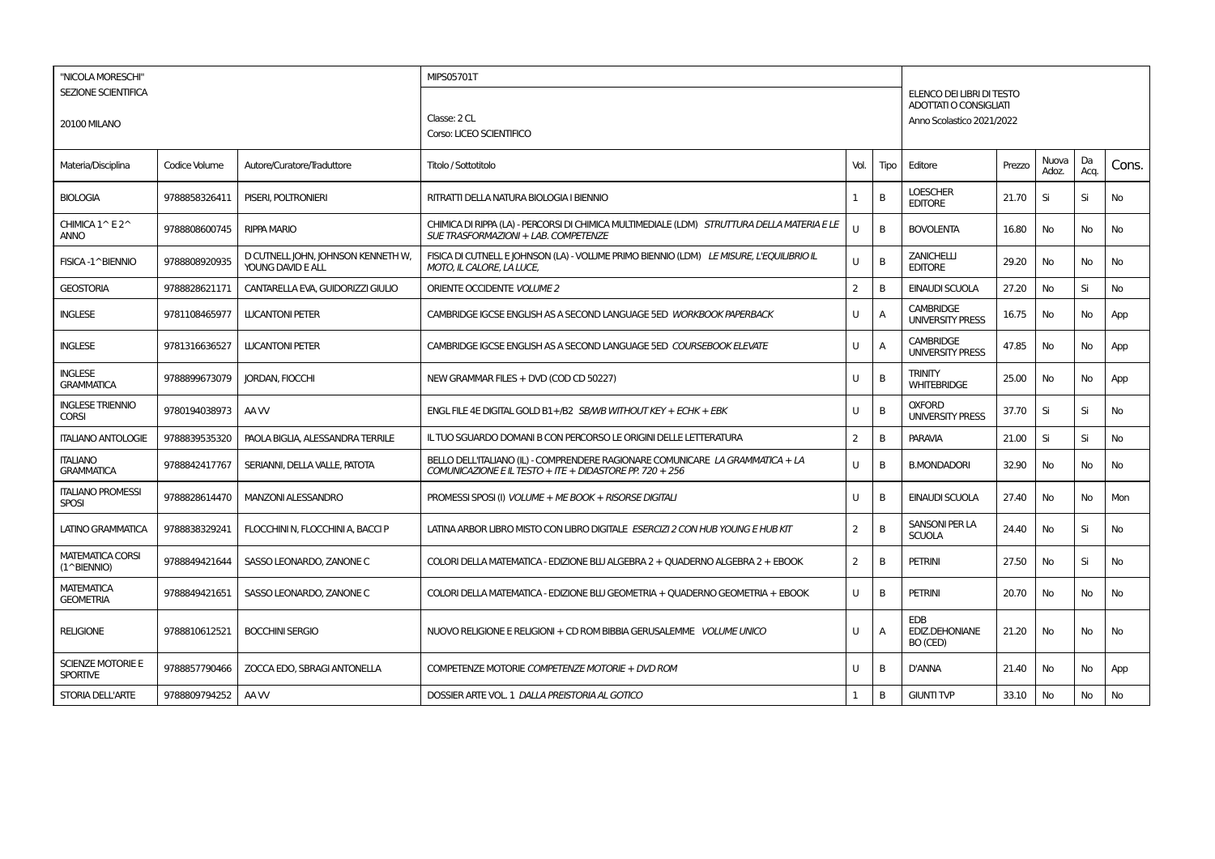| "NICOLA MORESCHI"                           |               |                                                         | MIPS05701T                                                                                                                                 |              |      |                                                            |        |                |            |           |
|---------------------------------------------|---------------|---------------------------------------------------------|--------------------------------------------------------------------------------------------------------------------------------------------|--------------|------|------------------------------------------------------------|--------|----------------|------------|-----------|
| <b>SEZIONE SCIENTIFICA</b>                  |               |                                                         |                                                                                                                                            |              |      | ELENCO DEI LIBRI DI TESTO<br><b>ADOTTATI O CONSIGLIATI</b> |        |                |            |           |
| <b>20100 MILANO</b>                         |               |                                                         | Classe: 2 CL                                                                                                                               |              |      | Anno Scolastico 2021/2022                                  |        |                |            |           |
|                                             |               |                                                         | Corso: LICEO SCIENTIFICO                                                                                                                   |              |      |                                                            |        |                |            |           |
| Materia/Disciplina                          | Codice Volume | Autore/Curatore/Traduttore                              | Titolo / Sottotitolo                                                                                                                       | Vol.         | Tipo | Editore                                                    | Prezzo | Nuova<br>Adoz. | Da<br>Acq. | Cons.     |
| <b>BIOLOGIA</b>                             | 9788858326411 | PISERI, POLTRONIERI                                     | RITRATTI DELLA NATURA BIOLOGIA I BIENNIO                                                                                                   |              | B    | <b>LOESCHER</b><br><b>EDITORE</b>                          | 21.70  | Si             | Si         | No        |
| CHIMICA 1^E2^<br><b>ANNO</b>                | 9788808600745 | <b>RIPPA MARIO</b>                                      | CHIMICA DI RIPPA (LA) - PERCORSI DI CHIMICA MULTIMEDIALE (LDM) STRUTTURA DELLA MATERIA E LE<br>SUE TRASFORMAZIONI + LAB. COMPETENZE        | $\mathbf{U}$ | B    | <b>BOVOLENTA</b>                                           | 16.80  | <b>No</b>      | No         | No        |
| FISICA-1^BIENNIO                            | 9788808920935 | D CUTNELL JOHN, JOHNSON KENNETH W,<br>YOUNG DAVID E ALL | FISICA DI CUTNELL E JOHNSON (LA) - VOLUME PRIMO BIENNIO (LDM) LE MISURE, L'EQUILIBRIO IL<br>MOTO, IL CALORE, LA LUCE,                      | U            | B    | <b>ZANICHELLI</b><br><b>EDITORE</b>                        | 29.20  | No             | No.        | No        |
| <b>GEOSTORIA</b>                            | 9788828621171 | CANTARELLA EVA, GUIDORIZZI GIULIO                       | ORIENTE OCCIDENTE VOLUME 2                                                                                                                 | 2            | B    | <b>EINAUDI SCUOLA</b>                                      | 27.20  | No             | Si         | No        |
| <b>INGLESE</b>                              | 9781108465977 | <b>LUCANTONI PETER</b>                                  | CAMBRIDGE IGCSE ENGLISH AS A SECOND LANGUAGE 5ED WORKBOOK PAPERBACK                                                                        | U            | A    | <b>CAMBRIDGE</b><br><b>UNIVERSITY PRESS</b>                | 16.75  | No             | No         | App       |
| <b>INGLESE</b>                              | 9781316636527 | <b>LUCANTONI PETER</b>                                  | CAMBRIDGE IGCSE ENGLISH AS A SECOND LANGUAGE 5ED COURSEBOOK ELEVATE                                                                        | U            | A    | <b>CAMBRIDGE</b><br><b>UNIVERSITY PRESS</b>                | 47.85  | No             | No         | App       |
| <b>INGLESE</b><br><b>GRAMMATICA</b>         | 9788899673079 | <b>JORDAN, FIOCCHI</b>                                  | NEW GRAMMAR FILES + DVD (COD CD 50227)                                                                                                     | $\cup$       | B    | <b>TRINITY</b><br><b>WHITEBRIDGE</b>                       | 25.00  | No             | No         | App       |
| <b>INGLESE TRIENNIO</b><br><b>CORSI</b>     | 9780194038973 | AA W                                                    | ENGL FILE 4E DIGITAL GOLD B1+/B2 SBM/B WITHOUT KEY + ECHK + EBK                                                                            | U            | B    | <b>OXFORD</b><br><b>UNIVERSITY PRESS</b>                   | 37.70  | Si             | Si         | No        |
| <b>ITALIANO ANTOLOGIE</b>                   | 9788839535320 | PAOLA BIGLIA, ALESSANDRA TERRILE                        | IL TUO SGUARDO DOMANI B CON PERCORSO LE ORIGINI DELLE LETTERATURA                                                                          | 2            | B    | <b>PARAVIA</b>                                             | 21.00  | Si             | Si         | No        |
| <b>ITALIANO</b><br><b>GRAMMATICA</b>        | 9788842417767 | SERIANNI, DELLA VALLE, PATOTA                           | BELLO DELL'ITALIANO (IL) - COMPRENDERE RAGIONARE COMUNICARE LA GRAMMATICA + LA<br>COMUNICAZIONE E IL TESTO + ITE + DIDASTORE PP. 720 + 256 | $\cup$       | B    | <b>B.MONDADORI</b>                                         | 32.90  | No             | No         | <b>No</b> |
| <b>ITALIANO PROMESSI</b><br><b>SPOSI</b>    | 9788828614470 | <b>MANZONI ALESSANDRO</b>                               | PROMESSI SPOSI (I) VOLUME + ME BOOK + RISORSE DIGITALI                                                                                     | U            | B    | <b>EINAUDI SCUOLA</b>                                      | 27.40  | <b>No</b>      | No         | Mon       |
| <b>LATINO GRAMMATICA</b>                    | 9788838329241 | FLOCCHINI N, FLOCCHINI A, BACCI P                       | LATINA ARBOR LIBRO MISTO CON LIBRO DIGITALE ESERCIZI 2 CON HUB YOUNG E HUB KIT                                                             | 2            | B    | SANSONI PER LA<br><b>SCUOLA</b>                            | 24.40  | No             | Si         | No        |
| <b>MATEMATICA CORSI</b><br>(1^BIENNIO)      | 9788849421644 | SASSO LEONARDO, ZANONE C                                | COLORI DELLA MATEMATICA - EDIZIONE BLU ALGEBRA 2 + QUADERNO ALGEBRA 2 + EBOOK                                                              | 2            | B    | <b>PETRINI</b>                                             | 27.50  | No             | Si         | No        |
| <b>MATEMATICA</b><br><b>GEOMETRIA</b>       | 9788849421651 | SASSO LEONARDO, ZANONE C                                | COLORI DELLA MATEMATICA - EDIZIONE BLU GEOMETRIA + QUADERNO GEOMETRIA + EBOOK                                                              | U            | B    | <b>PETRINI</b>                                             | 20.70  | <b>No</b>      | No         | <b>No</b> |
| <b>RELIGIONE</b>                            | 9788810612521 | <b>BOCCHINI SERGIO</b>                                  | NUOVO RELIGIONE E RELIGIONI + CD ROM BIBBIA GERUSALEMME VOLUME UNICO                                                                       | U            | A    | <b>EDB</b><br><b>EDIZ.DEHONIANE</b><br>BO (CED)            | 21.20  | No             | No         | No        |
| <b>SCIENZE MOTORIE E</b><br><b>SPORTIVE</b> | 9788857790466 | ZOCCA EDO, SBRAGI ANTONELLA                             | COMPETENZE MOTORIE COMPETENZE MOTORIE + DVD ROM                                                                                            | U            | B    | <b>D'ANNA</b>                                              | 21.40  | No             | No         | App       |
| <b>STORIA DELL'ARTE</b>                     | 9788809794252 | AA W                                                    | DOSSIER ARTE VOL. 1 DALLA PREISTORIA AL GOTICO                                                                                             | 1            | B    | <b>GIUNTI TVP</b>                                          | 33.10  | No             | No         | No        |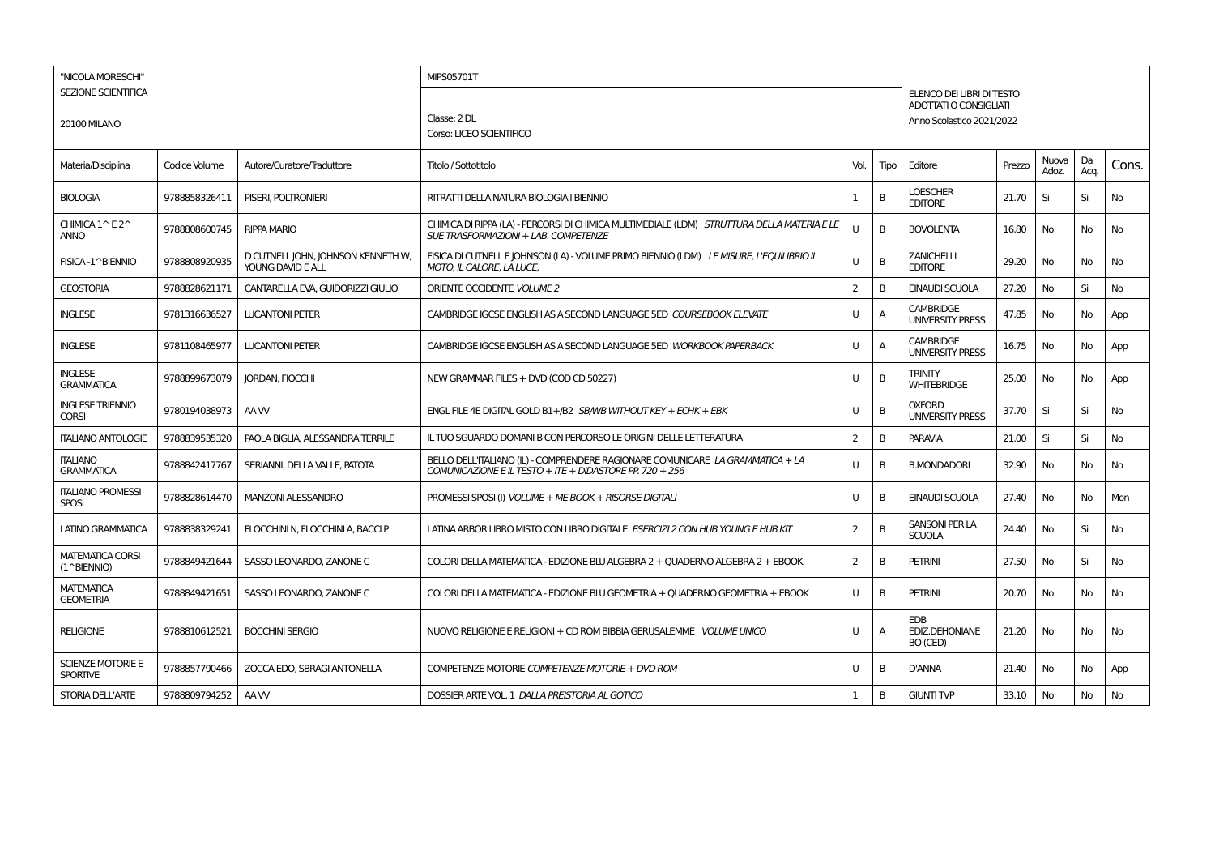| "NICOLA MORESCHI"                                |               |                                                         | MIPS05701T                                                                                                                                 |                |                |                                                            |        |                |            |           |
|--------------------------------------------------|---------------|---------------------------------------------------------|--------------------------------------------------------------------------------------------------------------------------------------------|----------------|----------------|------------------------------------------------------------|--------|----------------|------------|-----------|
| <b>SEZIONE SCIENTIFICA</b>                       |               |                                                         |                                                                                                                                            |                |                | ELENCO DEI LIBRI DI TESTO                                  |        |                |            |           |
| <b>20100 MILANO</b>                              |               |                                                         | Classe: 2 DL                                                                                                                               |                |                | <b>ADOTTATI O CONSIGLIATI</b><br>Anno Scolastico 2021/2022 |        |                |            |           |
|                                                  |               |                                                         | Corso: LICEO SCIENTIFICO                                                                                                                   |                |                |                                                            |        |                |            |           |
| Materia/Disciplina                               | Codice Volume | Autore/Curatore/Traduttore                              | Titolo / Sottotitolo                                                                                                                       | Vol.           | Tipo           | Editore                                                    | Prezzo | Nuova<br>Adoz. | Da<br>Acq. | Cons.     |
| <b>BIOLOGIA</b>                                  | 9788858326411 | PISERI, POLTRONIERI                                     | RITRATTI DELLA NATURA BIOLOGIA I BIENNIO                                                                                                   | $\mathbf{1}$   | B              | <b>LOESCHER</b><br><b>EDITORE</b>                          | 21.70  | Si             | Si         | No        |
| CHIMICA 1^E2^<br>ANNO                            | 9788808600745 | <b>RIPPA MARIO</b>                                      | CHIMICA DI RIPPA (LA) - PERCORSI DI CHIMICA MULTIMEDIALE (LDM) STRUTTURA DELLA MATERIA E LE<br>SUE TRASFORMAZIONI + LAB. COMPETENZE        | $\cup$         | B              | <b>BOVOLENTA</b>                                           | 16.80  | <b>No</b>      | No         | No        |
| FISICA-1^BIENNIO                                 | 9788808920935 | D CUTNELL JOHN, JOHNSON KENNETH W,<br>YOUNG DAVID E ALL | FISICA DI CUTNELLE JOHNSON (LA) - VOLUME PRIMO BIENNIO (LDM) LE MISURE, L'EQUILIBRIO IL<br>MOTO, IL CALORE, LA LUCE,                       | U              | B              | <b>ZANICHELLI</b><br><b>EDITORE</b>                        | 29.20  | No             | No.        | <b>No</b> |
| <b>GEOSTORIA</b>                                 | 9788828621171 | CANTARELLA EVA, GUIDORIZZI GIULIO                       | ORIENTE OCCIDENTE VOLUME 2                                                                                                                 | 2              | B              | <b>EINAUDI SCUOLA</b>                                      | 27.20  | No             | Si         | No        |
| <b>INGLESE</b>                                   | 9781316636527 | <b>LUCANTONI PETER</b>                                  | CAMBRIDGE IGCSE ENGLISH AS A SECOND LANGUAGE 5ED COURSEBOOK ELEVATE                                                                        | U              | A              | <b>CAMBRIDGE</b><br><b>UNIVERSITY PRESS</b>                | 47.85  | No             | No         | App       |
| <b>INGLESE</b>                                   | 9781108465977 | <b>LUCANTONI PETER</b>                                  | CAMBRIDGE IGCSE ENGLISH AS A SECOND LANGUAGE 5ED WORKBOOK PAPERBACK                                                                        | U              | $\overline{A}$ | <b>CAMBRIDGE</b><br><b>UNIVERSITY PRESS</b>                | 16.75  | No             | No         | App       |
| <b>INGLESE</b><br><b>GRAMMATICA</b>              | 9788899673079 | <b>JORDAN, FIOCCHI</b>                                  | NEW GRAMMAR FILES + DVD (COD CD 50227)                                                                                                     | $\cup$         | B              | <b>TRINITY</b><br><b>WHITEBRIDGE</b>                       | 25.00  | No             | No         | App       |
| <b>INGLESE TRIENNIO</b><br><b>CORSI</b>          | 9780194038973 | AA W                                                    | ENGL FILE 4E DIGITAL GOLD B1+/B2 SB/WB WITHOUT KEY + ECHK + EBK                                                                            | U              | B              | <b>OXFORD</b><br><b>UNIVERSITY PRESS</b>                   | 37.70  | Si             | Si         | No        |
| <b>ITALIANO ANTOLOGIE</b>                        | 9788839535320 | PAOLA BIGLIA, ALESSANDRA TERRILE                        | IL TUO SGUARDO DOMANI B CON PERCORSO LE ORIGINI DELLE LETTERATURA                                                                          | $\overline{2}$ | B              | PARAVIA                                                    | 21.00  | Si             | Si         | No        |
| <b>ITALIANO</b><br><b>GRAMMATICA</b>             | 9788842417767 | SERIANNI, DELLA VALLE, PATOTA                           | BELLO DELL'ITALIANO (IL) - COMPRENDERE RAGIONARE COMUNICARE LA GRAMMATICA + LA<br>COMUNICAZIONE E IL TESTO + ITE + DIDASTORE PP. 720 + 256 | $\cup$         | B              | <b>B.MONDADORI</b>                                         | 32.90  | No             | No         | <b>No</b> |
| <b>ITALIANO PROMESSI</b><br><b>SPOSI</b>         | 9788828614470 | <b>MANZONI ALESSANDRO</b>                               | PROMESSI SPOSI (I) VOLUME + ME BOOK + RISORSE DIGITALI                                                                                     | U              | B              | <b>EINAUDI SCUOLA</b>                                      | 27.40  | <b>No</b>      | No         | Mon       |
| <b>LATINO GRAMMATICA</b>                         | 9788838329241 | FLOCCHINI N, FLOCCHINI A, BACCI P                       | LATINA ARBOR LIBRO MISTO CON LIBRO DIGITALE ESERCIZI 2 CON HUB YOUNG E HUB KIT                                                             | $\overline{2}$ | B              | SANSONI PER LA<br><b>SCUOLA</b>                            | 24.40  | <b>No</b>      | Si         | No        |
| <b>MATEMATICA CORSI</b><br>$(1^{\wedge}BIENTIO)$ | 9788849421644 | SASSO LEONARDO, ZANONE C                                | COLORI DELLA MATEMATICA - EDIZIONE BLU ALGEBRA 2 + QUADERNO ALGEBRA 2 + EBOOK                                                              | 2              | B              | <b>PETRINI</b>                                             | 27.50  | No             | Si         | No        |
| <b>MATEMATICA</b><br><b>GEOMETRIA</b>            | 9788849421651 | SASSO LEONARDO, ZANONE C                                | COLORI DELLA MATEMATICA - EDIZIONE BLU GEOMETRIA + QUADERNO GEOMETRIA + EBOOK                                                              | U              | B              | <b>PETRINI</b>                                             | 20.70  | <b>No</b>      | No         | <b>No</b> |
| <b>RELIGIONE</b>                                 | 9788810612521 | <b>BOCCHINI SERGIO</b>                                  | NUOVO RELIGIONE E RELIGIONI + CD ROM BIBBIA GERUSALEMME VOLUME UNICO                                                                       | U              | A              | <b>EDB</b><br><b>EDIZ.DEHONIANE</b><br>BO (CED)            | 21.20  | No             | No         | No        |
| <b>SCIENZE MOTORIE E</b><br><b>SPORTIVE</b>      | 9788857790466 | ZOCCA EDO, SBRAGI ANTONELLA                             | COMPETENZE MOTORIE COMPETENZE MOTORIE + DVD ROM                                                                                            | U              | B              | <b>D'ANNA</b>                                              | 21.40  | No             | No         | App       |
| <b>STORIA DELL'ARTE</b>                          | 9788809794252 | AA W                                                    | DOSSIER ARTE VOL. 1 DALLA PREISTORIA AL GOTICO                                                                                             | 1              | B              | <b>GIUNTI TVP</b>                                          | 33.10  | No             | No         | No        |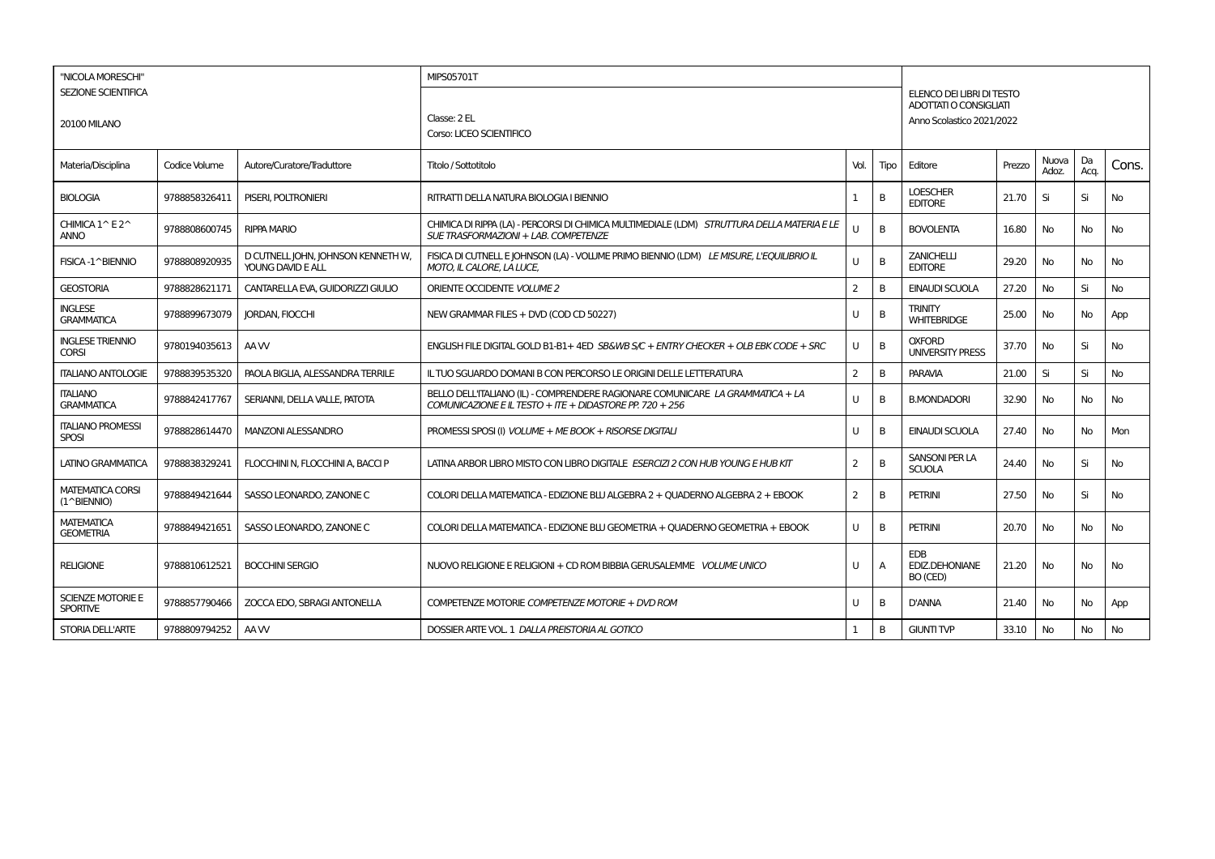| "NICOLA MORESCHI"                                |               |                                                         | MIPS05701T                                                                                                                                 |              |      |                                                     |        |                |            |           |
|--------------------------------------------------|---------------|---------------------------------------------------------|--------------------------------------------------------------------------------------------------------------------------------------------|--------------|------|-----------------------------------------------------|--------|----------------|------------|-----------|
| <b>SEZIONE SCIENTIFICA</b>                       |               |                                                         |                                                                                                                                            |              |      | ELENCO DEI LIBRI DI TESTO<br>ADOTTATI O CONSIGLIATI |        |                |            |           |
| <b>20100 MILANO</b>                              |               |                                                         | Classe: 2 EL<br>Corso: LICEO SCIENTIFICO                                                                                                   |              |      | Anno Scolastico 2021/2022                           |        |                |            |           |
| Materia/Disciplina                               | Codice Volume | Autore/Curatore/Traduttore                              | Titolo / Sottotitolo                                                                                                                       | Vol.         | Tipo | Editore                                             | Prezzo | Nuova<br>Adoz. | Da<br>Acq. | Cons.     |
| <b>BIOLOGIA</b>                                  | 9788858326411 | PISERI, POLTRONIERI                                     | RITRATTI DELLA NATURA BIOLOGIA I BIENNIO                                                                                                   | -1           | B    | <b>LOESCHER</b><br><b>EDITORE</b>                   | 21.70  | Si             | Si         | No        |
| CHIMICA 1^E2^<br><b>ANNO</b>                     | 9788808600745 | <b>RIPPA MARIO</b>                                      | CHIMICA DI RIPPA (LA) - PERCORSI DI CHIMICA MULTIMEDIALE (LDM) STRUTTURA DELLA MATERIA E LE<br>SUE TRASFORMAZIONI + LAB. COMPETENZE        | $\mathbf{U}$ | B    | <b>BOVOLENTA</b>                                    | 16.80  | No             | No         | No        |
| FISICA-1^BIENNIO                                 | 9788808920935 | D CUTNELL JOHN, JOHNSON KENNETH W,<br>YOUNG DAVID E ALL | FISICA DI CUTNELLE JOHNSON (LA) - VOLUME PRIMO BIENNIO (LDM) LE MISURE, L'EQUILIBRIO IL<br><b>MOTO, IL CALORE, LA LUCE,</b>                | U            | B    | <b>ZANICHELLI</b><br><b>EDITORE</b>                 | 29.20  | No             | No         | No        |
| <b>GEOSTORIA</b>                                 | 9788828621171 | CANTARELLA EVA, GUIDORIZZI GIULIO                       | ORIENTE OCCIDENTE VOLUME 2                                                                                                                 | 2            | B    | EINAUDI SCUOLA                                      | 27.20  | No             | Si         | No        |
| <b>INGLESE</b><br><b>GRAMMATICA</b>              | 9788899673079 | <b>JORDAN, FIOCCHI</b>                                  | NEW GRAMMAR FILES + DVD (COD CD 50227)                                                                                                     | U            | B    | <b>TRINITY</b><br><b>WHITEBRIDGE</b>                | 25.00  | No             | No         | App       |
| <b>INGLESE TRIENNIO</b><br><b>CORSI</b>          | 9780194035613 | AA W                                                    | ENGLISH FILE DIGITAL GOLD B1-B1+4ED SB&WB S/C + ENTRY CHECKER + OLB EBK CODE + SRC                                                         | U            | B    | <b>OXFORD</b><br><b>UNIVERSITY PRESS</b>            | 37.70  | No             | Si         | No        |
| <b>ITALIANO ANTOLOGIE</b>                        | 9788839535320 | PAOLA BIGLIA, ALESSANDRA TERRILE                        | IL TUO SGUARDO DOMANI B CON PERCORSO LE ORIGINI DELLE LETTERATURA                                                                          | 2            | B    | <b>PARAVIA</b>                                      | 21.00  | Si             | Si         | <b>No</b> |
| <b>ITALIANO</b><br><b>GRAMMATICA</b>             | 9788842417767 | SERIANNI, DELLA VALLE, PATOTA                           | BELLO DELL'ITALIANO (IL) - COMPRENDERE RAGIONARE COMUNICARE LA GRAMMATICA + LA<br>COMUNICAZIONE E IL TESTO + ITE + DIDASTORE PP. 720 + 256 | U            | B    | <b>B.MONDADORI</b>                                  | 32.90  | No             | No         | No        |
| <b>ITALIANO PROMESSI</b><br><b>SPOSI</b>         | 9788828614470 | <b>MANZONI ALESSANDRO</b>                               | PROMESSI SPOSI (I) VOLUME + ME BOOK + RISORSE DIGITALI                                                                                     | U            | B    | EINAUDI SCUOLA                                      | 27.40  | No             | No         | Mon       |
| LATINO GRAMMATICA                                | 9788838329241 | FLOCCHINI N, FLOCCHINI A, BACCI P                       | LATINA ARBOR LIBRO MISTO CON LIBRO DIGITALE ESERCIZI 2 CON HUB YOUNG E HUB KIT                                                             | 2            | B    | SANSONI PER LA<br><b>SCUOLA</b>                     | 24.40  | <b>No</b>      | Si         | No        |
| <b>MATEMATICA CORSI</b><br>$(1^{\wedge}BIENTIO)$ | 9788849421644 | SASSO LEONARDO, ZANONE C                                | COLORI DELLA MATEMATICA - EDIZIONE BLU ALGEBRA 2 + QUADERNO ALGEBRA 2 + EBOOK                                                              | 2            | B    | <b>PETRINI</b>                                      | 27.50  | No             | Si         | No        |
| <b>MATEMATICA</b><br><b>GEOMETRIA</b>            | 9788849421651 | SASSO LEONARDO, ZANONE C                                | COLORI DELLA MATEMATICA - EDIZIONE BLU GEOMETRIA + QUADERNO GEOMETRIA + EBOOK                                                              | U            | B    | <b>PETRINI</b>                                      | 20.70  | <b>No</b>      | No         | No        |
| <b>RELIGIONE</b>                                 | 9788810612521 | <b>BOCCHINI SERGIO</b>                                  | NUOVO RELIGIONE E RELIGIONI + CD ROM BIBBIA GERUSALEMME VOLUME UNICO                                                                       | U            | A    | <b>FDB</b><br>EDIZ.DEHONIANE<br>BO (CED)            | 21.20  | No             | No         | No        |
| <b>SCIENZE MOTORIE E</b><br><b>SPORTIVE</b>      | 9788857790466 | ZOCCA EDO, SBRAGI ANTONELLA                             | COMPETENZE MOTORIE COMPETENZE MOTORIE + DVD ROM                                                                                            | U            | B    | <b>D'ANNA</b>                                       | 21.40  | No             | No         | App       |
| <b>STORIA DELL'ARTE</b>                          | 9788809794252 | AA W                                                    | DOSSIER ARTE VOL. 1 DALLA PREISTORIA AL GOTICO                                                                                             |              | B    | <b>GIUNTI TVP</b>                                   | 33.10  | No             | No         | No        |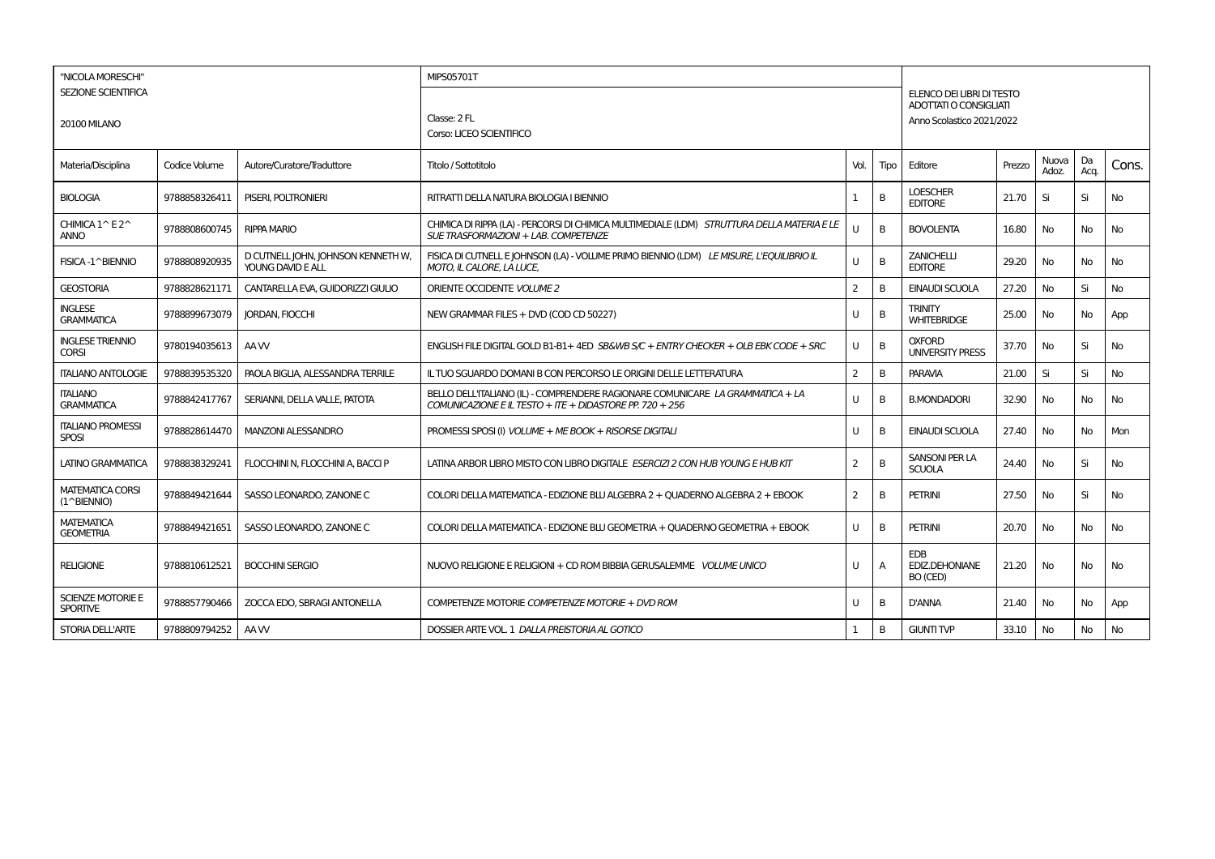| "NICOLA MORESCHI"                                |               |                                                         | MIPS05701T                                                                                                                                 |              |      |                                                     |        |                |            |           |
|--------------------------------------------------|---------------|---------------------------------------------------------|--------------------------------------------------------------------------------------------------------------------------------------------|--------------|------|-----------------------------------------------------|--------|----------------|------------|-----------|
| <b>SEZIONE SCIENTIFICA</b>                       |               |                                                         |                                                                                                                                            |              |      | ELENCO DEI LIBRI DI TESTO<br>ADOTTATI O CONSIGLIATI |        |                |            |           |
| <b>20100 MILANO</b>                              |               |                                                         | Classe: 2 FL<br>Corso: LICEO SCIENTIFICO                                                                                                   |              |      | Anno Scolastico 2021/2022                           |        |                |            |           |
| Materia/Disciplina                               | Codice Volume | Autore/Curatore/Traduttore                              | Titolo / Sottotitolo                                                                                                                       | Vol.         | Tipo | Editore                                             | Prezzo | Nuova<br>Adoz. | Da<br>Acq. | Cons.     |
| <b>BIOLOGIA</b>                                  | 9788858326411 | PISERI, POLTRONIERI                                     | RITRATTI DELLA NATURA BIOLOGIA I BIENNIO                                                                                                   | -1           | B    | <b>LOESCHER</b><br><b>EDITORE</b>                   | 21.70  | Si             | Si         | No        |
| CHIMICA 1^E2^<br><b>ANNO</b>                     | 9788808600745 | <b>RIPPA MARIO</b>                                      | CHIMICA DI RIPPA (LA) - PERCORSI DI CHIMICA MULTIMEDIALE (LDM) STRUTTURA DELLA MATERIA E LE<br>SUE TRASFORMAZIONI + LAB. COMPETENZE        | $\mathbf{U}$ | B    | <b>BOVOLENTA</b>                                    | 16.80  | No             | No         | No        |
| FISICA-1^BIENNIO                                 | 9788808920935 | D CUTNELL JOHN, JOHNSON KENNETH W,<br>YOUNG DAVID E ALL | FISICA DI CUTNELLE JOHNSON (LA) - VOLUME PRIMO BIENNIO (LDM) LE MISURE, L'EQUILIBRIO IL<br><b>MOTO, IL CALORE, LA LUCE,</b>                | U            | B    | <b>ZANICHELLI</b><br><b>EDITORE</b>                 | 29.20  | No             | No         | No        |
| <b>GEOSTORIA</b>                                 | 9788828621171 | CANTARELLA EVA, GUIDORIZZI GIULIO                       | ORIENTE OCCIDENTE VOLUME 2                                                                                                                 | 2            | B    | EINAUDI SCUOLA                                      | 27.20  | No             | Si         | No        |
| <b>INGLESE</b><br><b>GRAMMATICA</b>              | 9788899673079 | <b>JORDAN, FIOCCHI</b>                                  | NEW GRAMMAR FILES + DVD (COD CD 50227)                                                                                                     | U            | B    | <b>TRINITY</b><br><b>WHITEBRIDGE</b>                | 25.00  | No             | No         | App       |
| <b>INGLESE TRIENNIO</b><br><b>CORSI</b>          | 9780194035613 | AA W                                                    | ENGLISH FILE DIGITAL GOLD B1-B1+4ED SB&WB S/C + ENTRY CHECKER + OLB EBK CODE + SRC                                                         | U            | B    | <b>OXFORD</b><br><b>UNIVERSITY PRESS</b>            | 37.70  | No             | Si         | No        |
| <b>ITALIANO ANTOLOGIE</b>                        | 9788839535320 | PAOLA BIGLIA, ALESSANDRA TERRILE                        | IL TUO SGUARDO DOMANI B CON PERCORSO LE ORIGINI DELLE LETTERATURA                                                                          | 2            | B    | <b>PARAVIA</b>                                      | 21.00  | Si             | Si         | <b>No</b> |
| <b>ITALIANO</b><br><b>GRAMMATICA</b>             | 9788842417767 | SERIANNI, DELLA VALLE, PATOTA                           | BELLO DELL'ITALIANO (IL) - COMPRENDERE RAGIONARE COMUNICARE LA GRAMMATICA + LA<br>COMUNICAZIONE E IL TESTO + ITE + DIDASTORE PP. 720 + 256 | U            | B    | <b>B.MONDADORI</b>                                  | 32.90  | No             | No         | No        |
| <b>ITALIANO PROMESSI</b><br><b>SPOSI</b>         | 9788828614470 | <b>MANZONI ALESSANDRO</b>                               | PROMESSI SPOSI (I) VOLUME + ME BOOK + RISORSE DIGITALI                                                                                     | U            | B    | EINAUDI SCUOLA                                      | 27.40  | No             | No         | Mon       |
| LATINO GRAMMATICA                                | 9788838329241 | FLOCCHINI N, FLOCCHINI A, BACCI P                       | LATINA ARBOR LIBRO MISTO CON LIBRO DIGITALE ESERCIZI 2 CON HUB YOUNG E HUB KIT                                                             | 2            | B    | SANSONI PER LA<br><b>SCUOLA</b>                     | 24.40  | <b>No</b>      | Si         | No        |
| <b>MATEMATICA CORSI</b><br>$(1^{\wedge}BIENTIO)$ | 9788849421644 | SASSO LEONARDO, ZANONE C                                | COLORI DELLA MATEMATICA - EDIZIONE BLU ALGEBRA 2 + QUADERNO ALGEBRA 2 + EBOOK                                                              | 2            | B    | <b>PETRINI</b>                                      | 27.50  | No             | Si         | No        |
| <b>MATEMATICA</b><br><b>GEOMETRIA</b>            | 9788849421651 | SASSO LEONARDO, ZANONE C                                | COLORI DELLA MATEMATICA - EDIZIONE BLU GEOMETRIA + QUADERNO GEOMETRIA + EBOOK                                                              | U            | B    | <b>PETRINI</b>                                      | 20.70  | <b>No</b>      | No         | No        |
| <b>RELIGIONE</b>                                 | 9788810612521 | <b>BOCCHINI SERGIO</b>                                  | NUOVO RELIGIONE E RELIGIONI + CD ROM BIBBIA GERUSALEMME VOLUME UNICO                                                                       | U            | A    | <b>FDB</b><br>EDIZ.DEHONIANE<br>BO (CED)            | 21.20  | No             | No         | No        |
| <b>SCIENZE MOTORIE E</b><br><b>SPORTIVE</b>      | 9788857790466 | ZOCCA EDO, SBRAGI ANTONELLA                             | COMPETENZE MOTORIE COMPETENZE MOTORIE + DVD ROM                                                                                            | U            | B    | <b>D'ANNA</b>                                       | 21.40  | No             | No         | App       |
| <b>STORIA DELL'ARTE</b>                          | 9788809794252 | AA W                                                    | DOSSIER ARTE VOL. 1 DALLA PREISTORIA AL GOTICO                                                                                             |              | B    | <b>GIUNTI TVP</b>                                   | 33.10  | No             | No         | No        |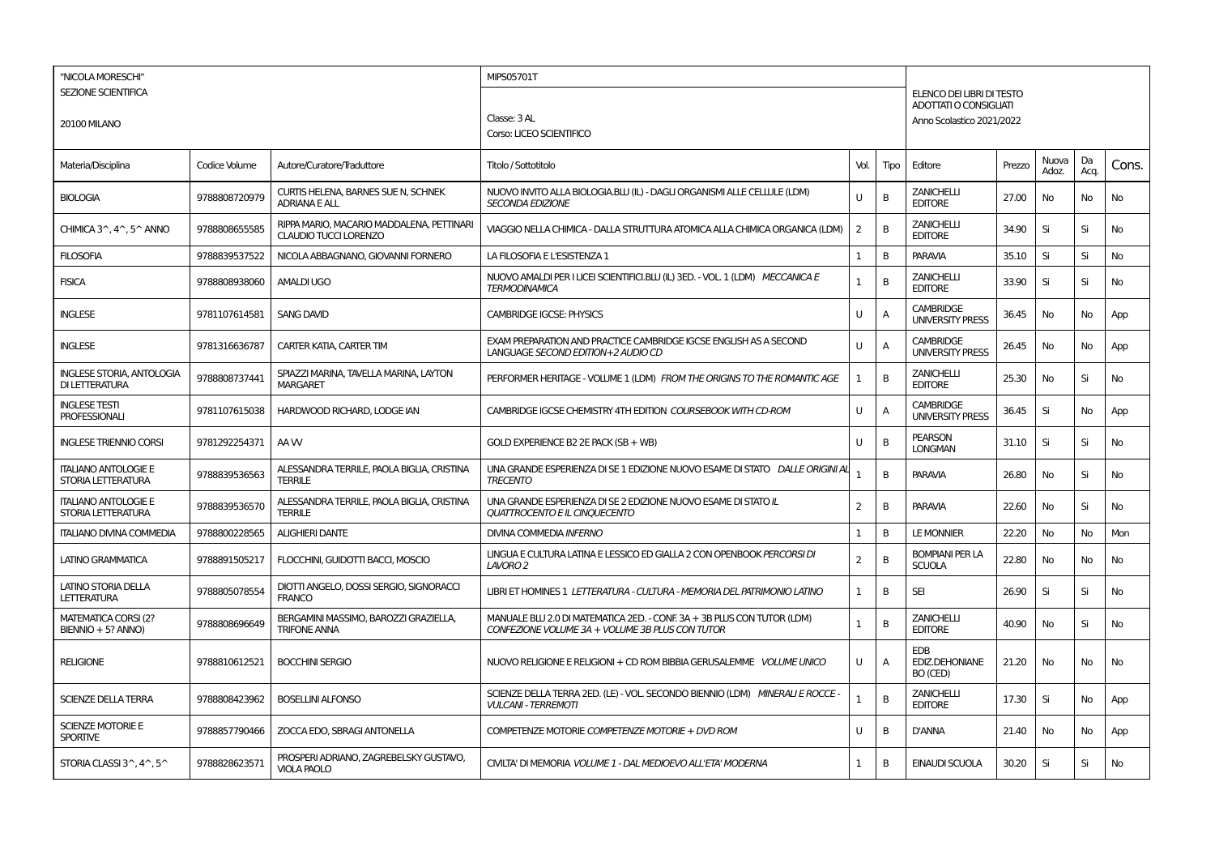| "NICOLA MORESCHI"                                  |               |                                                                           | MIPS05701T                                                                                                                 |                |      |                                                     |        |                |            |       |
|----------------------------------------------------|---------------|---------------------------------------------------------------------------|----------------------------------------------------------------------------------------------------------------------------|----------------|------|-----------------------------------------------------|--------|----------------|------------|-------|
| <b>SEZIONE SCIENTIFICA</b>                         |               |                                                                           |                                                                                                                            |                |      | ELENCO DEI LIBRI DI TESTO                           |        |                |            |       |
| <b>20100 MILANO</b>                                |               |                                                                           | Classe: 3 AL                                                                                                               |                |      | ADOTTATI O CONSIGLIATI<br>Anno Scolastico 2021/2022 |        |                |            |       |
|                                                    |               |                                                                           | Corso: LICEO SCIENTIFICO                                                                                                   |                |      |                                                     |        |                |            |       |
| Materia/Disciplina                                 | Codice Volume | Autore/Curatore/Traduttore                                                | Titolo / Sottotitolo                                                                                                       | Vol.           | Tipo | Editore                                             | Prezzo | Nuova<br>Adoz. | Da<br>Acq. | Cons. |
| <b>BIOLOGIA</b>                                    | 9788808720979 | CURTIS HELENA, BARNES SUE N, SCHNEK<br><b>ADRIANA E ALL</b>               | NUOVO INVITO ALLA BIOLOGIA.BLU (IL) - DAGLI ORGANISMI ALLE CELLULE (LDM)<br><b>SECONDA EDIZIONE</b>                        | $\mathbf{H}$   | B    | <b>ZANICHELLI</b><br><b>EDITORE</b>                 | 27.00  | No             | No         | No    |
| CHIMICA 3^, 4^, 5^ ANNO                            | 9788808655585 | RIPPA MARIO, MACARIO MADDALENA, PETTINARI<br><b>CLAUDIO TUCCI LORENZO</b> | VIAGGIO NELLA CHIMICA - DALLA STRUTTURA ATOMICA ALLA CHIMICA ORGANICA (LDM)                                                | $\overline{2}$ | B    | ZANICHELLI<br><b>EDITORE</b>                        | 34.90  | Si             | Si         | No    |
| <b>FILOSOFIA</b>                                   | 9788839537522 | NICOLA ABBAGNANO, GIOVANNI FORNERO                                        | LA FILOSOFIA E L'ESISTENZA 1                                                                                               | 1              | B    | <b>PARAVIA</b>                                      | 35.10  | Si             | Si         | No    |
| <b>FISICA</b>                                      | 9788808938060 | <b>AMALDI UGO</b>                                                         | NUOVO AMALDI PER I LICEI SCIENTIFICI.BLU (IL) 3ED. - VOL. 1 (LDM) MECCANICA E<br><b>TERMODINAMICA</b>                      | $\mathbf{1}$   | B    | <b>ZANICHELLI</b><br><b>EDITORE</b>                 | 33.90  | Si             | Si         | No    |
| <b>INGLESE</b>                                     | 9781107614581 | <b>SANG DAVID</b>                                                         | <b>CAMBRIDGE IGCSE: PHYSICS</b>                                                                                            | U              | A    | <b>CAMBRIDGE</b><br><b>UNIVERSITY PRESS</b>         | 36.45  | No             | No         | App   |
| <b>INGLESE</b>                                     | 9781316636787 | CARTER KATIA, CARTER TIM                                                  | EXAM PREPARATION AND PRACTICE CAMBRIDGE IGCSE ENGLISH AS A SECOND<br>LANGUAGE SECOND EDITION+2 AUDIO CD                    | U              | A    | <b>CAMBRIDGE</b><br><b>UNIVERSITY PRESS</b>         | 26.45  | No             | No         | App   |
| <b>INGLESE STORIA, ANTOLOGIA</b><br>DI LETTERATURA | 9788808737441 | SPIAZZI MARINA, TAVELLA MARINA, LAYTON<br><b>MARGARET</b>                 | PERFORMER HERITAGE - VOLUME 1 (LDM) FROM THE ORIGINS TO THE ROMANTIC AGE                                                   | $\mathbf{1}$   | B    | <b>ZANICHELLI</b><br><b>EDITORE</b>                 | 25.30  | <b>No</b>      | Si         | No    |
| <b>INGLESE TESTI</b><br><b>PROFESSIONALI</b>       | 9781107615038 | HARDWOOD RICHARD, LODGE IAN                                               | CAMBRIDGE IGCSE CHEMISTRY 4TH EDITION COURSEBOOK WITH CD-ROM                                                               | $\mathbf{U}$   | Α    | <b>CAMBRIDGE</b><br><b>UNIVERSITY PRESS</b>         | 36.45  | Si             | No         | App   |
| <b>INGLESE TRIENNIO CORSI</b>                      | 9781292254371 | AA W                                                                      | GOLD EXPERIENCE B2 2E PACK (SB + WB)                                                                                       | U              | В    | <b>PEARSON</b><br><b>LONGMAN</b>                    | 31.10  | Si             | Si         | No    |
| <b>ITALIANO ANTOLOGIE E</b><br>STORIA LETTERATURA  | 9788839536563 | ALESSANDRA TERRILE, PAOLA BIGLIA, CRISTINA<br><b>TERRILE</b>              | UNA GRANDE ESPERIENZA DI SE 1 EDIZIONE NUOVO ESAME DI STATO DALLE ORIGINI AI<br><b>TRECENTO</b>                            | $\mathbf{1}$   | B    | <b>PARAVIA</b>                                      | 26.80  | <b>No</b>      | Si         | No    |
| <b>ITALIANO ANTOLOGIE E</b><br>STORIA LETTERATURA  | 9788839536570 | ALESSANDRA TERRILE, PAOLA BIGLIA, CRISTINA<br><b>TERRILE</b>              | UNA GRANDE ESPERIENZA DI SE 2 EDIZIONE NUOVO ESAME DI STATO IL<br><b>QUATTROCENTO E IL CINQUECENTO</b>                     | 2              | В    | PARAVIA                                             | 22.60  | No             | Si         | No    |
| <b>ITALIANO DIVINA COMMEDIA</b>                    | 9788800228565 | <b>ALIGHIERI DANTE</b>                                                    | <b>DIVINA COMMEDIA INFERNO</b>                                                                                             | 1              | B    | <b>LE MONNIER</b>                                   | 22.20  | No             | <b>No</b>  | Mon   |
| LATINO GRAMMATICA                                  | 9788891505217 | FLOCCHINI, GUIDOTTI BACCI, MOSCIO                                         | LINGUA E CULTURA LATINA E LESSICO ED GIALLA 2 CON OPENBOOK PERCORSI DI<br>LAVORO 2                                         | 2              | B    | <b>BOMPIANI PER LA</b><br><b>SCUOLA</b>             | 22.80  | No             | No         | No    |
| <b>LATINO STORIA DELLA</b><br><b>LETTERATURA</b>   | 9788805078554 | DIOTTI ANGELO, DOSSI SERGIO, SIGNORACCI<br><b>FRANCO</b>                  | LIBRI ET HOMINES 1 LETTERATURA - CULTURA - MEMORIA DEL PATRIMONIO LATINO                                                   | 1              | В    | <b>SEI</b>                                          | 26.90  | Si             | Si         | No    |
| <b>MATEMATICA CORSI (2?</b><br>BIENNIO + 5? ANNO)  | 9788808696649 | BERGAMINI MASSIMO, BAROZZI GRAZIELLA,<br><b>TRIFONE ANNA</b>              | MANUALE BLU 2.0 DI MATEMATICA 2ED. - CONF. 3A + 3B PLUS CON TUTOR (LDM)<br>CONFEZIONE VOLUME 3A + VOLUME 3B PLUS CON TUTOR | $\mathbf{1}$   | B    | <b>ZANICHELLI</b><br><b>EDITORE</b>                 | 40.90  | <b>No</b>      | Si         | No    |
| <b>RELIGIONE</b>                                   | 9788810612521 | <b>BOCCHINI SERGIO</b>                                                    | NUOVO RELIGIONE E RELIGIONI + CD ROM BIBBIA GERUSALEMME VOLUME UNICO                                                       | U              | Α    | EDB<br><b>EDIZ.DEHONIANE</b><br>BO (CED)            | 21.20  | No             | No         | No    |
| <b>SCIENZE DELLA TERRA</b>                         | 9788808423962 | <b>BOSELLINI ALFONSO</b>                                                  | SCIENZE DELLA TERRA 2ED. (LE) - VOL. SECONDO BIENNIO (LDM) MINERALI E ROCCE<br><b>VULCANI - TERREMOTI</b>                  | 1              | B    | ZANICHELLI<br><b>EDITORE</b>                        | 17.30  | Si             | No         | App   |
| <b>SCIENZE MOTORIE E</b><br><b>SPORTIVE</b>        | 9788857790466 | ZOCCA EDO, SBRAGI ANTONELLA                                               | COMPETENZE MOTORIE COMPETENZE MOTORIE + DVD ROM                                                                            | U              | В    | D'ANNA                                              | 21.40  | No             | No         | App   |
| STORIA CLASSI 3^, 4^, 5^                           | 9788828623571 | PROSPERI ADRIANO, ZAGREBELSKY GUSTAVO.<br><b>VIOLA PAOLO</b>              | CIVILTA' DI MEMORIA VOLUME 1 - DAL MEDIOEVO ALL'ETA' MODERNA                                                               | 1              | B    | <b>EINAUDI SCUOLA</b>                               | 30.20  | Si             | Si         | No    |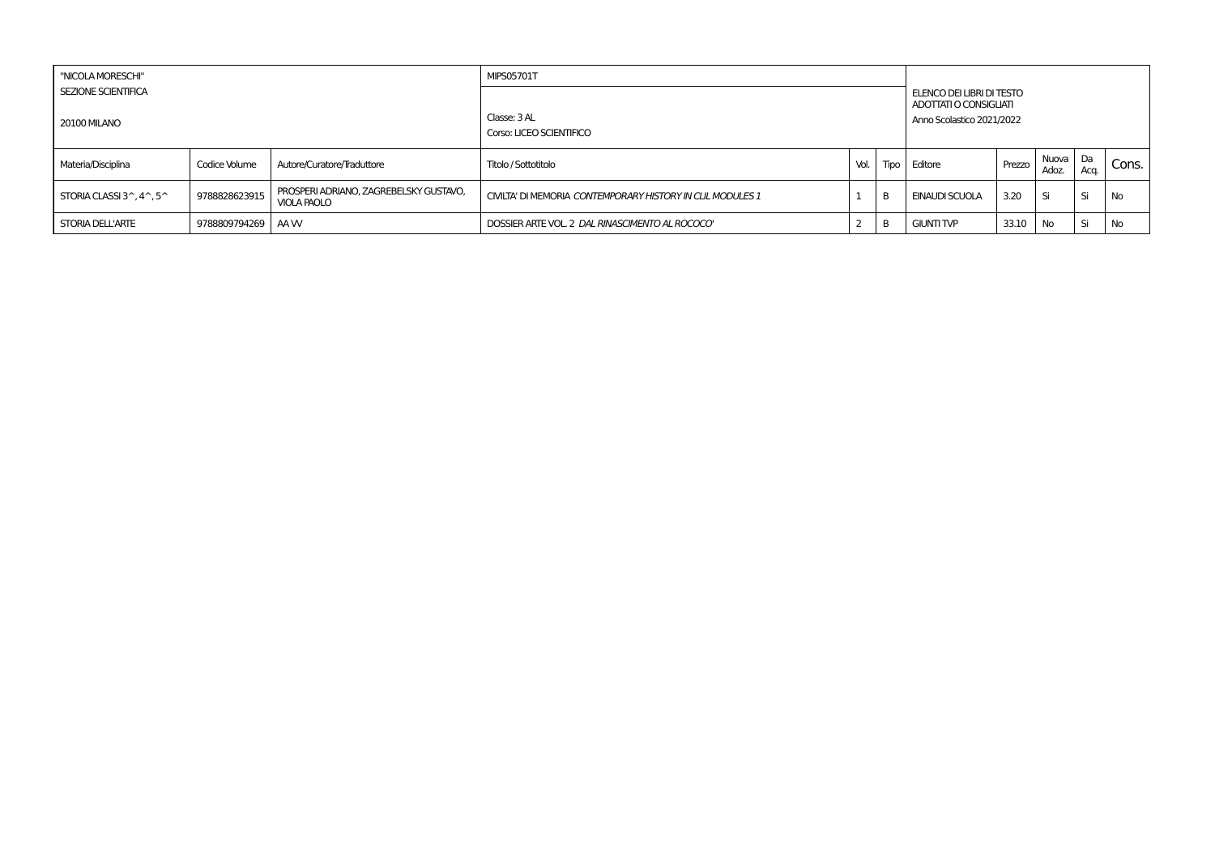| "NICOLA MORESCHI"                                        |                   |                                                              | <b>MIPS05701T</b>                                          |      |      |                                                     |        |                |              |       |
|----------------------------------------------------------|-------------------|--------------------------------------------------------------|------------------------------------------------------------|------|------|-----------------------------------------------------|--------|----------------|--------------|-------|
| <b>SEZIONE SCIENTIFICA</b>                               |                   |                                                              |                                                            |      |      | ELENCO DEI LIBRI DI TESTO<br>ADOTTATI O CONSIGLIATI |        |                |              |       |
| <b>20100 MILANO</b>                                      |                   |                                                              | Classe: 3 AL<br>Corso: LICEO SCIENTIFICO                   |      |      | Anno Scolastico 2021/2022                           |        |                |              |       |
| Materia/Disciplina                                       | Codice Volume     | Autore/Curatore/Traduttore                                   | Titolo / Sottotitolo                                       | Vol. | Tipo | Editore                                             | Prezzo | Nuova<br>Adoz. | l Da<br>Aca. | Cons. |
| STORIA CLASSI $3^{\wedge}$ , $4^{\wedge}$ , $5^{\wedge}$ | 9788828623915     | PROSPERI ADRIANO, ZAGREBELSKY GUSTAVO,<br><b>VIOLA PAOLO</b> | CIVILTA' DI MEMORIA CONTEMPORARY HISTORY IN CLIL MODULES 1 |      | B    | EINAUDI SCUOLA                                      | 3.20   | Si             | Si           | No    |
| STORIA DELL'ARTE                                         | 9788809794269 AAW |                                                              | DOSSIER ARTE VOL. 2 DAL RINASCIMENTO AL ROCOCO"            |      | B    | <b>GIUNTI TVP</b>                                   | 33.10  | No             | Si           | No    |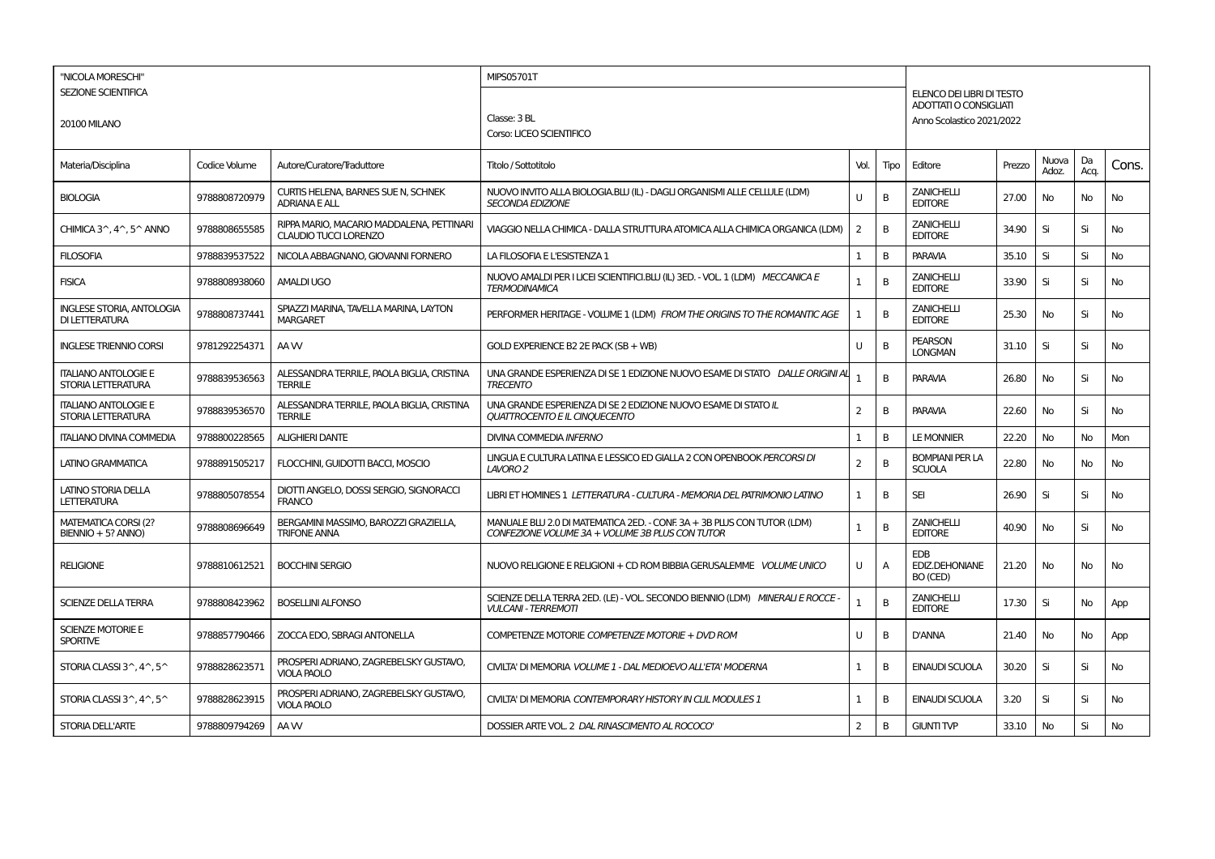| "NICOLA MORESCHI"                                        |               |                                                                           | MIPS05701T                                                                                                                 |                |      |                                                                                         |        |                |            |           |
|----------------------------------------------------------|---------------|---------------------------------------------------------------------------|----------------------------------------------------------------------------------------------------------------------------|----------------|------|-----------------------------------------------------------------------------------------|--------|----------------|------------|-----------|
| <b>SEZIONE SCIENTIFICA</b><br><b>20100 MILANO</b>        |               |                                                                           | Classe: 3 BL<br>Corso: LICEO SCIENTIFICO                                                                                   |                |      | ELENCO DEI LIBRI DI TESTO<br><b>ADOTTATI O CONSIGLIATI</b><br>Anno Scolastico 2021/2022 |        |                |            |           |
| Materia/Disciplina                                       | Codice Volume | Autore/Curatore/Traduttore                                                | Titolo / Sottotitolo                                                                                                       | Vol.           | Tipo | Editore                                                                                 | Prezzo | Nuova<br>Adoz. | Da<br>Acq. | Cons.     |
| <b>BIOLOGIA</b>                                          | 9788808720979 | CURTIS HELENA, BARNES SUE N, SCHNEK<br><b>ADRIANA E ALL</b>               | NUOVO INVITO ALLA BIOLOGIA.BLU (IL) - DAGLI ORGANISMI ALLE CELLULE (LDM)<br><b>SECONDA EDIZIONE</b>                        | U              | B    | <b>ZANICHELLI</b><br><b>EDITORE</b>                                                     | 27.00  | No             | No         | No        |
| CHIMICA 3^, 4^, 5^ ANNO                                  | 9788808655585 | RIPPA MARIO, MACARIO MADDALENA, PETTINARI<br><b>CLAUDIO TUCCI LORENZO</b> | VIAGGIO NELLA CHIMICA - DALLA STRUTTURA ATOMICA ALLA CHIMICA ORGANICA (LDM)                                                | $\overline{2}$ | B    | <b>ZANICHELLI</b><br><b>EDITORE</b>                                                     | 34.90  | Si             | Si         | <b>No</b> |
| <b>FILOSOFIA</b>                                         | 9788839537522 | NICOLA ABBAGNANO, GIOVANNI FORNERO                                        | LA FILOSOFIA E L'ESISTENZA 1                                                                                               | 1              | B    | <b>PARAVIA</b>                                                                          | 35.10  | Si             | Si         | <b>No</b> |
| <b>FISICA</b>                                            | 9788808938060 | <b>AMALDI UGO</b>                                                         | NUOVO AMALDI PER I LICEI SCIENTIFICI.BLU (IL) 3ED. - VOL. 1 (LDM) MECCANICA E<br><b>TERMODINAMICA</b>                      | $\mathbf{1}$   | B    | <b>ZANICHELLI</b><br><b>EDITORE</b>                                                     | 33.90  | Si             | Si         | No        |
| <b>INGLESE STORIA, ANTOLOGIA</b><br>DI LETTERATURA       | 9788808737441 | SPIAZZI MARINA, TAVELLA MARINA, LAYTON<br><b>MARGARET</b>                 | PERFORMER HERITAGE - VOLUME 1 (LDM) FROM THE ORIGINS TO THE ROMANTIC AGE                                                   | 1              | B    | <b>ZANICHELLI</b><br><b>EDITORE</b>                                                     | 25.30  | No             | Si         | <b>No</b> |
| <b>INGLESE TRIENNIO CORSI</b>                            | 9781292254371 | AA W                                                                      | GOLD EXPERIENCE B2 2E PACK (SB + WB)                                                                                       | U              | B    | <b>PEARSON</b><br><b>LONGMAN</b>                                                        | 31.10  | Si             | Si         | <b>No</b> |
| <b>ITALIANO ANTOLOGIE E</b><br>STORIA LETTERATURA        | 9788839536563 | ALESSANDRA TERRILE, PAOLA BIGLIA, CRISTINA<br><b>TERRILE</b>              | UNA GRANDE ESPERIENZA DI SE 1 EDIZIONE NUOVO ESAME DI STATO DALLE ORIGINI AL<br><b>TRECENTO</b>                            | 1              | B    | <b>PARAVIA</b>                                                                          | 26.80  | No             | Si         | No        |
| <b>ITALIANO ANTOLOGIE E</b><br>STORIA LETTERATURA        | 9788839536570 | ALESSANDRA TERRILE, PAOLA BIGLIA, CRISTINA<br><b>TERRILE</b>              | UNA GRANDE ESPERIENZA DI SE 2 EDIZIONE NUOVO ESAME DI STATO IL<br>QUATTROCENTO E IL CINQUECENTO                            | 2              | B    | <b>PARAVIA</b>                                                                          | 22.60  | No             | Si         | No        |
| <b>ITALIANO DIVINA COMMEDIA</b>                          | 9788800228565 | <b>ALIGHIERI DANTE</b>                                                    | DIVINA COMMEDIA INFERNO                                                                                                    | 1              | B    | <b>LE MONNIER</b>                                                                       | 22.20  | No             | No         | Mon       |
| LATINO GRAMMATICA                                        | 9788891505217 | FLOCCHINI, GUIDOTTI BACCI, MOSCIO                                         | LINGUA E CULTURA LATINA E LESSICO ED GIALLA 2 CON OPENBOOK PERCORSI DI<br>LAVORO 2                                         | $\overline{2}$ | B    | <b>BOMPIANI PER LA</b><br><b>SCUOLA</b>                                                 | 22.80  | No             | No         | No        |
| LATINO STORIA DELLA<br><b>LETTERATURA</b>                | 9788805078554 | DIOTTI ANGELO, DOSSI SERGIO, SIGNORACCI<br><b>FRANCO</b>                  | LIBRI ET HOMINES 1 LETTERATURA - CULTURA - MEMORIA DEL PATRIMONIO LATINO                                                   | 1              | B    | <b>SEI</b>                                                                              | 26.90  | Si             | Si         | No.       |
| <b>MATEMATICA CORSI (2?</b><br>BIENNIO + 5? ANNO)        | 9788808696649 | BERGAMINI MASSIMO, BAROZZI GRAZIELLA,<br><b>TRIFONE ANNA</b>              | MANUALE BLU 2.0 DI MATEMATICA 2ED. - CONF. 3A + 3B PLUS CON TUTOR (LDM)<br>CONFEZIONE VOLUME 3A + VOLUME 3B PLUS CON TUTOR | $\mathbf{1}$   | B    | <b>ZANICHELLI</b><br><b>EDITORE</b>                                                     | 40.90  | No             | Si         | <b>No</b> |
| <b>RELIGIONE</b>                                         | 9788810612521 | <b>BOCCHINI SERGIO</b>                                                    | NUOVO RELIGIONE E RELIGIONI + CD ROM BIBBIA GERUSALEMME VOLUME UNICO                                                       | U              | Α    | <b>EDB</b><br><b>EDIZ.DEHONIANE</b><br>BO (CED)                                         | 21.20  | No             | No         | No        |
| <b>SCIENZE DELLA TERRA</b>                               | 9788808423962 | <b>BOSELLINI ALFONSO</b>                                                  | SCIENZE DELLA TERRA 2ED. (LE) - VOL. SECONDO BIENNIO (LDM) MINERALI E ROCCE -<br><b>VULCANI - TERREMOTI</b>                | $\mathbf{1}$   | B    | <b>ZANICHELLI</b><br><b>EDITORE</b>                                                     | 17.30  | Si             | No         | App       |
| <b>SCIENZE MOTORIE E</b><br><b>SPORTIVE</b>              | 9788857790466 | ZOCCA EDO. SBRAGI ANTONELLA                                               | COMPETENZE MOTORIE COMPETENZE MOTORIE + DVD ROM                                                                            | U              | B    | <b>D'ANNA</b>                                                                           | 21.40  | No             | No         | App       |
| STORIA CLASSI 3^, 4^, 5^                                 | 9788828623571 | PROSPERI ADRIANO, ZAGREBELSKY GUSTAVO,<br><b>VIOLA PAOLO</b>              | CIVILTA' DI MEMORIA VOLUME 1 - DAL MEDIOEVO ALL'ETA' MODERNA                                                               | $\mathbf{1}$   | В    | <b>EINAUDI SCUOLA</b>                                                                   | 30.20  | Si             | Si         | No        |
| STORIA CLASSI $3^{\wedge}$ , $4^{\wedge}$ , $5^{\wedge}$ | 9788828623915 | PROSPERI ADRIANO, ZAGREBELSKY GUSTAVO,<br><b>VIOLA PAOLO</b>              | CIVILTA' DI MEMORIA CONTEMPORARY HISTORY IN CLIL MODULES 1                                                                 | 1              | B    | <b>EINAUDI SCUOLA</b>                                                                   | 3.20   | Si             | Si         | <b>No</b> |
| <b>STORIA DELL'ARTE</b>                                  | 9788809794269 | AA W                                                                      | DOSSIER ARTE VOL. 2 DAL RINASCIMENTO AL ROCOCO'                                                                            | 2              | B    | <b>GIUNTI TVP</b>                                                                       | 33.10  | No             | Si         | <b>No</b> |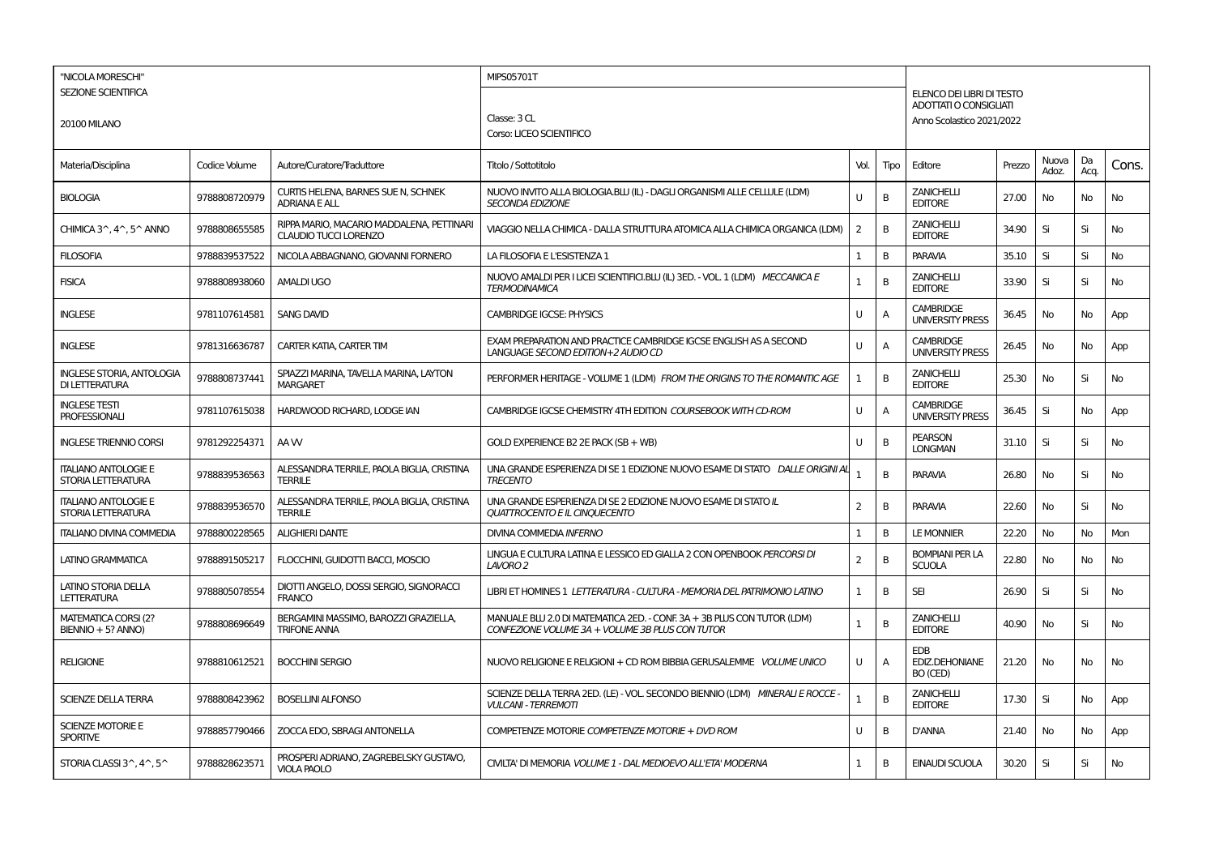| "NICOLA MORESCHI"                                  |               |                                                                           | MIPS05701T                                                                                                                 |                |      |                                                     |        |                |            |       |
|----------------------------------------------------|---------------|---------------------------------------------------------------------------|----------------------------------------------------------------------------------------------------------------------------|----------------|------|-----------------------------------------------------|--------|----------------|------------|-------|
| <b>SEZIONE SCIENTIFICA</b>                         |               |                                                                           |                                                                                                                            |                |      | ELENCO DEI LIBRI DI TESTO                           |        |                |            |       |
|                                                    |               |                                                                           | Classe: 3 CL                                                                                                               |                |      | ADOTTATI O CONSIGLIATI<br>Anno Scolastico 2021/2022 |        |                |            |       |
| <b>20100 MILANO</b>                                |               |                                                                           | Corso: LICEO SCIENTIFICO                                                                                                   |                |      |                                                     |        |                |            |       |
| Materia/Disciplina                                 | Codice Volume | Autore/Curatore/Traduttore                                                | Titolo / Sottotitolo                                                                                                       | Vol.           | Tipo | Editore                                             | Prezzo | Nuova<br>Adoz. | Da<br>Acq. | Cons. |
| <b>BIOLOGIA</b>                                    | 9788808720979 | CURTIS HELENA, BARNES SUE N, SCHNEK<br><b>ADRIANA E ALL</b>               | NUOVO INVITO ALLA BIOLOGIA.BLU (IL) - DAGLI ORGANISMI ALLE CELLULE (LDM)<br><b>SECONDA EDIZIONE</b>                        | $\mathbf{H}$   | B    | <b>ZANICHELLI</b><br><b>EDITORE</b>                 | 27.00  | No             | No         | No    |
| CHIMICA 3^, 4^, 5^ ANNO                            | 9788808655585 | RIPPA MARIO, MACARIO MADDALENA, PETTINARI<br><b>CLAUDIO TUCCI LORENZO</b> | VIAGGIO NELLA CHIMICA - DALLA STRUTTURA ATOMICA ALLA CHIMICA ORGANICA (LDM)                                                | $\overline{2}$ | B    | ZANICHELLI<br><b>EDITORE</b>                        | 34.90  | Si             | Si         | No    |
| <b>FILOSOFIA</b>                                   | 9788839537522 | NICOLA ABBAGNANO, GIOVANNI FORNERO                                        | LA FILOSOFIA E L'ESISTENZA 1                                                                                               | 1              | B    | <b>PARAVIA</b>                                      | 35.10  | Si             | Si         | No    |
| <b>FISICA</b>                                      | 9788808938060 | <b>AMALDI UGO</b>                                                         | NUOVO AMALDI PER I LICEI SCIENTIFICI.BLU (IL) 3ED. - VOL. 1 (LDM) MECCANICA E<br><b>TERMODINAMICA</b>                      | $\mathbf{1}$   | B    | <b>ZANICHELLI</b><br><b>EDITORE</b>                 | 33.90  | Si             | Si         | No    |
| <b>INGLESE</b>                                     | 9781107614581 | <b>SANG DAVID</b>                                                         | <b>CAMBRIDGE IGCSE: PHYSICS</b>                                                                                            | U              | A    | <b>CAMBRIDGE</b><br><b>UNIVERSITY PRESS</b>         | 36.45  | No             | No         | App   |
| <b>INGLESE</b>                                     | 9781316636787 | CARTER KATIA, CARTER TIM                                                  | EXAM PREPARATION AND PRACTICE CAMBRIDGE IGCSE ENGLISH AS A SECOND<br>LANGUAGE SECOND EDITION+2 AUDIO CD                    | U              | A    | <b>CAMBRIDGE</b><br><b>UNIVERSITY PRESS</b>         | 26.45  | No             | No         | App   |
| <b>INGLESE STORIA, ANTOLOGIA</b><br>DI LETTERATURA | 9788808737441 | SPIAZZI MARINA, TAVELLA MARINA, LAYTON<br><b>MARGARET</b>                 | PERFORMER HERITAGE - VOLUME 1 (LDM) FROM THE ORIGINS TO THE ROMANTIC AGE                                                   | $\mathbf{1}$   | B    | <b>ZANICHELLI</b><br><b>EDITORE</b>                 | 25.30  | <b>No</b>      | Si         | No    |
| <b>INGLESE TESTI</b><br><b>PROFESSIONALI</b>       | 9781107615038 | HARDWOOD RICHARD, LODGE IAN                                               | CAMBRIDGE IGCSE CHEMISTRY 4TH EDITION COURSEBOOK WITH CD-ROM                                                               | $\mathbf{U}$   | Α    | <b>CAMBRIDGE</b><br><b>UNIVERSITY PRESS</b>         | 36.45  | Si             | No         | App   |
| <b>INGLESE TRIENNIO CORSI</b>                      | 9781292254371 | AA W                                                                      | GOLD EXPERIENCE B2 2E PACK (SB + WB)                                                                                       | U              | В    | <b>PEARSON</b><br><b>LONGMAN</b>                    | 31.10  | Si             | Si         | No    |
| <b>ITALIANO ANTOLOGIE E</b><br>STORIA LETTERATURA  | 9788839536563 | ALESSANDRA TERRILE, PAOLA BIGLIA, CRISTINA<br><b>TERRILE</b>              | UNA GRANDE ESPERIENZA DI SE 1 EDIZIONE NUOVO ESAME DI STATO DALLE ORIGINI AI<br><b>TRECENTO</b>                            | $\mathbf{1}$   | B    | <b>PARAVIA</b>                                      | 26.80  | <b>No</b>      | Si         | No    |
| <b>ITALIANO ANTOLOGIE E</b><br>STORIA LETTERATURA  | 9788839536570 | ALESSANDRA TERRILE, PAOLA BIGLIA, CRISTINA<br><b>TERRILE</b>              | UNA GRANDE ESPERIENZA DI SE 2 EDIZIONE NUOVO ESAME DI STATO IL<br><b>QUATTROCENTO E IL CINQUECENTO</b>                     | 2              | В    | PARAVIA                                             | 22.60  | No             | Si         | No    |
| <b>ITALIANO DIVINA COMMEDIA</b>                    | 9788800228565 | <b>ALIGHIERI DANTE</b>                                                    | <b>DIVINA COMMEDIA INFERNO</b>                                                                                             | 1              | B    | <b>LE MONNIER</b>                                   | 22.20  | No             | <b>No</b>  | Mon   |
| LATINO GRAMMATICA                                  | 9788891505217 | FLOCCHINI, GUIDOTTI BACCI, MOSCIO                                         | LINGUA E CULTURA LATINA E LESSICO ED GIALLA 2 CON OPENBOOK PERCORSI DI<br>LAVORO 2                                         | 2              | B    | <b>BOMPIANI PER LA</b><br><b>SCUOLA</b>             | 22.80  | No             | No         | No    |
| <b>LATINO STORIA DELLA</b><br><b>LETTERATURA</b>   | 9788805078554 | DIOTTI ANGELO, DOSSI SERGIO, SIGNORACCI<br><b>FRANCO</b>                  | LIBRI ET HOMINES 1 LETTERATURA - CULTURA - MEMORIA DEL PATRIMONIO LATINO                                                   | 1              | В    | <b>SEI</b>                                          | 26.90  | Si             | Si         | No    |
| <b>MATEMATICA CORSI (2?</b><br>BIENNIO + 5? ANNO)  | 9788808696649 | BERGAMINI MASSIMO, BAROZZI GRAZIELLA,<br><b>TRIFONE ANNA</b>              | MANUALE BLU 2.0 DI MATEMATICA 2ED. - CONF. 3A + 3B PLUS CON TUTOR (LDM)<br>CONFEZIONE VOLUME 3A + VOLUME 3B PLUS CON TUTOR | $\mathbf{1}$   | B    | <b>ZANICHELLI</b><br><b>EDITORE</b>                 | 40.90  | <b>No</b>      | Si         | No    |
| <b>RELIGIONE</b>                                   | 9788810612521 | <b>BOCCHINI SERGIO</b>                                                    | NUOVO RELIGIONE E RELIGIONI + CD ROM BIBBIA GERUSALEMME VOLUME UNICO                                                       | $\mathbf{H}$   | Α    | EDB<br><b>EDIZ.DEHONIANE</b><br>BO (CED)            | 21.20  | No             | No         | No    |
| <b>SCIENZE DELLA TERRA</b>                         | 9788808423962 | <b>BOSELLINI ALFONSO</b>                                                  | SCIENZE DELLA TERRA 2ED. (LE) - VOL. SECONDO BIENNIO (LDM) MINERALI E ROCCE<br><b>VULCANI - TERREMOTI</b>                  | 1              | B    | ZANICHELLI<br><b>EDITORE</b>                        | 17.30  | Si             | No         | App   |
| <b>SCIENZE MOTORIE E</b><br><b>SPORTIVE</b>        | 9788857790466 | ZOCCA EDO, SBRAGI ANTONELLA                                               | COMPETENZE MOTORIE COMPETENZE MOTORIE + DVD ROM                                                                            | U              | В    | D'ANNA                                              | 21.40  | No             | No         | App   |
| STORIA CLASSI 3^, 4^, 5^                           | 9788828623571 | PROSPERI ADRIANO, ZAGREBELSKY GUSTAVO.<br><b>VIOLA PAOLO</b>              | CIVILTA' DI MEMORIA VOLUME 1 - DAL MEDIOEVO ALL'ETA' MODERNA                                                               | 1              | B    | <b>EINAUDI SCUOLA</b>                               | 30.20  | Si             | Si         | No    |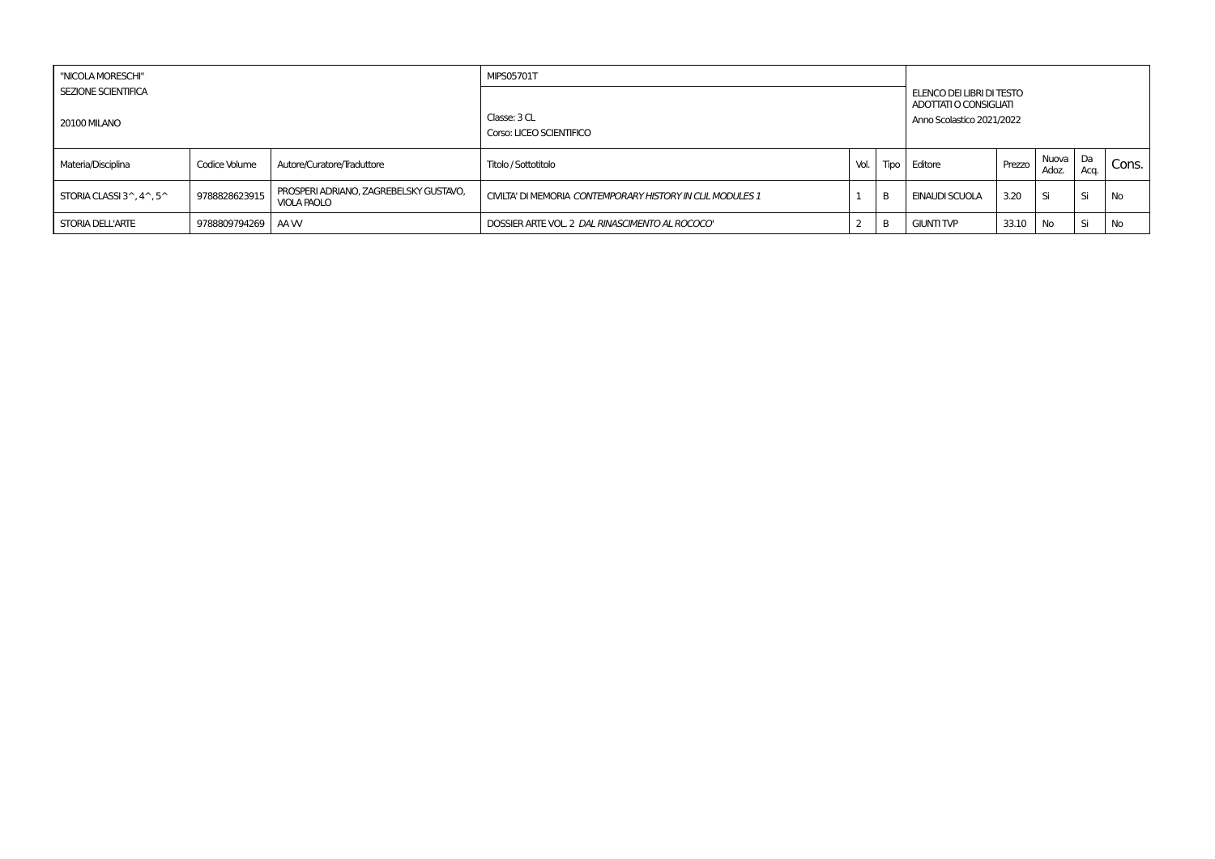| "NICOLA MORESCHI"                                        |                   |                                                              | <b>MIPS05701T</b>                                          |      |      |                                                     |        |                |              |       |
|----------------------------------------------------------|-------------------|--------------------------------------------------------------|------------------------------------------------------------|------|------|-----------------------------------------------------|--------|----------------|--------------|-------|
| <b>SEZIONE SCIENTIFICA</b>                               |                   |                                                              |                                                            |      |      | ELENCO DEI LIBRI DI TESTO<br>ADOTTATI O CONSIGLIATI |        |                |              |       |
| 20100 MILANO                                             |                   |                                                              | Classe: 3 CL<br>Corso: LICEO SCIENTIFICO                   |      |      | Anno Scolastico 2021/2022                           |        |                |              |       |
| Materia/Disciplina                                       | Codice Volume     | Autore/Curatore/Traduttore                                   | Titolo / Sottotitolo                                       | Vol. | Tipo | Editore                                             | Prezzo | Nuova<br>Adoz. | l Da<br>Aca. | Cons. |
| STORIA CLASSI $3^{\wedge}$ , $4^{\wedge}$ , $5^{\wedge}$ | 9788828623915     | PROSPERI ADRIANO, ZAGREBELSKY GUSTAVO,<br><b>VIOLA PAOLO</b> | CIVILTA' DI MEMORIA CONTEMPORARY HISTORY IN CLIL MODULES 1 |      | B    | EINAUDI SCUOLA                                      | 3.20   | Si             | Si           | No    |
| STORIA DELL'ARTE                                         | 9788809794269 AAW |                                                              | DOSSIER ARTE VOL. 2 DAL RINASCIMENTO AL ROCOCO"            |      | B    | <b>GIUNTI TVP</b>                                   | 33.10  | No             | Si           | No    |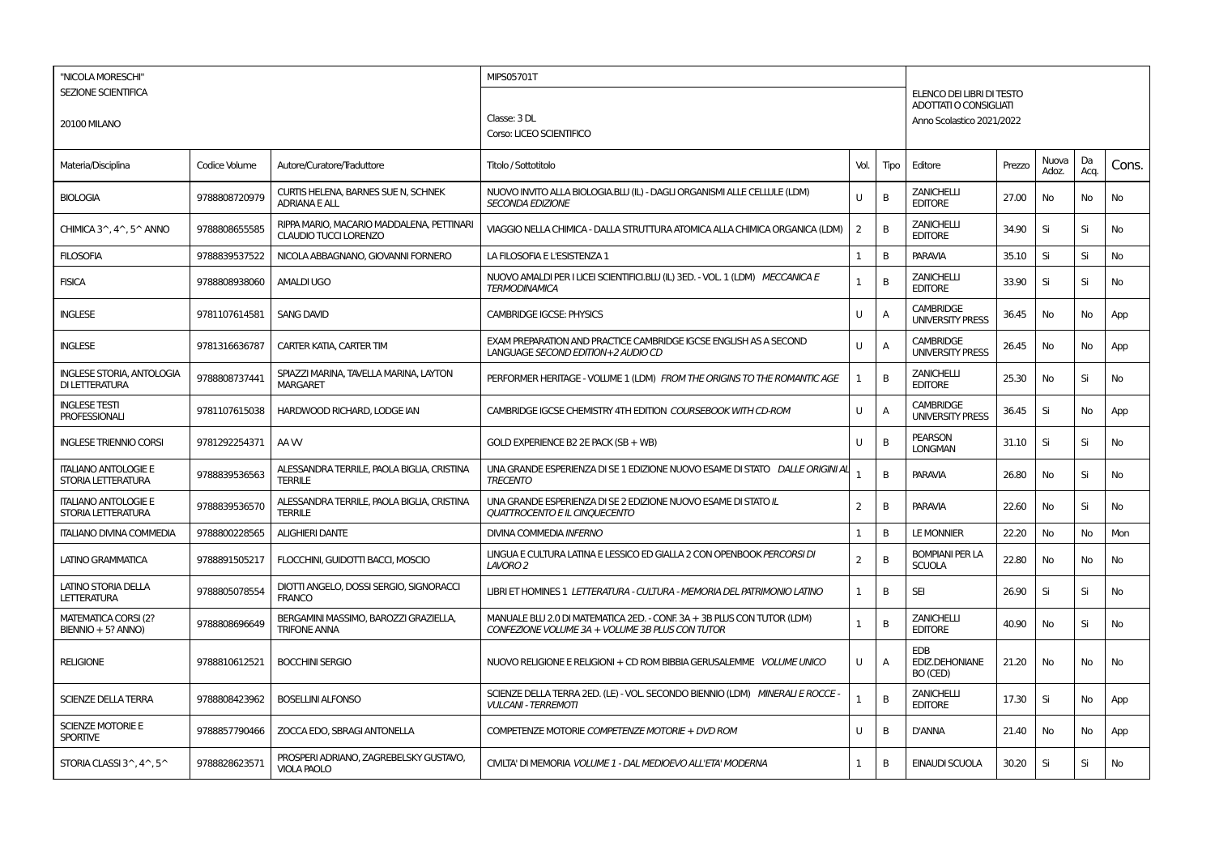| "NICOLA MORESCHI"                                  |               |                                                                           | MIPS05701T                                                                                                                 |                |      |                                                     |        |                |            |       |
|----------------------------------------------------|---------------|---------------------------------------------------------------------------|----------------------------------------------------------------------------------------------------------------------------|----------------|------|-----------------------------------------------------|--------|----------------|------------|-------|
| <b>SEZIONE SCIENTIFICA</b>                         |               |                                                                           |                                                                                                                            |                |      | ELENCO DEI LIBRI DI TESTO                           |        |                |            |       |
| <b>20100 MILANO</b>                                |               |                                                                           | Classe: 3 DL                                                                                                               |                |      | ADOTTATI O CONSIGLIATI<br>Anno Scolastico 2021/2022 |        |                |            |       |
|                                                    |               |                                                                           | Corso: LICEO SCIENTIFICO                                                                                                   |                |      |                                                     |        |                |            |       |
| Materia/Disciplina                                 | Codice Volume | Autore/Curatore/Traduttore                                                | Titolo / Sottotitolo                                                                                                       | Vol.           | Tipo | Editore                                             | Prezzo | Nuova<br>Adoz. | Da<br>Acq. | Cons. |
| <b>BIOLOGIA</b>                                    | 9788808720979 | CURTIS HELENA, BARNES SUE N, SCHNEK<br><b>ADRIANA E ALL</b>               | NUOVO INVITO ALLA BIOLOGIA.BLU (IL) - DAGLI ORGANISMI ALLE CELLULE (LDM)<br><b>SECONDA EDIZIONE</b>                        | $\mathbf{H}$   | B    | <b>ZANICHELLI</b><br><b>EDITORE</b>                 | 27.00  | No             | No         | No    |
| CHIMICA 3^, 4^, 5^ ANNO                            | 9788808655585 | RIPPA MARIO, MACARIO MADDALENA, PETTINARI<br><b>CLAUDIO TUCCI LORENZO</b> | VIAGGIO NELLA CHIMICA - DALLA STRUTTURA ATOMICA ALLA CHIMICA ORGANICA (LDM)                                                | $\overline{2}$ | B    | ZANICHELLI<br><b>EDITORE</b>                        | 34.90  | Si             | Si         | No    |
| <b>FILOSOFIA</b>                                   | 9788839537522 | NICOLA ABBAGNANO, GIOVANNI FORNERO                                        | LA FILOSOFIA E L'ESISTENZA 1                                                                                               | 1              | B    | <b>PARAVIA</b>                                      | 35.10  | Si             | Si         | No    |
| <b>FISICA</b>                                      | 9788808938060 | <b>AMALDI UGO</b>                                                         | NUOVO AMALDI PER I LICEI SCIENTIFICI.BLU (IL) 3ED. - VOL. 1 (LDM) MECCANICA E<br><b>TERMODINAMICA</b>                      | $\mathbf{1}$   | B    | <b>ZANICHELLI</b><br><b>EDITORE</b>                 | 33.90  | Si             | Si         | No    |
| <b>INGLESE</b>                                     | 9781107614581 | <b>SANG DAVID</b>                                                         | <b>CAMBRIDGE IGCSE: PHYSICS</b>                                                                                            | U              | A    | <b>CAMBRIDGE</b><br><b>UNIVERSITY PRESS</b>         | 36.45  | No             | No         | App   |
| <b>INGLESE</b>                                     | 9781316636787 | CARTER KATIA, CARTER TIM                                                  | EXAM PREPARATION AND PRACTICE CAMBRIDGE IGCSE ENGLISH AS A SECOND<br>LANGUAGE SECOND EDITION+2 AUDIO CD                    | U              | A    | <b>CAMBRIDGE</b><br><b>UNIVERSITY PRESS</b>         | 26.45  | No             | No         | App   |
| <b>INGLESE STORIA, ANTOLOGIA</b><br>DI LETTERATURA | 9788808737441 | SPIAZZI MARINA, TAVELLA MARINA, LAYTON<br><b>MARGARET</b>                 | PERFORMER HERITAGE - VOLUME 1 (LDM) FROM THE ORIGINS TO THE ROMANTIC AGE                                                   | $\mathbf{1}$   | B    | <b>ZANICHELLI</b><br><b>EDITORE</b>                 | 25.30  | <b>No</b>      | Si         | No    |
| <b>INGLESE TESTI</b><br><b>PROFESSIONALI</b>       | 9781107615038 | HARDWOOD RICHARD, LODGE IAN                                               | CAMBRIDGE IGCSE CHEMISTRY 4TH EDITION COURSEBOOK WITH CD-ROM                                                               | $\mathbf{U}$   | Α    | <b>CAMBRIDGE</b><br><b>UNIVERSITY PRESS</b>         | 36.45  | Si             | No         | App   |
| <b>INGLESE TRIENNIO CORSI</b>                      | 9781292254371 | AA W                                                                      | GOLD EXPERIENCE B2 2E PACK (SB + WB)                                                                                       | U              | В    | <b>PEARSON</b><br><b>LONGMAN</b>                    | 31.10  | Si             | Si         | No    |
| <b>ITALIANO ANTOLOGIE E</b><br>STORIA LETTERATURA  | 9788839536563 | ALESSANDRA TERRILE, PAOLA BIGLIA, CRISTINA<br><b>TERRILE</b>              | UNA GRANDE ESPERIENZA DI SE 1 EDIZIONE NUOVO ESAME DI STATO DALLE ORIGINI AI<br><b>TRECENTO</b>                            | $\mathbf{1}$   | B    | <b>PARAVIA</b>                                      | 26.80  | <b>No</b>      | Si         | No    |
| <b>ITALIANO ANTOLOGIE E</b><br>STORIA LETTERATURA  | 9788839536570 | ALESSANDRA TERRILE, PAOLA BIGLIA, CRISTINA<br><b>TERRILE</b>              | UNA GRANDE ESPERIENZA DI SE 2 EDIZIONE NUOVO ESAME DI STATO IL<br><b>QUATTROCENTO E IL CINQUECENTO</b>                     | 2              | В    | PARAVIA                                             | 22.60  | No             | Si         | No    |
| <b>ITALIANO DIVINA COMMEDIA</b>                    | 9788800228565 | <b>ALIGHIERI DANTE</b>                                                    | <b>DIVINA COMMEDIA INFERNO</b>                                                                                             | 1              | B    | <b>LE MONNIER</b>                                   | 22.20  | No             | <b>No</b>  | Mon   |
| LATINO GRAMMATICA                                  | 9788891505217 | FLOCCHINI, GUIDOTTI BACCI, MOSCIO                                         | LINGUA E CULTURA LATINA E LESSICO ED GIALLA 2 CON OPENBOOK PERCORSI DI<br>LAVORO 2                                         | 2              | B    | <b>BOMPIANI PER LA</b><br><b>SCUOLA</b>             | 22.80  | No             | No         | No    |
| <b>LATINO STORIA DELLA</b><br><b>LETTERATURA</b>   | 9788805078554 | DIOTTI ANGELO, DOSSI SERGIO, SIGNORACCI<br><b>FRANCO</b>                  | LIBRI ET HOMINES 1 LETTERATURA - CULTURA - MEMORIA DEL PATRIMONIO LATINO                                                   | 1              | В    | <b>SEI</b>                                          | 26.90  | Si             | Si         | No    |
| <b>MATEMATICA CORSI (2?</b><br>BIENNIO + 5? ANNO)  | 9788808696649 | BERGAMINI MASSIMO, BAROZZI GRAZIELLA,<br><b>TRIFONE ANNA</b>              | MANUALE BLU 2.0 DI MATEMATICA 2ED. - CONF. 3A + 3B PLUS CON TUTOR (LDM)<br>CONFEZIONE VOLUME 3A + VOLUME 3B PLUS CON TUTOR | $\mathbf{1}$   | B    | <b>ZANICHELLI</b><br><b>EDITORE</b>                 | 40.90  | <b>No</b>      | Si         | No    |
| <b>RELIGIONE</b>                                   | 9788810612521 | <b>BOCCHINI SERGIO</b>                                                    | NUOVO RELIGIONE E RELIGIONI + CD ROM BIBBIA GERUSALEMME VOLUME UNICO                                                       | $\mathbf{H}$   | Α    | EDB<br><b>EDIZ.DEHONIANE</b><br>BO (CED)            | 21.20  | No             | No         | No    |
| <b>SCIENZE DELLA TERRA</b>                         | 9788808423962 | <b>BOSELLINI ALFONSO</b>                                                  | SCIENZE DELLA TERRA 2ED. (LE) - VOL. SECONDO BIENNIO (LDM) MINERALI E ROCCE<br><b>VULCANI - TERREMOTI</b>                  | 1              | B    | ZANICHELLI<br><b>EDITORE</b>                        | 17.30  | Si             | No         | App   |
| <b>SCIENZE MOTORIE E</b><br><b>SPORTIVE</b>        | 9788857790466 | ZOCCA EDO, SBRAGI ANTONELLA                                               | COMPETENZE MOTORIE COMPETENZE MOTORIE + DVD ROM                                                                            | U              | В    | D'ANNA                                              | 21.40  | No             | No         | App   |
| STORIA CLASSI 3^, 4^, 5^                           | 9788828623571 | PROSPERI ADRIANO, ZAGREBELSKY GUSTAVO.<br><b>VIOLA PAOLO</b>              | CIVILTA' DI MEMORIA VOLUME 1 - DAL MEDIOEVO ALL'ETA' MODERNA                                                               | 1              | B    | <b>EINAUDI SCUOLA</b>                               | 30.20  | Si             | Si         | No    |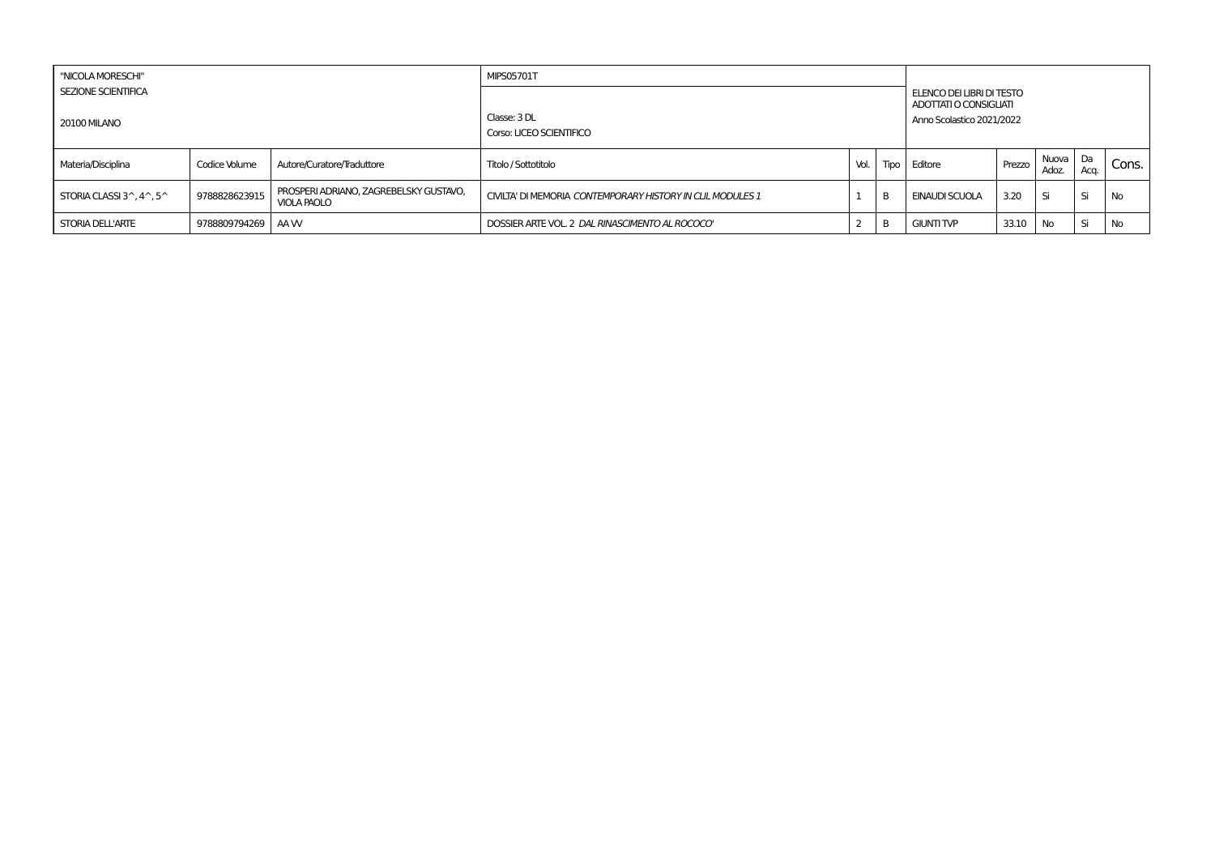| "NICOLA MORESCHI"                                        |                   |                                                              | <b>MIPS05701T</b>                                          |      |      |                                                     |        |                |              |       |
|----------------------------------------------------------|-------------------|--------------------------------------------------------------|------------------------------------------------------------|------|------|-----------------------------------------------------|--------|----------------|--------------|-------|
| <b>SEZIONE SCIENTIFICA</b>                               |                   |                                                              |                                                            |      |      | ELENCO DEI LIBRI DI TESTO<br>ADOTTATI O CONSIGLIATI |        |                |              |       |
| <b>20100 MILANO</b>                                      |                   |                                                              | Classe: 3 DL<br>Corso: LICEO SCIENTIFICO                   |      |      | Anno Scolastico 2021/2022                           |        |                |              |       |
| Materia/Disciplina                                       | Codice Volume     | Autore/Curatore/Traduttore                                   | Titolo / Sottotitolo                                       | Vol. | Tipo | Editore                                             | Prezzo | Nuova<br>Adoz. | l Da<br>Aca. | Cons. |
| STORIA CLASSI $3^{\wedge}$ , $4^{\wedge}$ , $5^{\wedge}$ | 9788828623915     | PROSPERI ADRIANO, ZAGREBELSKY GUSTAVO,<br><b>VIOLA PAOLO</b> | CIVILTA' DI MEMORIA CONTEMPORARY HISTORY IN CLIL MODULES 1 |      | B    | EINAUDI SCUOLA                                      | 3.20   | Si             | Si           | No    |
| STORIA DELL'ARTE                                         | 9788809794269 AAW |                                                              | DOSSIER ARTE VOL. 2 DAL RINASCIMENTO AL ROCOCO"            |      | B    | <b>GIUNTI TVP</b>                                   | 33.10  | No             | Si           | No    |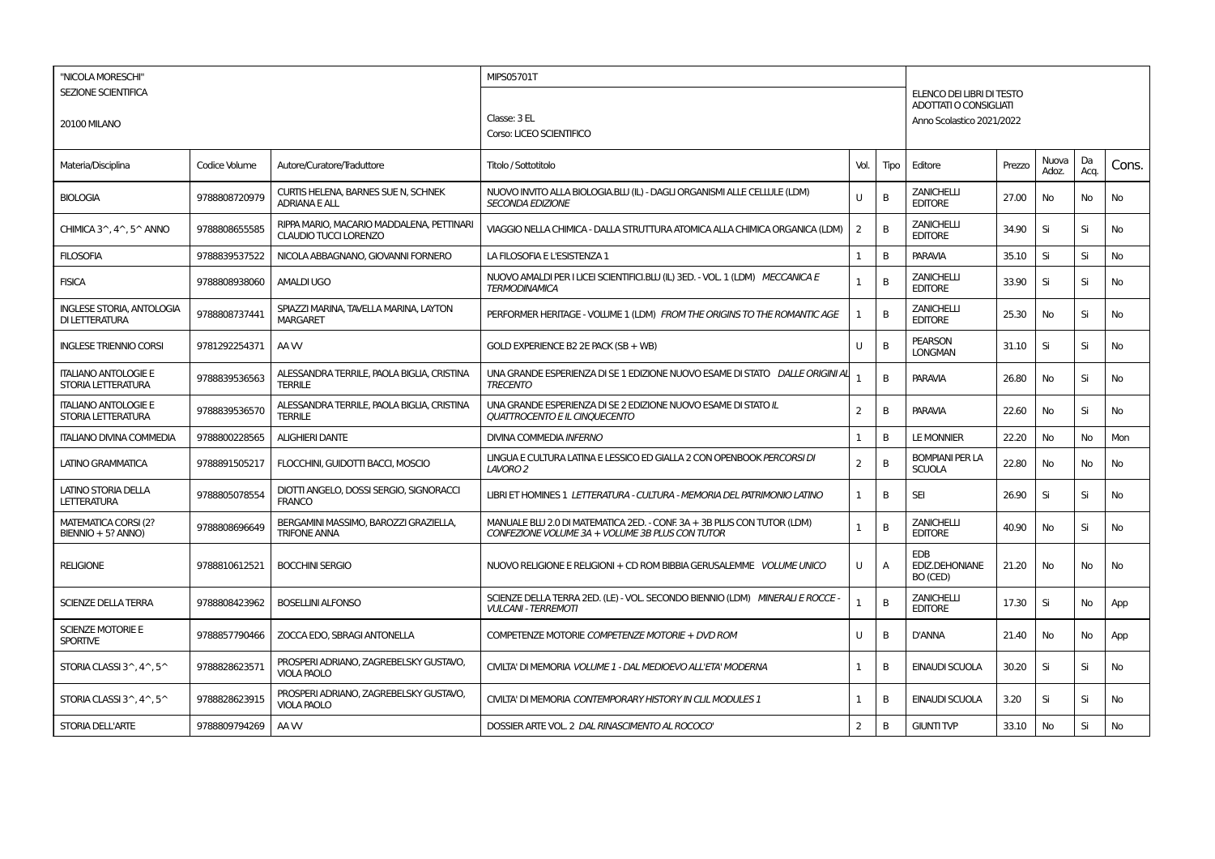| "NICOLA MORESCHI"                                        |               |                                                                           | MIPS05701T                                                                                                                 |                |      |                                                                                         |        |                |            |           |
|----------------------------------------------------------|---------------|---------------------------------------------------------------------------|----------------------------------------------------------------------------------------------------------------------------|----------------|------|-----------------------------------------------------------------------------------------|--------|----------------|------------|-----------|
| <b>SEZIONE SCIENTIFICA</b><br><b>20100 MILANO</b>        |               |                                                                           | Classe: 3 EL<br>Corso: LICEO SCIENTIFICO                                                                                   |                |      | ELENCO DEI LIBRI DI TESTO<br><b>ADOTTATI O CONSIGLIATI</b><br>Anno Scolastico 2021/2022 |        |                |            |           |
| Materia/Disciplina                                       | Codice Volume | Autore/Curatore/Traduttore                                                | Titolo / Sottotitolo                                                                                                       | Vol.           | Tipo | Editore                                                                                 | Prezzo | Nuova<br>Adoz. | Da<br>Acq. | Cons.     |
| <b>BIOLOGIA</b>                                          | 9788808720979 | CURTIS HELENA, BARNES SUE N, SCHNEK<br><b>ADRIANA E ALL</b>               | NUOVO INVITO ALLA BIOLOGIA.BLU (IL) - DAGLI ORGANISMI ALLE CELLULE (LDM)<br><b>SECONDA EDIZIONE</b>                        | U              | B    | <b>ZANICHELLI</b><br><b>EDITORE</b>                                                     | 27.00  | No             | No         | No        |
| CHIMICA 3^, 4^, 5^ ANNO                                  | 9788808655585 | RIPPA MARIO, MACARIO MADDALENA, PETTINARI<br><b>CLAUDIO TUCCI LORENZO</b> | VIAGGIO NELLA CHIMICA - DALLA STRUTTURA ATOMICA ALLA CHIMICA ORGANICA (LDM)                                                | $\overline{2}$ | B    | <b>ZANICHELLI</b><br><b>EDITORE</b>                                                     | 34.90  | Si             | Si         | <b>No</b> |
| <b>FILOSOFIA</b>                                         | 9788839537522 | NICOLA ABBAGNANO, GIOVANNI FORNERO                                        | LA FILOSOFIA E L'ESISTENZA 1                                                                                               | 1              | B    | <b>PARAVIA</b>                                                                          | 35.10  | Si             | Si         | <b>No</b> |
| <b>FISICA</b>                                            | 9788808938060 | <b>AMALDI UGO</b>                                                         | NUOVO AMALDI PER I LICEI SCIENTIFICI.BLU (IL) 3ED. - VOL. 1 (LDM) MECCANICA E<br><b>TERMODINAMICA</b>                      | $\mathbf{1}$   | B    | <b>ZANICHELLI</b><br><b>EDITORE</b>                                                     | 33.90  | Si             | Si         | No        |
| <b>INGLESE STORIA, ANTOLOGIA</b><br>DI LETTERATURA       | 9788808737441 | SPIAZZI MARINA, TAVELLA MARINA, LAYTON<br><b>MARGARET</b>                 | PERFORMER HERITAGE - VOLUME 1 (LDM) FROM THE ORIGINS TO THE ROMANTIC AGE                                                   | 1              | B    | <b>ZANICHELLI</b><br><b>EDITORE</b>                                                     | 25.30  | No             | Si         | <b>No</b> |
| <b>INGLESE TRIENNIO CORSI</b>                            | 9781292254371 | AA W                                                                      | GOLD EXPERIENCE B2 2E PACK (SB + WB)                                                                                       | U              | B    | <b>PEARSON</b><br><b>LONGMAN</b>                                                        | 31.10  | Si             | Si         | <b>No</b> |
| <b>ITALIANO ANTOLOGIE E</b><br>STORIA LETTERATURA        | 9788839536563 | ALESSANDRA TERRILE, PAOLA BIGLIA, CRISTINA<br><b>TERRILE</b>              | UNA GRANDE ESPERIENZA DI SE 1 EDIZIONE NUOVO ESAME DI STATO DALLE ORIGINI AL<br><b>TRECENTO</b>                            | 1              | B    | <b>PARAVIA</b>                                                                          | 26.80  | No             | Si         | No        |
| <b>ITALIANO ANTOLOGIE E</b><br>STORIA LETTERATURA        | 9788839536570 | ALESSANDRA TERRILE, PAOLA BIGLIA, CRISTINA<br><b>TERRILE</b>              | UNA GRANDE ESPERIENZA DI SE 2 EDIZIONE NUOVO ESAME DI STATO IL<br>QUATTROCENTO E IL CINQUECENTO                            | 2              | B    | <b>PARAVIA</b>                                                                          | 22.60  | No             | Si         | No        |
| <b>ITALIANO DIVINA COMMEDIA</b>                          | 9788800228565 | <b>ALIGHIERI DANTE</b>                                                    | DIVINA COMMEDIA INFERNO                                                                                                    | 1              | B    | <b>LE MONNIER</b>                                                                       | 22.20  | No             | No         | Mon       |
| LATINO GRAMMATICA                                        | 9788891505217 | FLOCCHINI, GUIDOTTI BACCI, MOSCIO                                         | LINGUA E CULTURA LATINA E LESSICO ED GIALLA 2 CON OPENBOOK PERCORSI DI<br>LAVORO 2                                         | $\overline{2}$ | B    | <b>BOMPIANI PER LA</b><br><b>SCUOLA</b>                                                 | 22.80  | No             | No         | No        |
| LATINO STORIA DELLA<br><b>LETTERATURA</b>                | 9788805078554 | DIOTTI ANGELO, DOSSI SERGIO, SIGNORACCI<br><b>FRANCO</b>                  | LIBRI ET HOMINES 1 LETTERATURA - CULTURA - MEMORIA DEL PATRIMONIO LATINO                                                   | 1              | B    | <b>SEI</b>                                                                              | 26.90  | Si             | Si         | No.       |
| <b>MATEMATICA CORSI (2?</b><br>BIENNIO + 5? ANNO)        | 9788808696649 | BERGAMINI MASSIMO, BAROZZI GRAZIELLA,<br><b>TRIFONE ANNA</b>              | MANUALE BLU 2.0 DI MATEMATICA 2ED. - CONF. 3A + 3B PLUS CON TUTOR (LDM)<br>CONFEZIONE VOLUME 3A + VOLUME 3B PLUS CON TUTOR | $\mathbf{1}$   | B    | <b>ZANICHELLI</b><br><b>EDITORE</b>                                                     | 40.90  | No             | Si         | <b>No</b> |
| <b>RELIGIONE</b>                                         | 9788810612521 | <b>BOCCHINI SERGIO</b>                                                    | NUOVO RELIGIONE E RELIGIONI + CD ROM BIBBIA GERUSALEMME VOLUME UNICO                                                       | U              | Α    | <b>EDB</b><br><b>EDIZ.DEHONIANE</b><br>BO (CED)                                         | 21.20  | No             | No         | No        |
| <b>SCIENZE DELLA TERRA</b>                               | 9788808423962 | <b>BOSELLINI ALFONSO</b>                                                  | SCIENZE DELLA TERRA 2ED. (LE) - VOL. SECONDO BIENNIO (LDM) MINERALI E ROCCE -<br><b>VULCANI - TERREMOTI</b>                | $\mathbf{1}$   | B    | <b>ZANICHELLI</b><br><b>EDITORE</b>                                                     | 17.30  | Si             | No         | App       |
| <b>SCIENZE MOTORIE E</b><br><b>SPORTIVE</b>              | 9788857790466 | ZOCCA EDO. SBRAGI ANTONELLA                                               | COMPETENZE MOTORIE COMPETENZE MOTORIE + DVD ROM                                                                            | U              | B    | <b>D'ANNA</b>                                                                           | 21.40  | No             | No         | App       |
| STORIA CLASSI 3^, 4^, 5^                                 | 9788828623571 | PROSPERI ADRIANO, ZAGREBELSKY GUSTAVO,<br><b>VIOLA PAOLO</b>              | CIVILTA' DI MEMORIA VOLUME 1 - DAL MEDIOEVO ALL'ETA' MODERNA                                                               | $\mathbf{1}$   | В    | <b>EINAUDI SCUOLA</b>                                                                   | 30.20  | Si             | Si         | No        |
| STORIA CLASSI $3^{\wedge}$ , $4^{\wedge}$ , $5^{\wedge}$ | 9788828623915 | PROSPERI ADRIANO, ZAGREBELSKY GUSTAVO,<br><b>VIOLA PAOLO</b>              | CIVILTA' DI MEMORIA CONTEMPORARY HISTORY IN CLIL MODULES 1                                                                 | 1              | B    | <b>EINAUDI SCUOLA</b>                                                                   | 3.20   | Si             | Si         | <b>No</b> |
| <b>STORIA DELL'ARTE</b>                                  | 9788809794269 | AA W                                                                      | DOSSIER ARTE VOL. 2 DAL RINASCIMENTO AL ROCOCO'                                                                            | 2              | B    | <b>GIUNTI TVP</b>                                                                       | 33.10  | No             | Si         | <b>No</b> |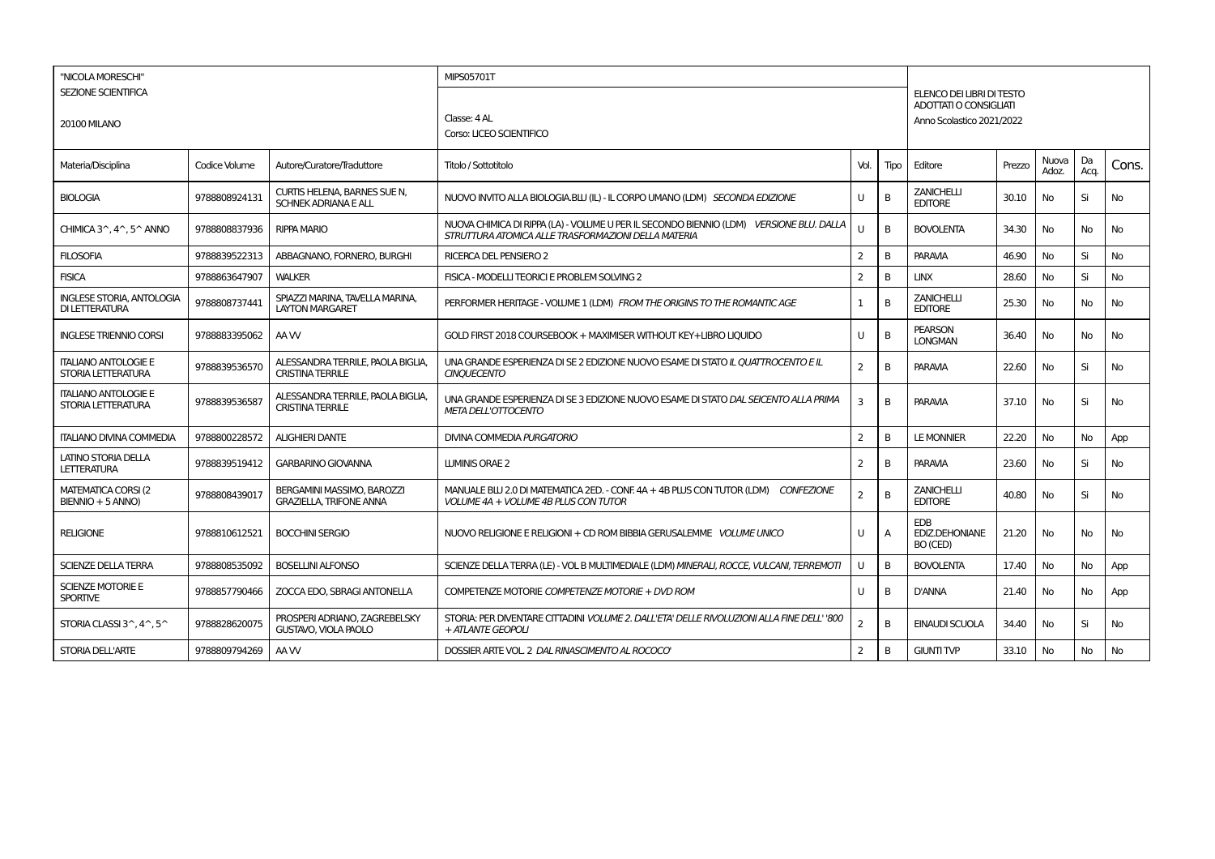| "NICOLA MORESCHI"                                                    |               |                                                              | <b>MIPS05701T</b>                                                                                                                              |                |                |                                                                                 |        |                |            |           |
|----------------------------------------------------------------------|---------------|--------------------------------------------------------------|------------------------------------------------------------------------------------------------------------------------------------------------|----------------|----------------|---------------------------------------------------------------------------------|--------|----------------|------------|-----------|
| <b>SEZIONE SCIENTIFICA</b><br><b>20100 MILANO</b>                    |               |                                                              | Classe: 4 AL<br>Corso: LICEO SCIENTIFICO                                                                                                       |                |                | ELENCO DEI LIBRI DI TESTO<br>ADOTTATI O CONSIGUATI<br>Anno Scolastico 2021/2022 |        |                |            |           |
| Materia/Disciplina                                                   | Codice Volume | Autore/Curatore/Traduttore                                   | Titolo / Sottotitolo                                                                                                                           | Vol.           | Tipo           | Editore                                                                         | Prezzo | Nuova<br>Adoz. | Da<br>Acq. | Cons.     |
| <b>BIOLOGIA</b>                                                      | 9788808924131 | CURTIS HELENA, BARNES SUE N,<br><b>SCHNEK ADRIANA E ALL</b>  | NUOVO INVITO ALLA BIOLOGIA.BLU (IL) - IL CORPO UMANO (LDM) SECONDA EDIZIONE                                                                    | U              | B              | <b>ZANICHELLI</b><br><b>EDITORE</b>                                             | 30.10  | No             | Si         | No        |
| CHIMICA 3 <sup><math>\land</math></sup> , 4 $\land$ , 5 $\land$ ANNO | 9788808837936 | <b>RIPPA MARIO</b>                                           | NUOVA CHIMICA DI RIPPA (LA) - VOLUME U PER IL SECONDO BIENNIO (LDM) VERSIONE BLU, DALLA<br>STRUTTURA ATOMICA ALLE TRASFORMAZIONI DELLA MATERIA | U              | B              | <b>BOVOLENTA</b>                                                                | 34.30  | <b>No</b>      | No         | No        |
| <b>FILOSOFIA</b>                                                     | 9788839522313 | ABBAGNANO, FORNERO, BURGHI                                   | <b>RICERCA DEL PENSIERO 2</b>                                                                                                                  | $\overline{2}$ | В              | <b>PARAVIA</b>                                                                  | 46.90  | No             | Si         | No        |
| <b>FISICA</b>                                                        | 9788863647907 | <b>WALKER</b>                                                | FISICA - MODELLI TEORICI E PROBLEM SOLVING 2                                                                                                   | $\overline{2}$ | <sub>B</sub>   | <b>LINX</b>                                                                     | 28.60  | <b>No</b>      | Si         | <b>No</b> |
| <b>INGLESE STORIA, ANTOLOGIA</b><br>DI LETTERATURA                   | 9788808737441 | SPIAZZI MARINA. TAVELLA MARINA.<br><b>LAYTON MARGARET</b>    | PERFORMER HERITAGE - VOLUME 1 (LDM) FROM THE ORIGINS TO THE ROMANTIC AGE                                                                       | $\mathbf{1}$   | B              | <b>ZANICHELLI</b><br><b>EDITORE</b>                                             | 25.30  | <b>No</b>      | <b>No</b>  | No        |
| <b>INGLESE TRIENNIO CORSI</b>                                        | 9788883395062 | AA W                                                         | GOLD FIRST 2018 COURSEBOOK + MAXIMISER WITHOUT KEY+LIBRO LIOUIDO                                                                               | U              | B              | <b>PEARSON</b><br><b>LONGMAN</b>                                                | 36.40  | <b>No</b>      | <b>No</b>  | No        |
| <b>ITALIANO ANTOLOGIE E</b><br>STORIA LETTERATURA                    | 9788839536570 | ALESSANDRA TERRILE, PAOLA BIGLIA.<br><b>CRISTINA TERRILE</b> | UNA GRANDE ESPERIENZA DI SE 2 EDIZIONE NUOVO ESAME DI STATO IL QUATTROCENTO E IL<br><b>CINOUECENTO</b>                                         | $\overline{2}$ | B              | <b>PARAVIA</b>                                                                  | 22.60  | <b>No</b>      | Si         | <b>No</b> |
| <b>ITALIANO ANTOLOGIE E</b><br>STORIA LETTERATURA                    | 9788839536587 | ALESSANDRA TERRILE, PAOLA BIGLIA.<br><b>CRISTINA TERRILE</b> | UNA GRANDE ESPERIENZA DI SE 3 EDIZIONE NUOVO ESAME DI STATO DAL SEICENTO ALLA PRIMA<br><b>META DELL'OTTOCENTO</b>                              | 3              | <sub>B</sub>   | <b>PARAVIA</b>                                                                  | 37.10  | <b>No</b>      | Si         | <b>No</b> |
| <b>ITALIANO DIVINA COMMEDIA</b>                                      | 9788800228572 | <b>ALIGHIERI DANTE</b>                                       | <b>DIVINA COMMEDIA PURGATORIO</b>                                                                                                              | $\overline{2}$ | B              | <b>LE MONNIER</b>                                                               | 22.20  | <b>No</b>      | No         | App       |
| <b>LATINO STORIA DELLA</b><br><b>LETTERATURA</b>                     | 9788839519412 | <b>GARBARINO GIOVANNA</b>                                    | <b>LUMINIS ORAE 2</b>                                                                                                                          | 2              | В              | PARAVIA                                                                         | 23.60  | <b>No</b>      | Si         | No        |
| <b>MATEMATICA CORSI (2)</b><br>BIENNIO + 5 ANNO)                     | 9788808439017 | BERGAMINI MASSIMO, BAROZZI<br><b>GRAZIELLA, TRIFONE ANNA</b> | MANUALE BLU 2.0 DI MATEMATICA 2ED. - CONF. 4A + 4B PLUS CON TUTOR (LDM) CONFEZIONE<br>VOLUME 4A + VOLUME 4B PLUS CON TUTOR                     | $\overline{2}$ | B              | <b>ZANICHELLI</b><br><b>EDITORE</b>                                             | 40.80  | <b>No</b>      | Si         | <b>No</b> |
| <b>RELIGIONE</b>                                                     | 9788810612521 | <b>BOCCHINI SERGIO</b>                                       | NUOVO RELIGIONE E RELIGIONI + CD ROM BIBBIA GERUSALEMME VOLUME UNICO                                                                           | U              | $\overline{A}$ | <b>EDB</b><br><b>EDIZ.DEHONIANE</b><br>BO (CED)                                 | 21.20  | <b>No</b>      | <b>No</b>  | No        |
| <b>SCIENZE DELLA TERRA</b>                                           | 9788808535092 | <b>BOSELLINI ALFONSO</b>                                     | SCIENZE DELLA TERRA (LE) - VOL B MULTIMEDIALE (LDM) MINERALI, ROCCE, VULCANI, TERREMOTI                                                        | U              | B              | <b>BOVOLENTA</b>                                                                | 17.40  | No             | No         | App       |
| <b>SCIENZE MOTORIE E</b><br><b>SPORTIVE</b>                          | 9788857790466 | ZOCCA EDO, SBRAGI ANTONELLA                                  | COMPETENZE MOTORIE COMPETENZE MOTORIE + DVD ROM                                                                                                | U              | B              | <b>D'ANNA</b>                                                                   | 21.40  | <b>No</b>      | No         | App       |
| STORIA CLASSI 3^, 4^, 5^                                             | 9788828620075 | PROSPERI ADRIANO, ZAGREBELSKY<br><b>GUSTAVO, VIOLA PAOLO</b> | STORIA: PER DIVENTARE CITTADINI VOLUME 2. DALL'ETA' DELLE RIVOLUZIONI ALLA FINE DELL' '800<br>+ ATLANTE GEOPOLI                                | $\overline{2}$ | B              | <b>EINAUDI SCUOLA</b>                                                           | 34.40  | <b>No</b>      | Si         | No        |
| STORIA DELL'ARTE                                                     | 9788809794269 | AA W                                                         | DOSSIER ARTE VOL. 2 DAL RINASCIMENTO AL ROCOCO'                                                                                                | $\overline{2}$ | В              | <b>GIUNTI TVP</b>                                                               | 33.10  | <b>No</b>      | <b>No</b>  | No        |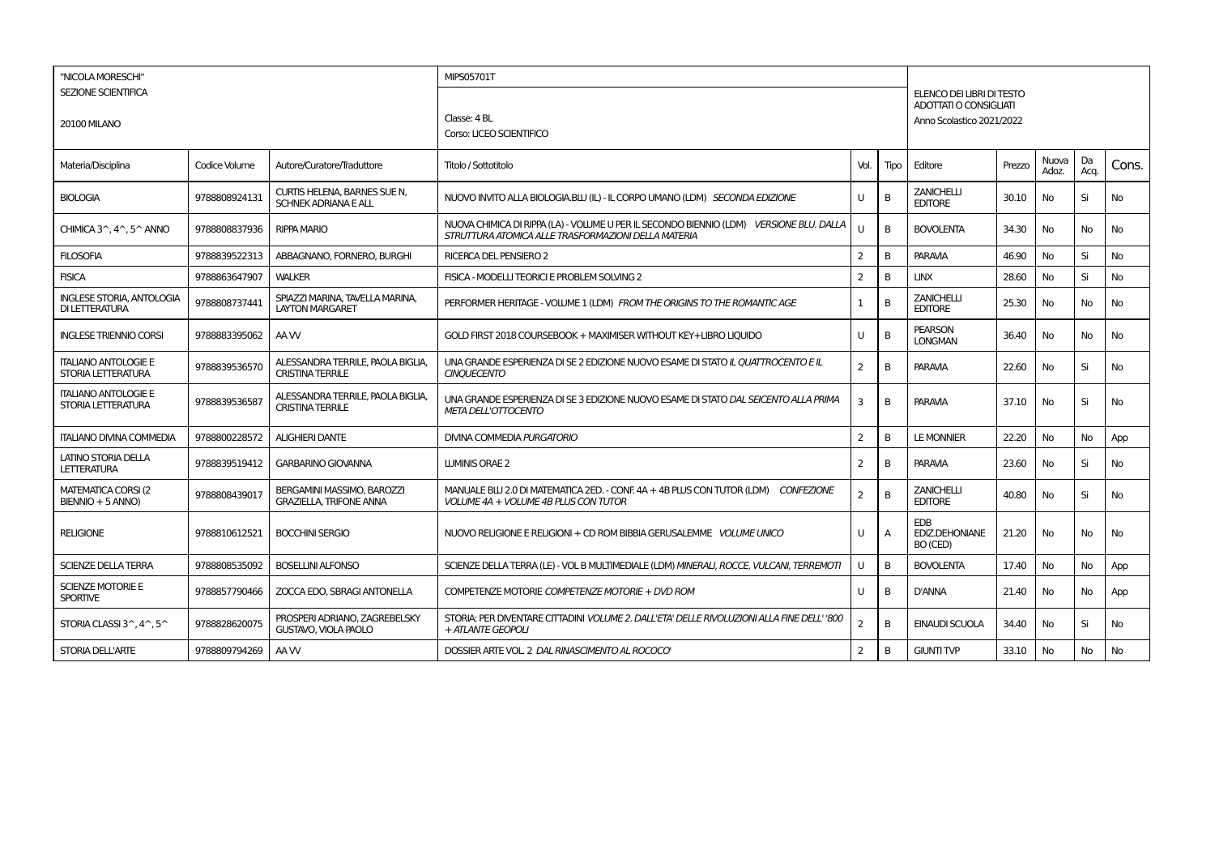| "NICOLA MORESCHI"<br><b>SEZIONE SCIENTIFICA</b><br><b>20100 MILANO</b> |               |                                                              | <b>MIPS05701T</b>                                                                                                                              |                |                |                                                 |                                                                                 |                |            |           |  |
|------------------------------------------------------------------------|---------------|--------------------------------------------------------------|------------------------------------------------------------------------------------------------------------------------------------------------|----------------|----------------|-------------------------------------------------|---------------------------------------------------------------------------------|----------------|------------|-----------|--|
|                                                                        |               |                                                              | Classe: 4 BL<br>Corso: LICEO SCIENTIFICO                                                                                                       |                |                |                                                 | ELENCO DEI LIBRI DI TESTO<br>ADOTTATI O CONSIGUATI<br>Anno Scolastico 2021/2022 |                |            |           |  |
| Materia/Disciplina                                                     | Codice Volume | Autore/Curatore/Traduttore                                   | Titolo / Sottotitolo                                                                                                                           | Vol.           | Tipo           | Editore                                         | Prezzo                                                                          | Nuova<br>Adoz. | Da<br>Acq. | Cons.     |  |
| <b>BIOLOGIA</b>                                                        | 9788808924131 | CURTIS HELENA, BARNES SUE N,<br><b>SCHNEK ADRIANA E ALL</b>  | NUOVO INVITO ALLA BIOLOGIA.BLU (IL) - IL CORPO UMANO (LDM) SECONDA EDIZIONE                                                                    | U              | B              | <b>ZANICHELLI</b><br><b>EDITORE</b>             | 30.10                                                                           | No             | Si         | No        |  |
| CHIMICA 3 <sup><math>\land</math></sup> , 4 $\land$ , 5 $\land$ ANNO   | 9788808837936 | <b>RIPPA MARIO</b>                                           | NUOVA CHIMICA DI RIPPA (LA) - VOLUME U PER IL SECONDO BIENNIO (LDM) VERSIONE BLU, DALLA<br>STRUTTURA ATOMICA ALLE TRASFORMAZIONI DELLA MATERIA | U              | B              | <b>BOVOLENTA</b>                                | 34.30                                                                           | <b>No</b>      | No         | No        |  |
| <b>FILOSOFIA</b>                                                       | 9788839522313 | ABBAGNANO, FORNERO, BURGHI                                   | <b>RICERCA DEL PENSIERO 2</b>                                                                                                                  | $\overline{2}$ | В              | <b>PARAVIA</b>                                  | 46.90                                                                           | No             | Si         | No        |  |
| <b>FISICA</b>                                                          | 9788863647907 | <b>WALKER</b>                                                | FISICA - MODELLI TEORICI E PROBLEM SOLVING 2                                                                                                   | $\overline{2}$ | <sub>B</sub>   | <b>LINX</b>                                     | 28.60                                                                           | <b>No</b>      | Si         | <b>No</b> |  |
| <b>INGLESE STORIA, ANTOLOGIA</b><br>DI LETTERATURA                     | 9788808737441 | SPIAZZI MARINA. TAVELLA MARINA.<br><b>LAYTON MARGARET</b>    | PERFORMER HERITAGE - VOLUME 1 (LDM) FROM THE ORIGINS TO THE ROMANTIC AGE                                                                       | $\mathbf{1}$   | B              | <b>ZANICHELLI</b><br><b>EDITORE</b>             | 25.30                                                                           | <b>No</b>      | <b>No</b>  | No        |  |
| <b>INGLESE TRIENNIO CORSI</b>                                          | 9788883395062 | AA W                                                         | GOLD FIRST 2018 COURSEBOOK + MAXIMISER WITHOUT KEY+LIBRO LIOUIDO                                                                               | U              | B              | <b>PEARSON</b><br><b>LONGMAN</b>                | 36.40                                                                           | <b>No</b>      | <b>No</b>  | No        |  |
| <b>ITALIANO ANTOLOGIE E</b><br>STORIA LETTERATURA                      | 9788839536570 | ALESSANDRA TERRILE, PAOLA BIGLIA.<br><b>CRISTINA TERRILE</b> | UNA GRANDE ESPERIENZA DI SE 2 EDIZIONE NUOVO ESAME DI STATO IL QUATTROCENTO E IL<br><b>CINOUECENTO</b>                                         | $\overline{2}$ | B              | <b>PARAVIA</b>                                  | 22.60                                                                           | <b>No</b>      | Si         | <b>No</b> |  |
| <b>ITALIANO ANTOLOGIE E</b><br>STORIA LETTERATURA                      | 9788839536587 | ALESSANDRA TERRILE, PAOLA BIGLIA.<br><b>CRISTINA TERRILE</b> | UNA GRANDE ESPERIENZA DI SE 3 EDIZIONE NUOVO ESAME DI STATO DAL SEICENTO ALLA PRIMA<br><b>META DELL'OTTOCENTO</b>                              | 3              | <sub>B</sub>   | <b>PARAVIA</b>                                  | 37.10                                                                           | <b>No</b>      | Si         | <b>No</b> |  |
| <b>ITALIANO DIVINA COMMEDIA</b>                                        | 9788800228572 | <b>ALIGHIERI DANTE</b>                                       | <b>DIVINA COMMEDIA PURGATORIO</b>                                                                                                              | $\overline{2}$ | B              | <b>LE MONNIER</b>                               | 22.20                                                                           | <b>No</b>      | No         | App       |  |
| <b>LATINO STORIA DELLA</b><br><b>LETTERATURA</b>                       | 9788839519412 | <b>GARBARINO GIOVANNA</b>                                    | <b>LUMINIS ORAE 2</b>                                                                                                                          | 2              | В              | PARAVIA                                         | 23.60                                                                           | <b>No</b>      | Si         | No        |  |
| <b>MATEMATICA CORSI (2)</b><br>BIENNIO + 5 ANNO)                       | 9788808439017 | BERGAMINI MASSIMO, BAROZZI<br><b>GRAZIELLA, TRIFONE ANNA</b> | MANUALE BLU 2.0 DI MATEMATICA 2ED. - CONF. 4A + 4B PLUS CON TUTOR (LDM) CONFEZIONE<br>VOLUME 4A + VOLUME 4B PLUS CON TUTOR                     | $\overline{2}$ | B              | <b>ZANICHELLI</b><br><b>EDITORE</b>             | 40.80                                                                           | <b>No</b>      | Si         | <b>No</b> |  |
| <b>RELIGIONE</b>                                                       | 9788810612521 | <b>BOCCHINI SERGIO</b>                                       | NUOVO RELIGIONE E RELIGIONI + CD ROM BIBBIA GERUSALEMME VOLUME UNICO                                                                           | U              | $\overline{A}$ | <b>EDB</b><br><b>EDIZ.DEHONIANE</b><br>BO (CED) | 21.20                                                                           | <b>No</b>      | <b>No</b>  | No        |  |
| <b>SCIENZE DELLA TERRA</b>                                             | 9788808535092 | <b>BOSELLINI ALFONSO</b>                                     | SCIENZE DELLA TERRA (LE) - VOL B MULTIMEDIALE (LDM) MINERALI, ROCCE, VULCANI, TERREMOTI                                                        | U              | B              | <b>BOVOLENTA</b>                                | 17.40                                                                           | No             | No         | App       |  |
| <b>SCIENZE MOTORIE E</b><br><b>SPORTIVE</b>                            | 9788857790466 | ZOCCA EDO, SBRAGI ANTONELLA                                  | COMPETENZE MOTORIE COMPETENZE MOTORIE + DVD ROM                                                                                                | U              | B              | <b>D'ANNA</b>                                   | 21.40                                                                           | <b>No</b>      | No         | App       |  |
| STORIA CLASSI 3^, 4^, 5^                                               | 9788828620075 | PROSPERI ADRIANO, ZAGREBELSKY<br><b>GUSTAVO, VIOLA PAOLO</b> | STORIA: PER DIVENTARE CITTADINI VOLUME 2. DALL'ETA' DELLE RIVOLUZIONI ALLA FINE DELL' '800<br>+ ATLANTE GEOPOLI                                | $\overline{2}$ | B              | <b>EINAUDI SCUOLA</b>                           | 34.40                                                                           | <b>No</b>      | Si         | No        |  |
| STORIA DELL'ARTE                                                       | 9788809794269 | AA W                                                         | DOSSIER ARTE VOL. 2 DAL RINASCIMENTO AL ROCOCO'                                                                                                | $\overline{2}$ | В              | <b>GIUNTI TVP</b>                               | 33.10                                                                           | <b>No</b>      | No         | No        |  |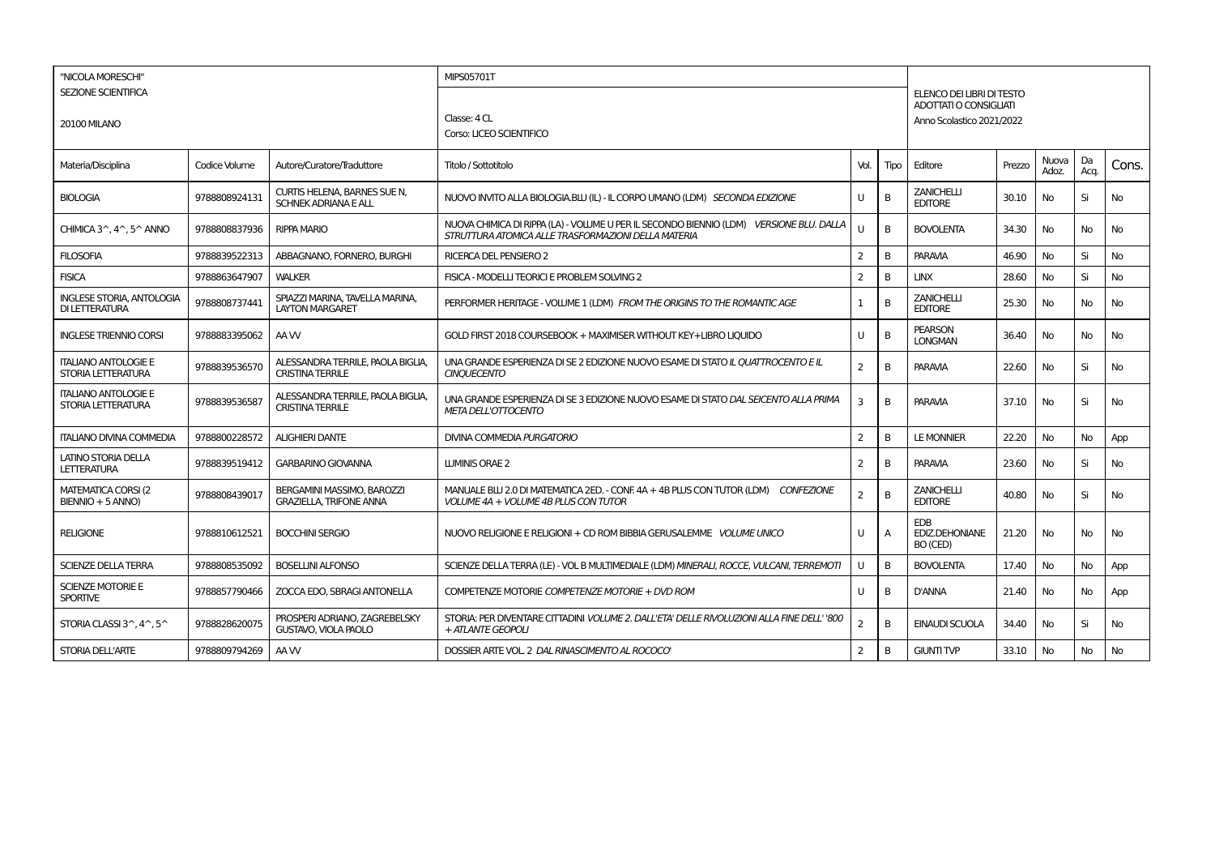| "NICOLA MORESCHI"<br><b>SEZIONE SCIENTIFICA</b><br><b>20100 MILANO</b> |               |                                                              | <b>MIPS05701T</b>                                                                                                                              |                |                |                                                 |                                                                                 |                |            |           |  |
|------------------------------------------------------------------------|---------------|--------------------------------------------------------------|------------------------------------------------------------------------------------------------------------------------------------------------|----------------|----------------|-------------------------------------------------|---------------------------------------------------------------------------------|----------------|------------|-----------|--|
|                                                                        |               |                                                              | Classe: 4 CL<br>Corso: LICEO SCIENTIFICO                                                                                                       |                |                |                                                 | ELENCO DEI LIBRI DI TESTO<br>ADOTTATI O CONSIGUATI<br>Anno Scolastico 2021/2022 |                |            |           |  |
| Materia/Disciplina                                                     | Codice Volume | Autore/Curatore/Traduttore                                   | Titolo / Sottotitolo                                                                                                                           | Vol.           | Tipo           | Editore                                         | Prezzo                                                                          | Nuova<br>Adoz. | Da<br>Acq. | Cons.     |  |
| <b>BIOLOGIA</b>                                                        | 9788808924131 | CURTIS HELENA, BARNES SUE N,<br><b>SCHNEK ADRIANA E ALL</b>  | NUOVO INVITO ALLA BIOLOGIA.BLU (IL) - IL CORPO UMANO (LDM) SECONDA EDIZIONE                                                                    | U              | B              | <b>ZANICHELLI</b><br><b>EDITORE</b>             | 30.10                                                                           | No             | Si         | No        |  |
| CHIMICA 3 <sup><math>\land</math></sup> , 4 $\land$ , 5 $\land$ ANNO   | 9788808837936 | <b>RIPPA MARIO</b>                                           | NUOVA CHIMICA DI RIPPA (LA) - VOLUME U PER IL SECONDO BIENNIO (LDM) VERSIONE BLU, DALLA<br>STRUTTURA ATOMICA ALLE TRASFORMAZIONI DELLA MATERIA | U              | B              | <b>BOVOLENTA</b>                                | 34.30                                                                           | <b>No</b>      | No         | No        |  |
| <b>FILOSOFIA</b>                                                       | 9788839522313 | ABBAGNANO, FORNERO, BURGHI                                   | <b>RICERCA DEL PENSIERO 2</b>                                                                                                                  | $\overline{2}$ | В              | <b>PARAVIA</b>                                  | 46.90                                                                           | No             | Si         | No        |  |
| <b>FISICA</b>                                                          | 9788863647907 | <b>WALKER</b>                                                | FISICA - MODELLI TEORICI E PROBLEM SOLVING 2                                                                                                   | $\overline{2}$ | B              | <b>LINX</b>                                     | 28.60                                                                           | <b>No</b>      | Si         | <b>No</b> |  |
| <b>INGLESE STORIA, ANTOLOGIA</b><br>DI LETTERATURA                     | 9788808737441 | SPIAZZI MARINA. TAVELLA MARINA.<br><b>LAYTON MARGARET</b>    | PERFORMER HERITAGE - VOLUME 1 (LDM) FROM THE ORIGINS TO THE ROMANTIC AGE                                                                       | $\mathbf{1}$   | B              | <b>ZANICHELLI</b><br><b>EDITORE</b>             | 25.30                                                                           | <b>No</b>      | <b>No</b>  | No        |  |
| <b>INGLESE TRIENNIO CORSI</b>                                          | 9788883395062 | AA W                                                         | GOLD FIRST 2018 COURSEBOOK + MAXIMISER WITHOUT KEY+LIBRO LIOUIDO                                                                               | U              | B              | <b>PEARSON</b><br><b>LONGMAN</b>                | 36.40                                                                           | <b>No</b>      | <b>No</b>  | No        |  |
| <b>ITALIANO ANTOLOGIE E</b><br>STORIA LETTERATURA                      | 9788839536570 | ALESSANDRA TERRILE, PAOLA BIGLIA.<br><b>CRISTINA TERRILE</b> | UNA GRANDE ESPERIENZA DI SE 2 EDIZIONE NUOVO ESAME DI STATO IL QUATTROCENTO E IL<br><b>CINOUECENTO</b>                                         | $\overline{2}$ | B              | <b>PARAVIA</b>                                  | 22.60                                                                           | <b>No</b>      | Si         | <b>No</b> |  |
| <b>ITALIANO ANTOLOGIE E</b><br>STORIA LETTERATURA                      | 9788839536587 | ALESSANDRA TERRILE, PAOLA BIGLIA.<br><b>CRISTINA TERRILE</b> | UNA GRANDE ESPERIENZA DI SE 3 EDIZIONE NUOVO ESAME DI STATO DAL SEICENTO ALLA PRIMA<br><b>META DELL'OTTOCENTO</b>                              | 3              | <sub>B</sub>   | <b>PARAVIA</b>                                  | 37.10                                                                           | <b>No</b>      | Si         | <b>No</b> |  |
| <b>ITALIANO DIVINA COMMEDIA</b>                                        | 9788800228572 | <b>ALIGHIERI DANTE</b>                                       | <b>DIVINA COMMEDIA PURGATORIO</b>                                                                                                              | $\overline{2}$ | B              | <b>LE MONNIER</b>                               | 22.20                                                                           | <b>No</b>      | No         | App       |  |
| LATINO STORIA DELLA<br><b>LETTERATURA</b>                              | 9788839519412 | <b>GARBARINO GIOVANNA</b>                                    | <b>LUMINIS ORAE 2</b>                                                                                                                          | 2              | В              | PARAVIA                                         | 23.60                                                                           | <b>No</b>      | Si         | No        |  |
| <b>MATEMATICA CORSI (2)</b><br>BIENNIO + 5 ANNO)                       | 9788808439017 | BERGAMINI MASSIMO, BAROZZI<br><b>GRAZIELLA, TRIFONE ANNA</b> | MANUALE BLU 2.0 DI MATEMATICA 2ED. - CONF. 4A + 4B PLUS CON TUTOR (LDM) CONFEZIONE<br>VOLUME 4A + VOLUME 4B PLUS CON TUTOR                     | $\overline{2}$ | B              | <b>ZANICHELLI</b><br><b>EDITORE</b>             | 40.80                                                                           | <b>No</b>      | Si         | <b>No</b> |  |
| <b>RELIGIONE</b>                                                       | 9788810612521 | <b>BOCCHINI SERGIO</b>                                       | NUOVO RELIGIONE E RELIGIONI + CD ROM BIBBIA GERUSALEMME VOLUME UNICO                                                                           | U              | $\overline{A}$ | <b>EDB</b><br><b>EDIZ.DEHONIANE</b><br>BO (CED) | 21.20                                                                           | <b>No</b>      | <b>No</b>  | No        |  |
| <b>SCIENZE DELLA TERRA</b>                                             | 9788808535092 | <b>BOSELLINI ALFONSO</b>                                     | SCIENZE DELLA TERRA (LE) - VOL B MULTIMEDIALE (LDM) MINERALI, ROCCE, VULCANI, TERREMOTI                                                        | U              | B              | <b>BOVOLENTA</b>                                | 17.40                                                                           | No             | No         | App       |  |
| <b>SCIENZE MOTORIE E</b><br><b>SPORTIVE</b>                            | 9788857790466 | ZOCCA EDO, SBRAGI ANTONELLA                                  | COMPETENZE MOTORIE COMPETENZE MOTORIE + DVD ROM                                                                                                | U              | B              | <b>D'ANNA</b>                                   | 21.40                                                                           | <b>No</b>      | No         | App       |  |
| STORIA CLASSI 3^, 4^, 5^                                               | 9788828620075 | PROSPERI ADRIANO, ZAGREBELSKY<br><b>GUSTAVO, VIOLA PAOLO</b> | STORIA: PER DIVENTARE CITTADINI VOLUME 2. DALL'ETA' DELLE RIVOLUZIONI ALLA FINE DELL' '800<br>+ ATLANTE GEOPOLI                                | $\overline{2}$ | B              | <b>EINAUDI SCUOLA</b>                           | 34.40                                                                           | <b>No</b>      | Si         | No        |  |
| STORIA DELL'ARTE                                                       | 9788809794269 | AA W                                                         | DOSSIER ARTE VOL. 2 DAL RINASCIMENTO AL ROCOCO'                                                                                                | $\overline{2}$ | В              | <b>GIUNTI TVP</b>                               | 33.10                                                                           | <b>No</b>      | <b>No</b>  | No        |  |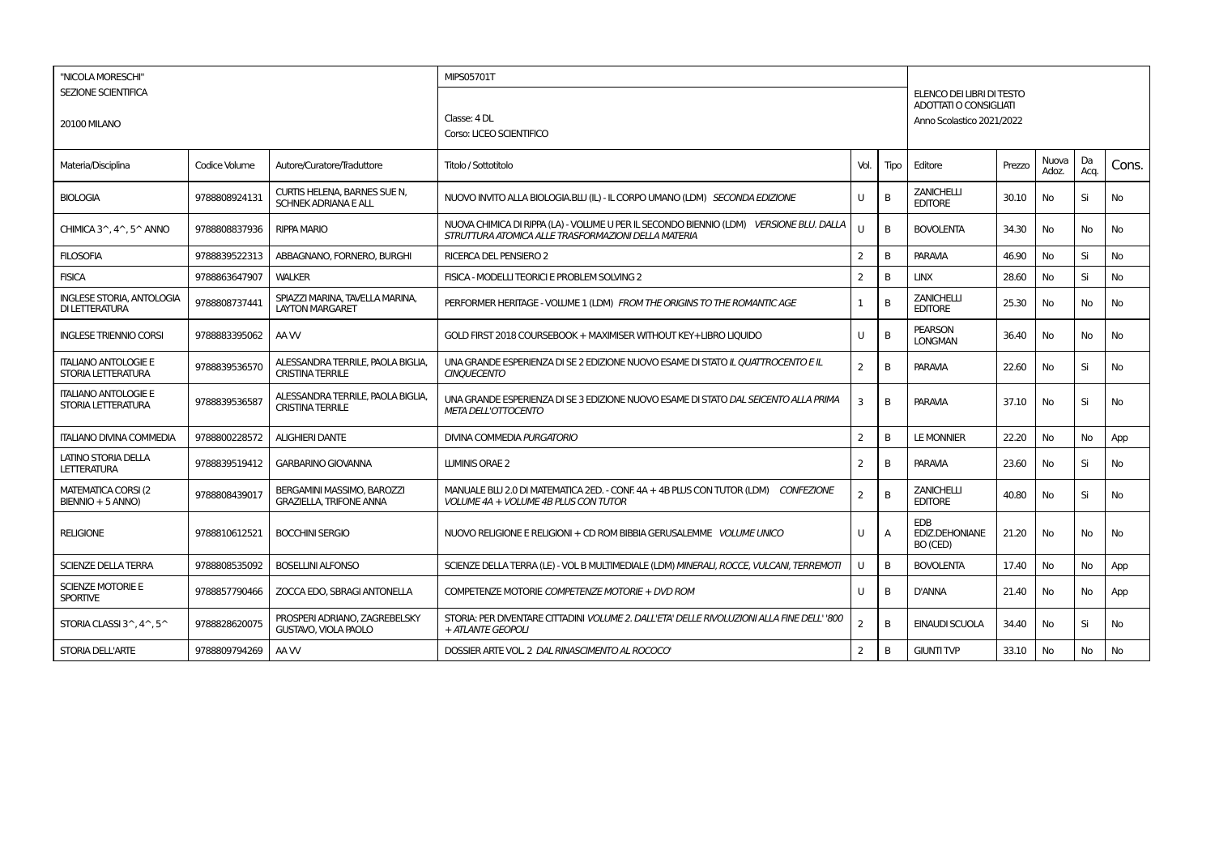| "NICOLA MORESCHI"<br><b>SEZIONE SCIENTIFICA</b><br><b>20100 MILANO</b> |               |                                                              | <b>MIPS05701T</b>                                                                                                                              |                |                |                                                 |                                                                                 |                |            |           |  |
|------------------------------------------------------------------------|---------------|--------------------------------------------------------------|------------------------------------------------------------------------------------------------------------------------------------------------|----------------|----------------|-------------------------------------------------|---------------------------------------------------------------------------------|----------------|------------|-----------|--|
|                                                                        |               |                                                              | Classe: 4 DL<br>Corso: LICEO SCIENTIFICO                                                                                                       |                |                |                                                 | ELENCO DEI LIBRI DI TESTO<br>ADOTTATI O CONSIGUATI<br>Anno Scolastico 2021/2022 |                |            |           |  |
| Materia/Disciplina                                                     | Codice Volume | Autore/Curatore/Traduttore                                   | Titolo / Sottotitolo                                                                                                                           | Vol.           | Tipo           | Editore                                         | Prezzo                                                                          | Nuova<br>Adoz. | Da<br>Acq. | Cons.     |  |
| <b>BIOLOGIA</b>                                                        | 9788808924131 | CURTIS HELENA, BARNES SUE N,<br><b>SCHNEK ADRIANA E ALL</b>  | NUOVO INVITO ALLA BIOLOGIA.BLU (IL) - IL CORPO UMANO (LDM) SECONDA EDIZIONE                                                                    | U              | B              | <b>ZANICHELLI</b><br><b>EDITORE</b>             | 30.10                                                                           | No             | Si         | No        |  |
| CHIMICA 3 <sup><math>\land</math></sup> , 4 $\land$ , 5 $\land$ ANNO   | 9788808837936 | <b>RIPPA MARIO</b>                                           | NUOVA CHIMICA DI RIPPA (LA) - VOLUME U PER IL SECONDO BIENNIO (LDM) VERSIONE BLU, DALLA<br>STRUTTURA ATOMICA ALLE TRASFORMAZIONI DELLA MATERIA | U              | B              | <b>BOVOLENTA</b>                                | 34.30                                                                           | <b>No</b>      | No         | No        |  |
| <b>FILOSOFIA</b>                                                       | 9788839522313 | ABBAGNANO, FORNERO, BURGHI                                   | <b>RICERCA DEL PENSIERO 2</b>                                                                                                                  | $\overline{2}$ | В              | <b>PARAVIA</b>                                  | 46.90                                                                           | No             | Si         | No        |  |
| <b>FISICA</b>                                                          | 9788863647907 | <b>WALKER</b>                                                | FISICA - MODELLI TEORICI E PROBLEM SOLVING 2                                                                                                   | $\overline{2}$ | <sub>B</sub>   | <b>LINX</b>                                     | 28.60                                                                           | <b>No</b>      | Si         | <b>No</b> |  |
| <b>INGLESE STORIA, ANTOLOGIA</b><br>DI LETTERATURA                     | 9788808737441 | SPIAZZI MARINA. TAVELLA MARINA.<br><b>LAYTON MARGARET</b>    | PERFORMER HERITAGE - VOLUME 1 (LDM) FROM THE ORIGINS TO THE ROMANTIC AGE                                                                       | $\mathbf{1}$   | B              | <b>ZANICHELLI</b><br><b>EDITORE</b>             | 25.30                                                                           | <b>No</b>      | <b>No</b>  | No        |  |
| <b>INGLESE TRIENNIO CORSI</b>                                          | 9788883395062 | AA W                                                         | GOLD FIRST 2018 COURSEBOOK + MAXIMISER WITHOUT KEY+LIBRO LIOUIDO                                                                               | U              | B              | <b>PEARSON</b><br><b>LONGMAN</b>                | 36.40                                                                           | <b>No</b>      | <b>No</b>  | No        |  |
| <b>ITALIANO ANTOLOGIE E</b><br>STORIA LETTERATURA                      | 9788839536570 | ALESSANDRA TERRILE, PAOLA BIGLIA.<br><b>CRISTINA TERRILE</b> | UNA GRANDE ESPERIENZA DI SE 2 EDIZIONE NUOVO ESAME DI STATO IL QUATTROCENTO E IL<br><b>CINOUECENTO</b>                                         | $\overline{2}$ | B              | <b>PARAVIA</b>                                  | 22.60                                                                           | <b>No</b>      | Si         | <b>No</b> |  |
| <b>ITALIANO ANTOLOGIE E</b><br>STORIA LETTERATURA                      | 9788839536587 | ALESSANDRA TERRILE, PAOLA BIGLIA.<br><b>CRISTINA TERRILE</b> | UNA GRANDE ESPERIENZA DI SE 3 EDIZIONE NUOVO ESAME DI STATO DAL SEICENTO ALLA PRIMA<br><b>META DELL'OTTOCENTO</b>                              | 3              | <sub>B</sub>   | <b>PARAVIA</b>                                  | 37.10                                                                           | <b>No</b>      | Si         | <b>No</b> |  |
| <b>ITALIANO DIVINA COMMEDIA</b>                                        | 9788800228572 | <b>ALIGHIERI DANTE</b>                                       | <b>DIVINA COMMEDIA PURGATORIO</b>                                                                                                              | $\overline{2}$ | B              | <b>LE MONNIER</b>                               | 22.20                                                                           | <b>No</b>      | No         | App       |  |
| LATINO STORIA DELLA<br><b>LETTERATURA</b>                              | 9788839519412 | <b>GARBARINO GIOVANNA</b>                                    | <b>LUMINIS ORAE 2</b>                                                                                                                          | 2              | В              | PARAVIA                                         | 23.60                                                                           | <b>No</b>      | Si         | No        |  |
| <b>MATEMATICA CORSI (2)</b><br>BIENNIO + 5 ANNO)                       | 9788808439017 | BERGAMINI MASSIMO, BAROZZI<br><b>GRAZIELLA, TRIFONE ANNA</b> | MANUALE BLU 2.0 DI MATEMATICA 2ED. - CONF. 4A + 4B PLUS CON TUTOR (LDM) CONFEZIONE<br>VOLUME 4A + VOLUME 4B PLUS CON TUTOR                     | $\overline{2}$ | B              | <b>ZANICHELLI</b><br><b>EDITORE</b>             | 40.80                                                                           | <b>No</b>      | Si         | <b>No</b> |  |
| <b>RELIGIONE</b>                                                       | 9788810612521 | <b>BOCCHINI SERGIO</b>                                       | NUOVO RELIGIONE E RELIGIONI + CD ROM BIBBIA GERUSALEMME VOLUME UNICO                                                                           | U              | $\overline{A}$ | <b>EDB</b><br><b>EDIZ.DEHONIANE</b><br>BO (CED) | 21.20                                                                           | <b>No</b>      | <b>No</b>  | No        |  |
| <b>SCIENZE DELLA TERRA</b>                                             | 9788808535092 | <b>BOSELLINI ALFONSO</b>                                     | SCIENZE DELLA TERRA (LE) - VOL B MULTIMEDIALE (LDM) MINERALI, ROCCE, VULCANI, TERREMOTI                                                        | U              | B              | <b>BOVOLENTA</b>                                | 17.40                                                                           | No             | No         | App       |  |
| <b>SCIENZE MOTORIE E</b><br><b>SPORTIVE</b>                            | 9788857790466 | ZOCCA EDO, SBRAGI ANTONELLA                                  | COMPETENZE MOTORIE COMPETENZE MOTORIE + DVD ROM                                                                                                | U              | B              | <b>D'ANNA</b>                                   | 21.40                                                                           | <b>No</b>      | No         | App       |  |
| STORIA CLASSI 3^, 4^, 5^                                               | 9788828620075 | PROSPERI ADRIANO, ZAGREBELSKY<br><b>GUSTAVO, VIOLA PAOLO</b> | STORIA: PER DIVENTARE CITTADINI VOLUME 2. DALL'ETA' DELLE RIVOLUZIONI ALLA FINE DELL' '800<br>+ ATLANTE GEOPOLI                                | $\overline{2}$ | B              | <b>EINAUDI SCUOLA</b>                           | 34.40                                                                           | <b>No</b>      | Si         | No        |  |
| STORIA DELL'ARTE                                                       | 9788809794269 | AA W                                                         | DOSSIER ARTE VOL. 2 DAL RINASCIMENTO AL ROCOCO'                                                                                                | $\overline{2}$ | В              | <b>GIUNTI TVP</b>                               | 33.10                                                                           | <b>No</b>      | <b>No</b>  | No        |  |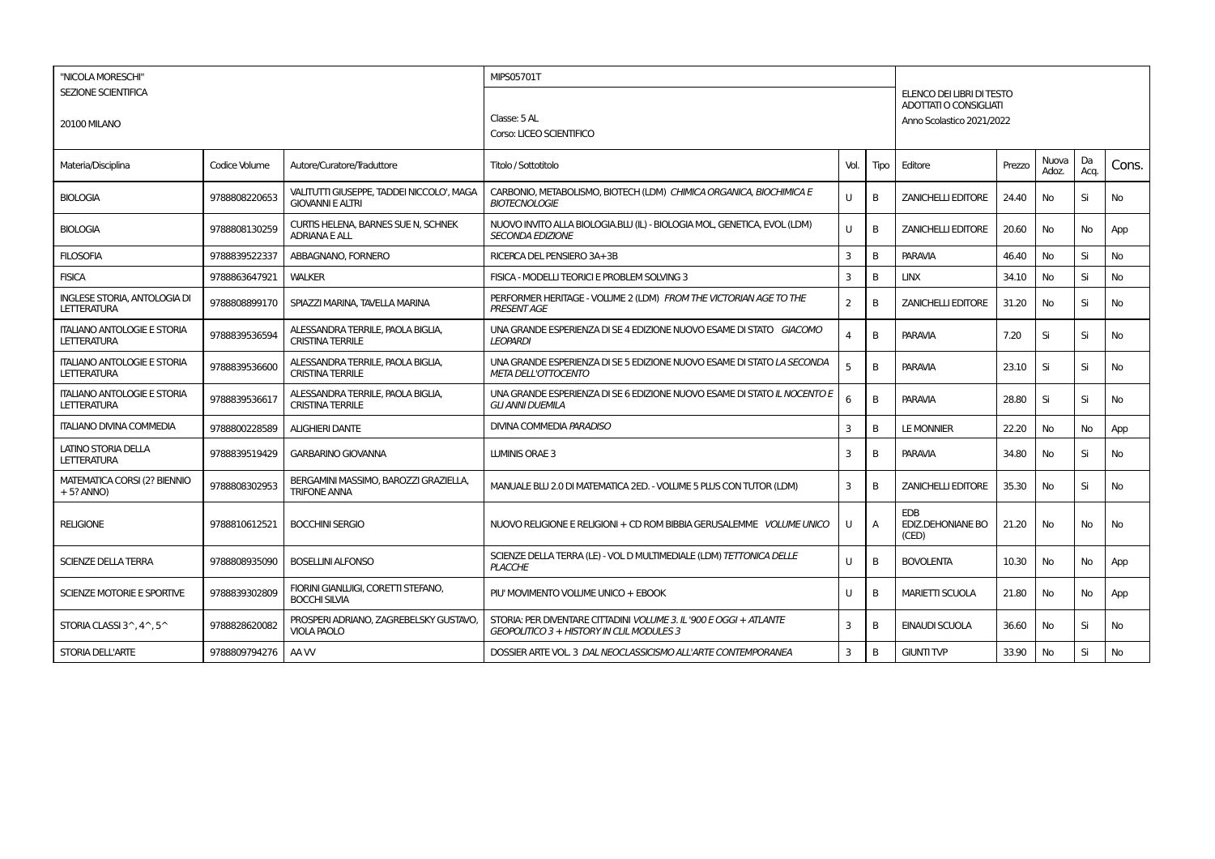| "NICOLA MORESCHI"<br>SEZIONE SCIENTIFICA<br><b>20100 MILANO</b> |               |                                                                      | <b>MIPS05701T</b>                                                                                               | ELENCO DEI LIBRI DI TESTO                                  |      |                                          |        |                |            |       |  |  |  |
|-----------------------------------------------------------------|---------------|----------------------------------------------------------------------|-----------------------------------------------------------------------------------------------------------------|------------------------------------------------------------|------|------------------------------------------|--------|----------------|------------|-------|--|--|--|
|                                                                 |               |                                                                      | Classe: 5 AL<br>Corso: LICEO SCIENTIFICO                                                                        | <b>ADOTTATI O CONSIGLIATI</b><br>Anno Scolastico 2021/2022 |      |                                          |        |                |            |       |  |  |  |
| Materia/Disciplina                                              | Codice Volume | Autore/Curatore/Traduttore                                           | Titolo / Sottotitolo                                                                                            | Vol.                                                       | Tipo | Editore                                  | Prezzo | Nuova<br>Adoz. | Da<br>Acq. | Cons. |  |  |  |
| <b>BIOLOGIA</b>                                                 | 9788808220653 | VALITUTTI GIUSEPPE, TADDEI NICCOLO', MAGA<br><b>GIOVANNI E ALTRI</b> | CARBONIO, METABOLISMO, BIOTECH (LDM) CHIMICA ORGANICA, BIOCHIMICA E<br><b>BIOTECNOLOGIE</b>                     | U                                                          | в    | <b>ZANICHELLI EDITORE</b>                | 24.40  | No             | Si         | No    |  |  |  |
| <b>BIOLOGIA</b>                                                 | 9788808130259 | CURTIS HELENA, BARNES SUE N, SCHNEK<br><b>ADRIANA E ALL</b>          | NUOVO INVITO ALLA BIOLOGIA.BLU (IL) - BIOLOGIA MOL, GENETICA, EVOL (LDM)<br><b>SECONDA EDIZIONE</b>             | U                                                          | B    | <b>ZANICHELLI EDITORE</b>                | 20.60  | No             | No         | App   |  |  |  |
| <b>FILOSOFIA</b>                                                | 9788839522337 | ABBAGNANO, FORNERO                                                   | RICERCA DEL PENSIERO 3A+3B                                                                                      | 3                                                          | B    | <b>PARAVIA</b>                           | 46.40  | No             | Si         | No    |  |  |  |
| <b>FISICA</b>                                                   | 9788863647921 | <b>WALKER</b>                                                        | FISICA - MODELLI TEORICI E PROBLEM SOLVING 3                                                                    | 3                                                          | B    | <b>LINX</b>                              | 34.10  | No             | Si         | No    |  |  |  |
| <b>INGLESE STORIA, ANTOLOGIA DI</b><br><b>LETTERATURA</b>       | 9788808899170 | SPIAZZI MARINA, TAVELLA MARINA                                       | PERFORMER HERITAGE - VOLUME 2 (LDM) FROM THE VICTORIAN AGE TO THE<br><b>PRESENT AGE</b>                         | $\overline{2}$                                             | B    | <b>ZANICHELLI EDITORE</b>                | 31.20  | No             | Si         | No    |  |  |  |
| <b>ITALIANO ANTOLOGIE E STORIA</b><br>LETTERATURA               | 9788839536594 | ALESSANDRA TERRILE, PAOLA BIGLIA<br><b>CRISTINA TERRILE</b>          | UNA GRANDE ESPERIENZA DI SE 4 EDIZIONE NUOVO ESAME DI STATO GIACOMO<br><b>LEOPARDI</b>                          | 4                                                          | B    | <b>PARAVIA</b>                           | 7.20   | Si             | Si         | No    |  |  |  |
| <b>ITALIANO ANTOLOGIE E STORIA</b><br><b>LETTERATURA</b>        | 9788839536600 | ALESSANDRA TERRILE, PAOLA BIGLIA,<br><b>CRISTINA TERRILE</b>         | UNA GRANDE ESPERIENZA DI SE 5 EDIZIONE NUOVO ESAME DI STATO LA SECONDA<br><b>META DELL'OTTOCENTO</b>            | 5                                                          | B    | <b>PARAVIA</b>                           | 23.10  | Si             | Si         | No    |  |  |  |
| <b>ITALIANO ANTOLOGIE E STORIA</b><br><b>LETTERATURA</b>        | 9788839536617 | ALESSANDRA TERRILE, PAOLA BIGLIA,<br><b>CRISTINA TERRILE</b>         | UNA GRANDE ESPERIENZA DI SE 6 EDIZIONE NUOVO ESAME DI STATO IL NOCENTO E<br><b>GLI ANNI DUEMILA</b>             | 6                                                          | В    | <b>PARAVIA</b>                           | 28.80  | Si             | Si         | No    |  |  |  |
| <b>ITALIANO DIVINA COMMEDIA</b>                                 | 9788800228589 | <b>ALIGHIERI DANTE</b>                                               | DIVINA COMMEDIA PARADISO                                                                                        | 3                                                          | B    | <b>LE MONNIER</b>                        | 22.20  | No             | No         | App   |  |  |  |
| LATINO STORIA DELLA<br><b>LETTERATURA</b>                       | 9788839519429 | <b>GARBARINO GIOVANNA</b>                                            | LUMINIS ORAE 3                                                                                                  | 3                                                          | в    | <b>PARAVIA</b>                           | 34.80  | No             | Si         | No    |  |  |  |
| <b>MATEMATICA CORSI (2? BIENNIO</b><br>$+5?$ ANNO)              | 9788808302953 | BERGAMINI MASSIMO, BAROZZI GRAZIELLA,<br><b>TRIFONE ANNA</b>         | MANUALE BLU 2.0 DI MATEMATICA 2ED. - VOLUME 5 PLUS CON TUTOR (LDM)                                              | 3                                                          | B    | <b>ZANICHELLI EDITORE</b>                | 35.30  | No             | Si         | No    |  |  |  |
| <b>RELIGIONE</b>                                                | 9788810612521 | <b>BOCCHINI SERGIO</b>                                               | NUOVO RELIGIONE E RELIGIONI + CD ROM BIBBIA GERUSALEMME VOLUME UNICO                                            | U                                                          | A    | <b>EDB</b><br>EDIZ.DEHONIANE BO<br>(CED) | 21.20  | No             | No         | No    |  |  |  |
| <b>SCIENZE DELLA TERRA</b>                                      | 9788808935090 | <b>BOSELLINI ALFONSO</b>                                             | SCIENZE DELLA TERRA (LE) - VOL D MULTIMEDIALE (LDM) TETTONICA DELLE<br><b>PLACCHE</b>                           | U                                                          | B    | <b>BOVOLENTA</b>                         | 10.30  | <b>No</b>      | No         | App   |  |  |  |
| SCIENZE MOTORIE E SPORTIVE                                      | 9788839302809 | FIORINI GIANLUIGI, CORETTI STEFANO,<br><b>BOCCHI SILVIA</b>          | PIU' MOVIMENTO VOLUME UNICO + EBOOK                                                                             | U                                                          | B    | <b>MARIETTI SCUOLA</b>                   | 21.80  | <b>No</b>      | No         | App   |  |  |  |
| STORIA CLASSI $3^{\wedge}$ , $4^{\wedge}$ , $5^{\wedge}$        | 9788828620082 | PROSPERI ADRIANO, ZAGREBELSKY GUSTAVO,<br><b>VIOLA PAOLO</b>         | STORIA: PER DIVENTARE CITTADINI VOLUME 3. IL '900 E OGGI + ATLANTE<br>GEOPOLITICO 3 + HISTORY IN CLIL MODULES 3 | 3                                                          | В    | <b>EINAUDI SCUOLA</b>                    | 36.60  | No             | Si         | No    |  |  |  |
| <b>STORIA DELL'ARTE</b>                                         | 9788809794276 | AA W                                                                 | DOSSIER ARTE VOL. 3 DAL NEOCLASSICISMO ALL'ARTE CONTEMPORANEA                                                   | 3                                                          | В    | <b>GIUNTI TVP</b>                        | 33.90  | No             | Si         | No    |  |  |  |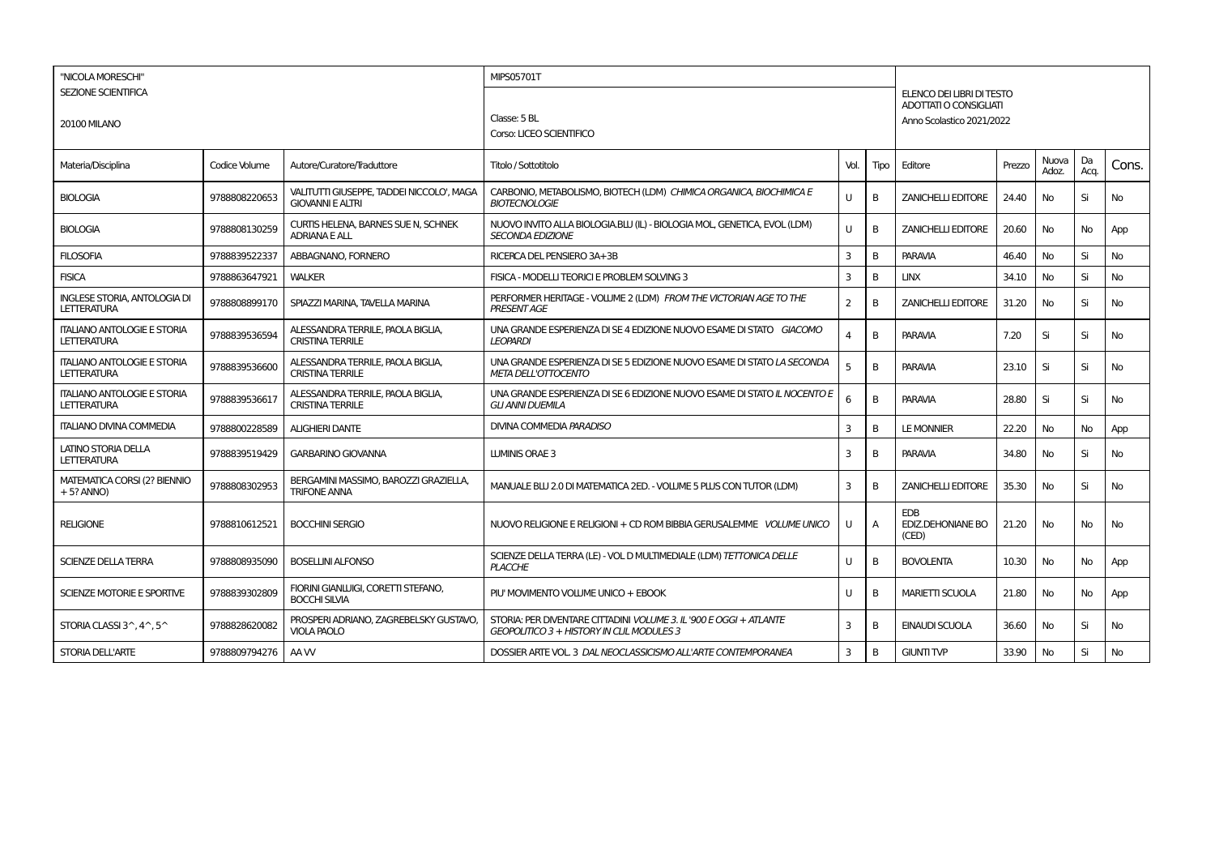| "NICOLA MORESCHI"<br>SEZIONE SCIENTIFICA<br><b>20100 MILANO</b> |               |                                                                      | <b>MIPS05701T</b>                                                                                               | ELENCO DEI LIBRI DI TESTO                                  |      |                                          |        |                |            |       |  |  |  |
|-----------------------------------------------------------------|---------------|----------------------------------------------------------------------|-----------------------------------------------------------------------------------------------------------------|------------------------------------------------------------|------|------------------------------------------|--------|----------------|------------|-------|--|--|--|
|                                                                 |               |                                                                      | Classe: 5 BL<br>Corso: LICEO SCIENTIFICO                                                                        | <b>ADOTTATI O CONSIGLIATI</b><br>Anno Scolastico 2021/2022 |      |                                          |        |                |            |       |  |  |  |
| Materia/Disciplina                                              | Codice Volume | Autore/Curatore/Traduttore                                           | Titolo / Sottotitolo                                                                                            | Vol.                                                       | Tipo | Editore                                  | Prezzo | Nuova<br>Adoz. | Da<br>Acq. | Cons. |  |  |  |
| <b>BIOLOGIA</b>                                                 | 9788808220653 | VALITUTTI GIUSEPPE, TADDEI NICCOLO', MAGA<br><b>GIOVANNI E ALTRI</b> | CARBONIO, METABOLISMO, BIOTECH (LDM) CHIMICA ORGANICA, BIOCHIMICA E<br><b>BIOTECNOLOGIE</b>                     | U                                                          | в    | <b>ZANICHELLI EDITORE</b>                | 24.40  | No             | Si         | No    |  |  |  |
| <b>BIOLOGIA</b>                                                 | 9788808130259 | CURTIS HELENA, BARNES SUE N, SCHNEK<br><b>ADRIANA E ALL</b>          | NUOVO INVITO ALLA BIOLOGIA.BLU (IL) - BIOLOGIA MOL, GENETICA, EVOL (LDM)<br><b>SECONDA EDIZIONE</b>             | U                                                          | B    | <b>ZANICHELLI EDITORE</b>                | 20.60  | No             | No         | App   |  |  |  |
| <b>FILOSOFIA</b>                                                | 9788839522337 | ABBAGNANO, FORNERO                                                   | RICERCA DEL PENSIERO 3A+3B                                                                                      | 3                                                          | B    | <b>PARAVIA</b>                           | 46.40  | No             | Si         | No    |  |  |  |
| <b>FISICA</b>                                                   | 9788863647921 | <b>WALKER</b>                                                        | FISICA - MODELLI TEORICI E PROBLEM SOLVING 3                                                                    | 3                                                          | B    | <b>LINX</b>                              | 34.10  | No             | Si         | No    |  |  |  |
| <b>INGLESE STORIA, ANTOLOGIA DI</b><br><b>LETTERATURA</b>       | 9788808899170 | SPIAZZI MARINA, TAVELLA MARINA                                       | PERFORMER HERITAGE - VOLUME 2 (LDM) FROM THE VICTORIAN AGE TO THE<br><b>PRESENT AGE</b>                         | $\overline{2}$                                             | B    | <b>ZANICHELLI EDITORE</b>                | 31.20  | No             | Si         | No    |  |  |  |
| <b>ITALIANO ANTOLOGIE E STORIA</b><br>LETTERATURA               | 9788839536594 | ALESSANDRA TERRILE, PAOLA BIGLIA<br><b>CRISTINA TERRILE</b>          | UNA GRANDE ESPERIENZA DI SE 4 EDIZIONE NUOVO ESAME DI STATO GIACOMO<br><b>LEOPARDI</b>                          | 4                                                          | B    | <b>PARAVIA</b>                           | 7.20   | Si             | Si         | No    |  |  |  |
| <b>ITALIANO ANTOLOGIE E STORIA</b><br><b>LETTERATURA</b>        | 9788839536600 | ALESSANDRA TERRILE, PAOLA BIGLIA,<br><b>CRISTINA TERRILE</b>         | UNA GRANDE ESPERIENZA DI SE 5 EDIZIONE NUOVO ESAME DI STATO LA SECONDA<br><b>META DELL'OTTOCENTO</b>            | 5                                                          | B    | <b>PARAVIA</b>                           | 23.10  | Si             | Si         | No    |  |  |  |
| <b>ITALIANO ANTOLOGIE E STORIA</b><br><b>LETTERATURA</b>        | 9788839536617 | ALESSANDRA TERRILE, PAOLA BIGLIA,<br><b>CRISTINA TERRILE</b>         | UNA GRANDE ESPERIENZA DI SE 6 EDIZIONE NUOVO ESAME DI STATO IL NOCENTO E<br><b>GLI ANNI DUEMILA</b>             | 6                                                          | В    | <b>PARAVIA</b>                           | 28.80  | Si             | Si         | No    |  |  |  |
| <b>ITALIANO DIVINA COMMEDIA</b>                                 | 9788800228589 | <b>ALIGHIERI DANTE</b>                                               | DIVINA COMMEDIA PARADISO                                                                                        | 3                                                          | B    | <b>LE MONNIER</b>                        | 22.20  | No             | No         | App   |  |  |  |
| LATINO STORIA DELLA<br><b>LETTERATURA</b>                       | 9788839519429 | <b>GARBARINO GIOVANNA</b>                                            | LUMINIS ORAE 3                                                                                                  | 3                                                          | в    | <b>PARAVIA</b>                           | 34.80  | No             | Si         | No    |  |  |  |
| <b>MATEMATICA CORSI (2? BIENNIO</b><br>$+5?$ ANNO)              | 9788808302953 | BERGAMINI MASSIMO, BAROZZI GRAZIELLA,<br><b>TRIFONE ANNA</b>         | MANUALE BLU 2.0 DI MATEMATICA 2ED. - VOLUME 5 PLUS CON TUTOR (LDM)                                              | 3                                                          | B    | <b>ZANICHELLI EDITORE</b>                | 35.30  | No             | Si         | No    |  |  |  |
| <b>RELIGIONE</b>                                                | 9788810612521 | <b>BOCCHINI SERGIO</b>                                               | NUOVO RELIGIONE E RELIGIONI + CD ROM BIBBIA GERUSALEMME VOLUME UNICO                                            | U                                                          | A    | <b>EDB</b><br>EDIZ.DEHONIANE BO<br>(CED) | 21.20  | No             | No         | No    |  |  |  |
| <b>SCIENZE DELLA TERRA</b>                                      | 9788808935090 | <b>BOSELLINI ALFONSO</b>                                             | SCIENZE DELLA TERRA (LE) - VOL D MULTIMEDIALE (LDM) TETTONICA DELLE<br><b>PLACCHE</b>                           | U                                                          | B    | <b>BOVOLENTA</b>                         | 10.30  | <b>No</b>      | No         | App   |  |  |  |
| SCIENZE MOTORIE E SPORTIVE                                      | 9788839302809 | FIORINI GIANLUIGI, CORETTI STEFANO,<br><b>BOCCHI SILVIA</b>          | PIU' MOVIMENTO VOLUME UNICO + EBOOK                                                                             | U                                                          | B    | <b>MARIETTI SCUOLA</b>                   | 21.80  | <b>No</b>      | No         | App   |  |  |  |
| STORIA CLASSI $3^{\wedge}$ , $4^{\wedge}$ , $5^{\wedge}$        | 9788828620082 | PROSPERI ADRIANO, ZAGREBELSKY GUSTAVO,<br><b>VIOLA PAOLO</b>         | STORIA: PER DIVENTARE CITTADINI VOLUME 3. IL '900 E OGGI + ATLANTE<br>GEOPOLITICO 3 + HISTORY IN CLIL MODULES 3 | 3                                                          | В    | <b>EINAUDI SCUOLA</b>                    | 36.60  | No             | Si         | No    |  |  |  |
| <b>STORIA DELL'ARTE</b>                                         | 9788809794276 | AA W                                                                 | DOSSIER ARTE VOL. 3 DAL NEOCLASSICISMO ALL'ARTE CONTEMPORANEA                                                   | 3                                                          | В    | <b>GIUNTI TVP</b>                        | 33.90  | No             | Si         | No    |  |  |  |